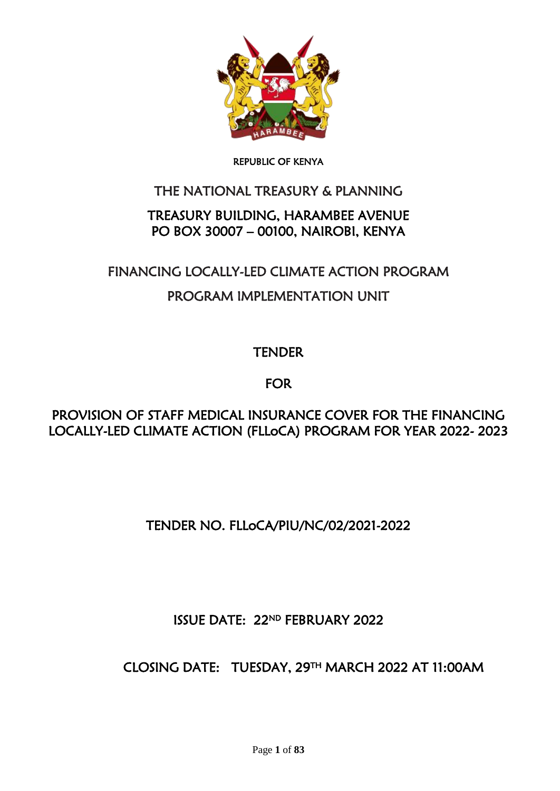

## REPUBLIC OF KENYA

# THE NATIONAL TREASURY & PLANNING

# TREASURY BUILDING, HARAMBEE AVENUE PO BOX 30007 – 00100, NAIROBI, KENYA

# FINANCING LOCALLY-LED CLIMATE ACTION PROGRAM PROGRAM IMPLEMENTATION UNIT

# **TENDER**

# **FOR**

# PROVISION OF STAFF MEDICAL INSURANCE COVER FOR THE FINANCING LOCALLY-LED CLIMATE ACTION (FLLoCA) PROGRAM FOR YEAR 2022- 2023

# TENDER NO. FLLoCA/PIU/NC/02/2021-2022

ISSUE DATE: 22ND FEBRUARY 2022

CLOSING DATE: TUESDAY, 29TH MARCH 2022 AT 11:00AM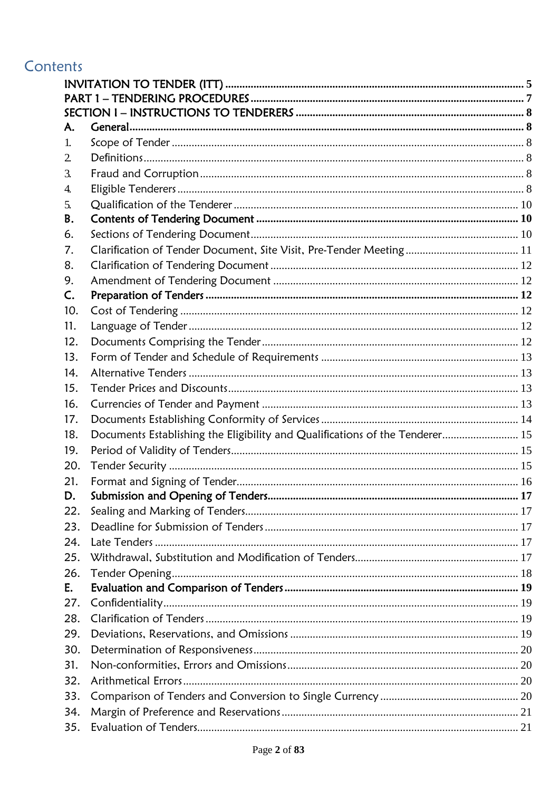# Contents

| А.               |                                                                              |  |  |
|------------------|------------------------------------------------------------------------------|--|--|
| 1.               |                                                                              |  |  |
| 2.               |                                                                              |  |  |
| 3.               |                                                                              |  |  |
| $\overline{4}$ . |                                                                              |  |  |
| 5.               |                                                                              |  |  |
| B.               |                                                                              |  |  |
| 6.               |                                                                              |  |  |
| 7.               |                                                                              |  |  |
| 8.               |                                                                              |  |  |
| 9.               |                                                                              |  |  |
| C.               |                                                                              |  |  |
| 10.              |                                                                              |  |  |
| 11.              |                                                                              |  |  |
| 12.              |                                                                              |  |  |
| 13.              |                                                                              |  |  |
| 14.              |                                                                              |  |  |
| 15.              |                                                                              |  |  |
| 16.              |                                                                              |  |  |
| 17.              |                                                                              |  |  |
| 18.              | Documents Establishing the Eligibility and Qualifications of the Tenderer 15 |  |  |
| 19.              |                                                                              |  |  |
| 20.              |                                                                              |  |  |
| 21.              |                                                                              |  |  |
| D.               |                                                                              |  |  |
| 22.              |                                                                              |  |  |
| 23.              |                                                                              |  |  |
| 24.              |                                                                              |  |  |
| 25.              |                                                                              |  |  |
| 26.              |                                                                              |  |  |
| Е.               |                                                                              |  |  |
| 27.              |                                                                              |  |  |
| 28.              |                                                                              |  |  |
| 29.              |                                                                              |  |  |
| 30.              |                                                                              |  |  |
| 31.              |                                                                              |  |  |
| 32.              |                                                                              |  |  |
| 33.              |                                                                              |  |  |
| 34.              |                                                                              |  |  |
| 35.              |                                                                              |  |  |
|                  |                                                                              |  |  |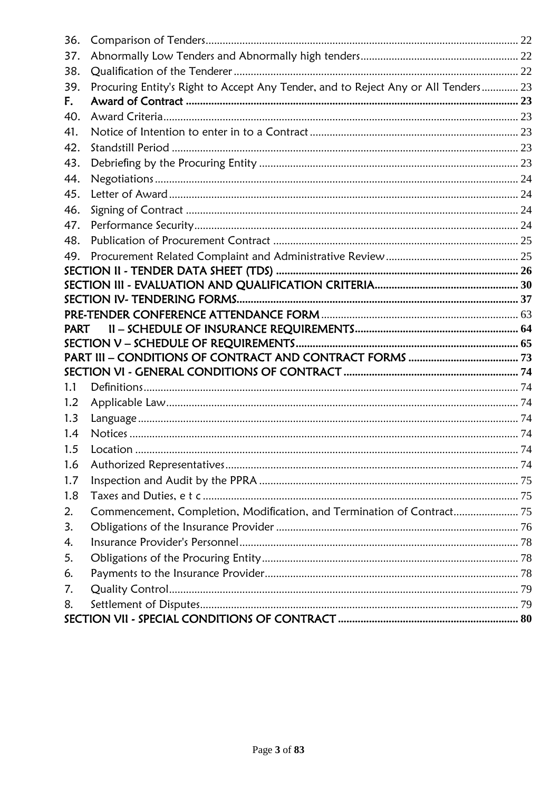| 36. |                                                                                    |      |
|-----|------------------------------------------------------------------------------------|------|
| 37. |                                                                                    |      |
| 38. |                                                                                    |      |
| 39. | Procuring Entity's Right to Accept Any Tender, and to Reject Any or All Tenders 23 |      |
| F.  |                                                                                    |      |
| 40. |                                                                                    |      |
| 41. |                                                                                    |      |
| 42. |                                                                                    |      |
| 43. |                                                                                    |      |
| 44. |                                                                                    |      |
| 45. |                                                                                    |      |
| 46. |                                                                                    |      |
| 47. |                                                                                    |      |
| 48. |                                                                                    |      |
| 49. |                                                                                    |      |
|     |                                                                                    |      |
|     |                                                                                    |      |
|     |                                                                                    |      |
|     |                                                                                    |      |
|     |                                                                                    |      |
|     |                                                                                    |      |
|     |                                                                                    |      |
|     |                                                                                    |      |
| 1.1 |                                                                                    |      |
| 1.2 |                                                                                    |      |
| 1.3 |                                                                                    |      |
| 1.4 |                                                                                    |      |
|     | 1.5 Location                                                                       | . 74 |
| 1.6 |                                                                                    |      |
| 1.7 |                                                                                    |      |
| 1.8 |                                                                                    |      |
| 2.  | Commencement, Completion, Modification, and Termination of Contract                |      |
| 3.  |                                                                                    |      |
| 4.  |                                                                                    |      |
| 5.  |                                                                                    |      |
| 6.  |                                                                                    |      |
| 7.  |                                                                                    |      |
| 8.  |                                                                                    |      |
|     |                                                                                    |      |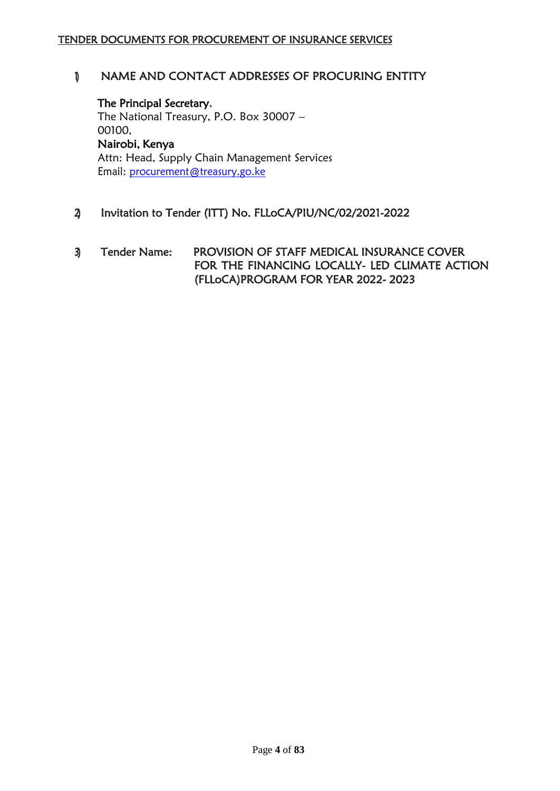# 1) NAME AND CONTACT ADDRESSES OF PROCURING ENTITY

The Principal Secretary, The National Treasury, P.O. Box 30007 – 00100, Nairobi, Kenya Attn: Head, Supply Chain Management Services Email: [procurement@treasury.go.ke](mailto:procurement@treasury.go.ke)

## 2) Invitation to Tender (ITT) No. FLLoCA/PIU/NC/02/2021-2022

3) Tender Name: PROVISION OF STAFF MEDICAL INSURANCE COVER FOR THE FINANCING LOCALLY- LED CLIMATE ACTION (FLLoCA)PROGRAM FOR YEAR 2022- 2023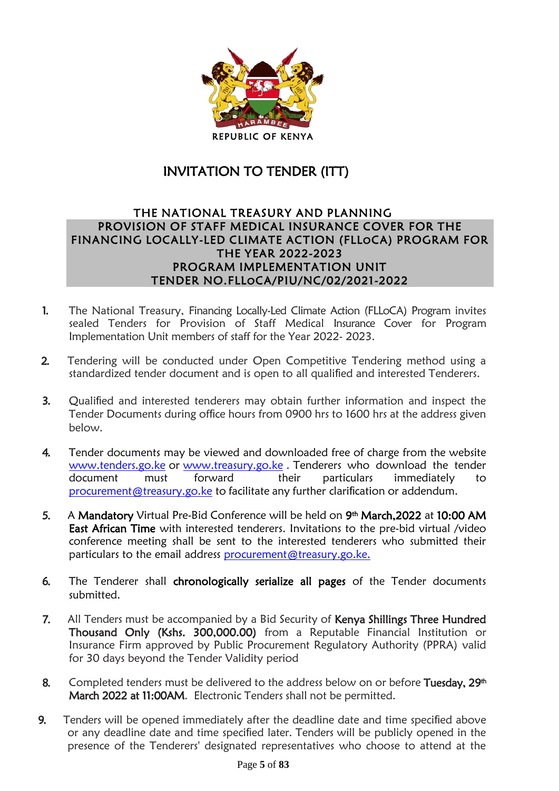

# INVITATION TO TENDER (ITT)

# <span id="page-4-0"></span>THE NATIONAL TREASURY AND PLANNING PROVISION OF STAFF MEDICAL INSURANCE COVER FOR THE FINANCING LOCALLY-LED CLIMATE ACTION (FLLOCA) PROGRAM FOR THE YEAR 2022-2023 PROGRAM IMPLEMENTATION UNIT TENDER NO.FLLOCA/PIU/NC/02/2021-2022

- 1. The National Treasury, Financing Locally-Led Climate Action (FLLoCA) Program invites sealed Tenders for Provision of Staff Medical Insurance Cover for Program Implementation Unit members of staff for the Year 2022- 2023.
- 2. Tendering will be conducted under Open Competitive Tendering method using a standardized tender document and is open to all qualified and interested Tenderers.
- 3. Qualified and interested tenderers may obtain further information and inspect the Tender Documents during office hours from 0900 hrs to 1600 hrs at the address given below.
- 4. Tender documents may be viewed and downloaded free of charge from the website [www.tenders.go.ke](http://www.tenders.go.ke/) or [www.treasury.go.ke](http://www.treasury.go.ke/) . Tenderers who download the tender document must forward their particulars immediately to [procurement@treasury.go.ke](mailto:procurement@treasury.go.ke) to facilitate any further clarification or addendum.
- 5. A Mandatory Virtual Pre-Bid Conference will be held on 9th March,2022 at 10:00 AM East African Time with interested tenderers. Invitations to the pre-bid virtual /video conference meeting shall be sent to the interested tenderers who submitted their particulars to the email address [procurement@treasury.go.ke.](mailto:procurement@treasury.go.ke)
- 6. The Tenderer shall chronologically serialize all pages of the Tender documents submitted.
- 7. All Tenders must be accompanied by a Bid Security of Kenya Shillings Three Hundred Thousand Only (Kshs. 300,000.00) from a Reputable Financial Institution or Insurance Firm approved by Public Procurement Regulatory Authority (PPRA) valid for 30 days beyond the Tender Validity period
- 8. Completed tenders must be delivered to the address below on or before Tuesday, 29<sup>th</sup> March 2022 at 11:00AM. Electronic Tenders shall not be permitted.
- 9. Tenders will be opened immediately after the deadline date and time specified above or any deadline date and time specified later. Tenders will be publicly opened in the presence of the Tenderers' designated representatives who choose to attend at the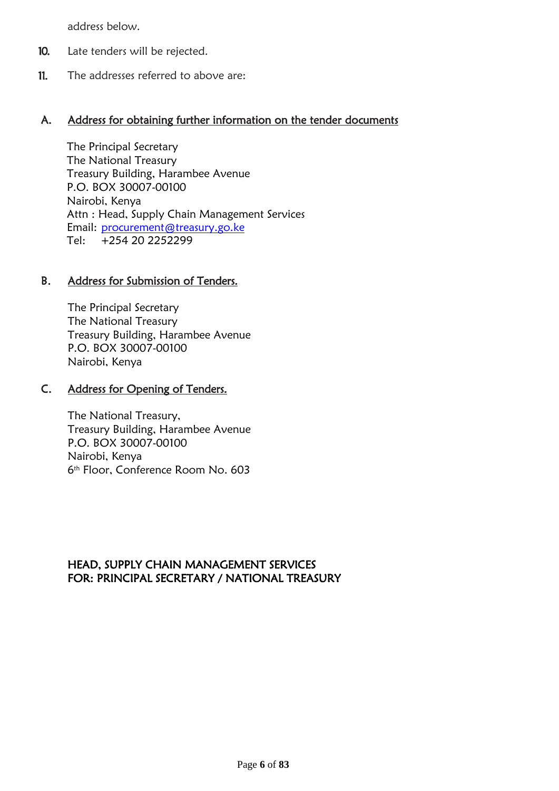address below.

- 10. Late tenders will be rejected.
- 11. The addresses referred to above are:

# A. Address for obtaining further information on the tender documents

The Principal Secretary The National Treasury Treasury Building, Harambee Avenue P.O. BOX 30007-00100 Nairobi, Kenya Attn : Head, Supply Chain Management Services Email: [procurement@treasury.go.ke](mailto:procurement@treasury.go.ke) Tel: +254 20 2252299

## B. Address for Submission of Tenders.

The Principal Secretary The National Treasury Treasury Building, Harambee Avenue P.O. BOX 30007-00100 Nairobi, Kenya

#### C. Address for Opening of Tenders.

The National Treasury, Treasury Building, Harambee Avenue P.O. BOX 30007-00100 Nairobi, Kenya 6 th Floor, Conference Room No. 603

## HEAD, SUPPLY CHAIN MANAGEMENT SERVICES FOR: PRINCIPAL SECRETARY / NATIONAL TREASURY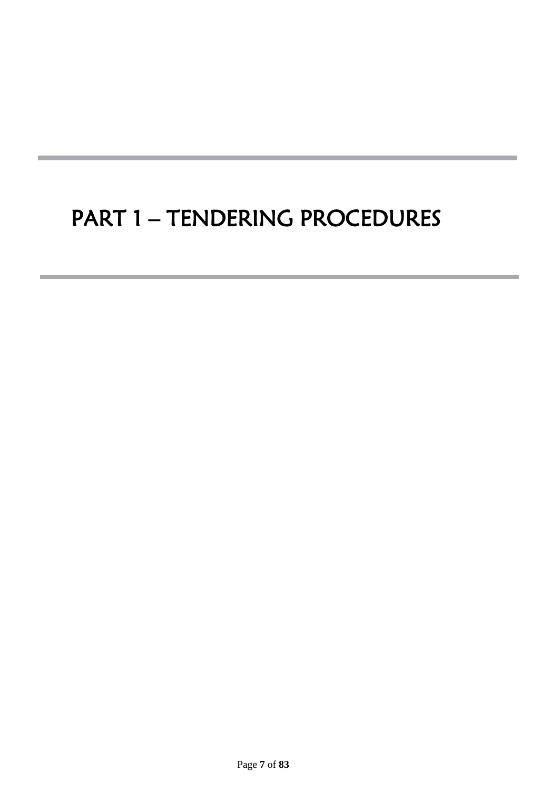# <span id="page-6-0"></span>PART 1 – TENDERING PROCEDURES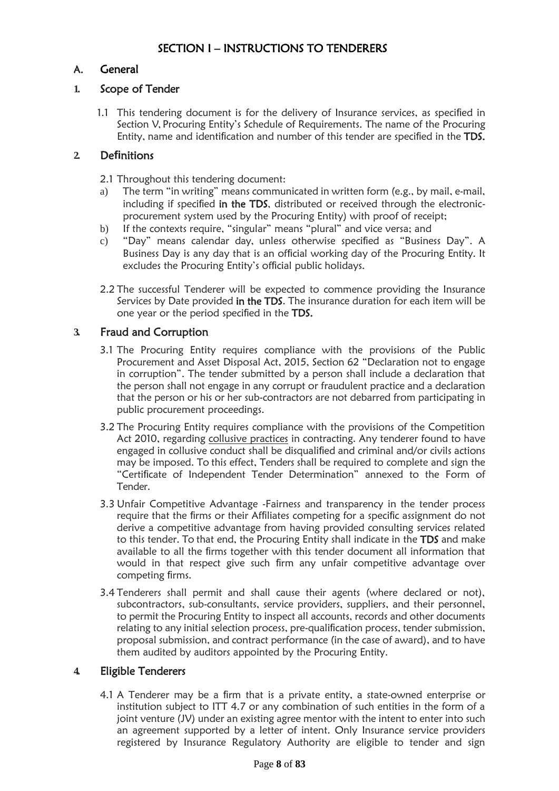# <span id="page-7-1"></span><span id="page-7-0"></span>A. General

#### <span id="page-7-2"></span>**1.** Scope of Tender

1.1 This tendering document is for the delivery of Insurance services, as specified in Section V, Procuring Entity's Schedule of Requirements. The name of the Procuring Entity, name and identification and number of this tender are specified in the TDS.

# <span id="page-7-3"></span>**2.** De**fi**nitions

- 2.1 Throughout this tendering document:
- a) The term "in writing" means communicated in written form (e.g., by mail, e-mail, including if specified in the TDS, distributed or received through the electronicprocurement system used by the Procuring Entity) with proof of receipt;
- b) If the contexts require, "singular" means "plural" and vice versa; and
- c) "Day" means calendar day, unless otherwise specified as "Business Day". A Business Day is any day that is an official working day of the Procuring Entity. It excludes the Procuring Entity's official public holidays.
- 2.2 The successful Tenderer will be expected to commence providing the Insurance Services by Date provided in the TDS. The insurance duration for each item will be one year or the period specified in the TDS.

## <span id="page-7-4"></span>**3.** Fraud and Corruption

- 3.1 The Procuring Entity requires compliance with the provisions of the Public Procurement and Asset Disposal Act, 2015, Section 62 "Declaration not to engage in corruption". The tender submitted by a person shall include a declaration that the person shall not engage in any corrupt or fraudulent practice and a declaration that the person or his or her sub-contractors are not debarred from participating in public procurement proceedings.
- 3.2 The Procuring Entity requires compliance with the provisions of the Competition Act 2010, regarding collusive practices in contracting. Any tenderer found to have engaged in collusive conduct shall be disqualified and criminal and/or civils actions may be imposed. To this effect, Tenders shall be required to complete and sign the "Certificate of Independent Tender Determination" annexed to the Form of Tender.
- 3.3 Unfair Competitive Advantage -Fairness and transparency in the tender process require that the firms or their Affiliates competing for a specific assignment do not derive a competitive advantage from having provided consulting services related to this tender. To that end, the Procuring Entity shall indicate in the TDS and make available to all the firms together with this tender document all information that would in that respect give such firm any unfair competitive advantage over competing firms.
- 3.4 Tenderers shall permit and shall cause their agents (where declared or not), subcontractors, sub-consultants, service providers, suppliers, and their personnel, to permit the Procuring Entity to inspect all accounts, records and other documents relating to any initial selection process, pre-qualification process, tender submission, proposal submission, and contract performance (in the case of award), and to have them audited by auditors appointed by the Procuring Entity.

#### <span id="page-7-5"></span>**4.** Eligible Tenderers

4.1 A Tenderer may be a firm that is a private entity, a state-owned enterprise or institution subject to ITT 4.7 or any combination of such entities in the form of a joint venture (JV) under an existing agree mentor with the intent to enter into such an agreement supported by a letter of intent. Only Insurance service providers registered by Insurance Regulatory Authority are eligible to tender and sign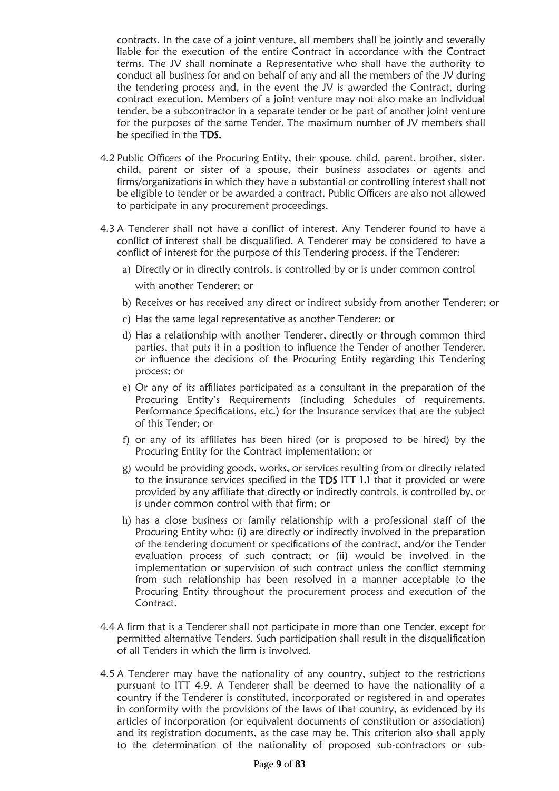contracts. In the case of a joint venture, all members shall be jointly and severally liable for the execution of the entire Contract in accordance with the Contract terms. The JV shall nominate a Representative who shall have the authority to conduct all business for and on behalf of any and all the members of the JV during the tendering process and, in the event the JV is awarded the Contract, during contract execution. Members of a joint venture may not also make an individual tender, be a subcontractor in a separate tender or be part of another joint venture for the purposes of the same Tender. The maximum number of JV members shall be specified in the TDS.

- 4.2 Public Officers of the Procuring Entity, their spouse, child, parent, brother, sister, child, parent or sister of a spouse, their business associates or agents and firms/organizations in which they have a substantial or controlling interest shall not be eligible to tender or be awarded a contract. Public Officers are also not allowed to participate in any procurement proceedings.
- 4.3 A Tenderer shall not have a conflict of interest. Any Tenderer found to have a conflict of interest shall be disqualified. A Tenderer may be considered to have a conflict of interest for the purpose of this Tendering process, if the Tenderer:
	- a) Directly or in directly controls, is controlled by or is under common control with another Tenderer; or
	- b) Receives or has received any direct or indirect subsidy from another Tenderer; or
	- c) Has the same legal representative as another Tenderer; or
	- d) Has a relationship with another Tenderer, directly or through common third parties, that puts it in a position to influence the Tender of another Tenderer, or influence the decisions of the Procuring Entity regarding this Tendering process; or
	- e) Or any of its affiliates participated as a consultant in the preparation of the Procuring Entity's Requirements (including Schedules of requirements, Performance Specifications, etc.) for the Insurance services that are the subject of this Tender; or
	- f) or any of its affiliates has been hired (or is proposed to be hired) by the Procuring Entity for the Contract implementation; or
	- g) would be providing goods, works, or services resulting from or directly related to the insurance services specified in the TDS ITT 1.1 that it provided or were provided by any affiliate that directly or indirectly controls, is controlled by, or is under common control with that firm; or
	- h) has a close business or family relationship with a professional staff of the Procuring Entity who: (i) are directly or indirectly involved in the preparation of the tendering document or specifications of the contract, and/or the Tender evaluation process of such contract; or (ii) would be involved in the implementation or supervision of such contract unless the conflict stemming from such relationship has been resolved in a manner acceptable to the Procuring Entity throughout the procurement process and execution of the Contract.
- 4.4 A firm that is a Tenderer shall not participate in more than one Tender, except for permitted alternative Tenders. Such participation shall result in the disqualification of all Tenders in which the firm is involved.
- 4.5 A Tenderer may have the nationality of any country, subject to the restrictions pursuant to ITT 4.9. A Tenderer shall be deemed to have the nationality of a country if the Tenderer is constituted, incorporated or registered in and operates in conformity with the provisions of the laws of that country, as evidenced by its articles of incorporation (or equivalent documents of constitution or association) and its registration documents, as the case may be. This criterion also shall apply to the determination of the nationality of proposed sub-contractors or sub-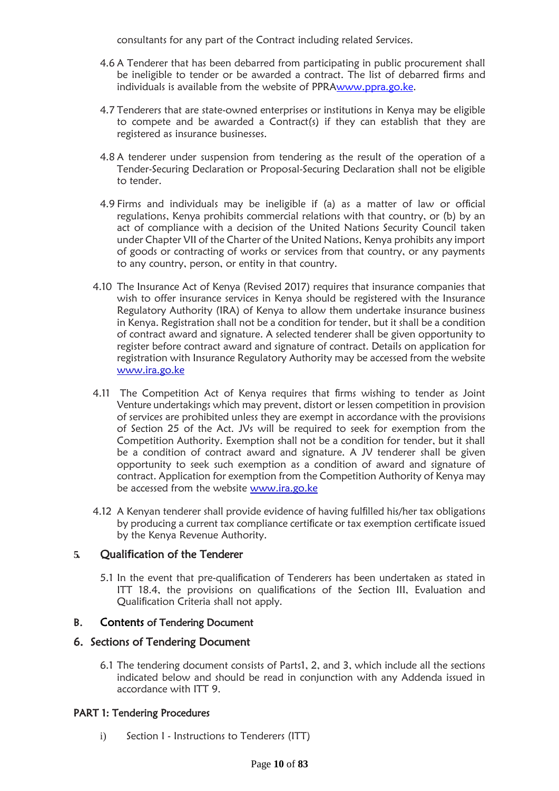consultants for any part of the Contract including related Services.

- 4.6 A Tenderer that has been debarred from participating in public procurement shall be ineligible to tender or be awarded a contract. The list of debarred firms and individuals is available from the website of PPR[Awww.ppra.go.ke.](http://www.ppra.go.ke/)
- 4.7 Tenderers that are state-owned enterprises or institutions in Kenya may be eligible to compete and be awarded a Contract(s) if they can establish that they are registered as insurance businesses.
- 4.8 A tenderer under suspension from tendering as the result of the operation of a Tender-Securing Declaration or Proposal-Securing Declaration shall not be eligible to tender.
- 4.9 Firms and individuals may be ineligible if (a) as a matter of law or official regulations, Kenya prohibits commercial relations with that country, or (b) by an act of compliance with a decision of the United Nations Security Council taken under Chapter VII of the Charter of the United Nations, Kenya prohibits any import of goods or contracting of works or services from that country, or any payments to any country, person, or entity in that country.
- 4.10 The Insurance Act of Kenya (Revised 2017) requires that insurance companies that wish to offer insurance services in Kenya should be registered with the Insurance Regulatory Authority (IRA) of Kenya to allow them undertake insurance business in Kenya. Registration shall not be a condition for tender, but it shall be a condition of contract award and signature. A selected tenderer shall be given opportunity to register before contract award and signature of contract. Details on application for registration with Insurance Regulatory Authority may be accessed from the website [www.ira.go.ke](http://www.ira.go.ke/)
- 4.11 The Competition Act of Kenya requires that firms wishing to tender as Joint Venture undertakings which may prevent, distort or lessen competition in provision of services are prohibited unless they are exempt in accordance with the provisions of Section 25 of the Act. JVs will be required to seek for exemption from the Competition Authority. Exemption shall not be a condition for tender, but it shall be a condition of contract award and signature. A JV tenderer shall be given opportunity to seek such exemption as a condition of award and signature of contract. Application for exemption from the Competition Authority of Kenya may be accessed from the website [www.ira.go.ke](http://www.ira.go.ke/)
- 4.12 A Kenyan tenderer shall provide evidence of having fulfilled his/her tax obligations by producing a current tax compliance certificate or tax exemption certificate issued by the Kenya Revenue Authority.

#### <span id="page-9-0"></span>**5.** Quali**fi**cation of the Tenderer

5.1 In the event that pre-qualification of Tenderers has been undertaken as stated in ITT 18.4, the provisions on qualifications of the Section III, Evaluation and Qualification Criteria shall not apply.

#### <span id="page-9-1"></span>B. Contents of Tendering Document

#### <span id="page-9-2"></span>6. Sections of Tendering Document

6.1 The tendering document consists of Parts1, 2, and 3, which include all the sections indicated below and should be read in conjunction with any Addenda issued in accordance with ITT 9.

#### PART 1: Tendering Procedures

i) Section I - Instructions to Tenderers (ITT)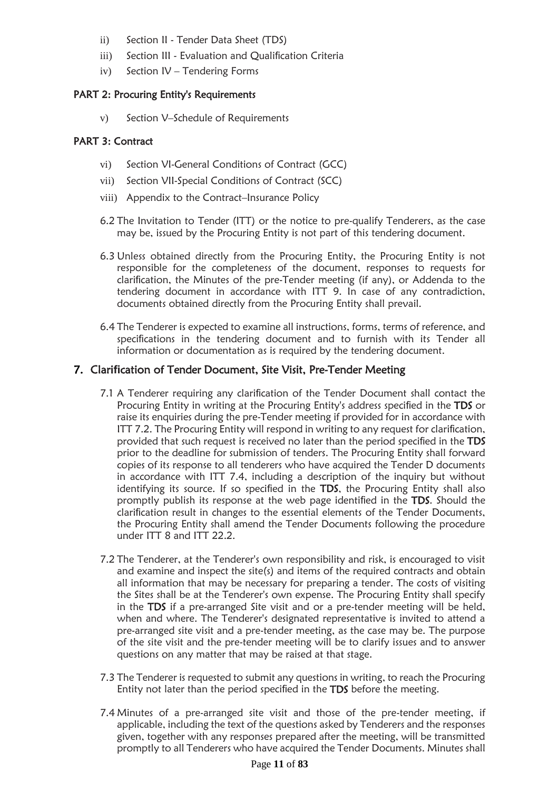- ii) Section II Tender Data Sheet (TDS)
- iii) Section III Evaluation and Qualification Criteria
- iv) Section IV Tendering Forms

#### PART 2: Procuring Entity's Requirements

v) Section V–Schedule of Requirements

#### PART 3: Contract

- vi) Section VI-General Conditions of Contract (GCC)
- vii) Section VII-Special Conditions of Contract (SCC)
- viii) Appendix to the Contract–Insurance Policy
- 6.2 The Invitation to Tender (ITT) or the notice to pre-qualify Tenderers, as the case may be, issued by the Procuring Entity is not part of this tendering document.
- 6.3 Unless obtained directly from the Procuring Entity, the Procuring Entity is not responsible for the completeness of the document, responses to requests for clarification, the Minutes of the pre-Tender meeting (if any), or Addenda to the tendering document in accordance with ITT 9. In case of any contradiction, documents obtained directly from the Procuring Entity shall prevail.
- 6.4 The Tenderer is expected to examine all instructions, forms, terms of reference, and specifications in the tendering document and to furnish with its Tender all information or documentation as is required by the tendering document.

#### <span id="page-10-0"></span>7. Clari**fi**cation of Tender Document, Site Visit, Pre-Tender Meeting

- 7.1 A Tenderer requiring any clarification of the Tender Document shall contact the Procuring Entity in writing at the Procuring Entity's address specified in the TDS or raise its enquiries during the pre-Tender meeting if provided for in accordance with ITT 7.2. The Procuring Entity will respond in writing to any request for clarification, provided that such request is received no later than the period specified in the TDS prior to the deadline for submission of tenders. The Procuring Entity shall forward copies of its response to all tenderers who have acquired the Tender D documents in accordance with ITT 7.4, including a description of the inquiry but without identifying its source. If so specified in the TDS, the Procuring Entity shall also promptly publish its response at the web page identified in the TDS. Should the clarification result in changes to the essential elements of the Tender Documents, the Procuring Entity shall amend the Tender Documents following the procedure under ITT 8 and ITT 22.2.
- 7.2 The Tenderer, at the Tenderer's own responsibility and risk, is encouraged to visit and examine and inspect the site(s) and items of the required contracts and obtain all information that may be necessary for preparing a tender. The costs of visiting the Sites shall be at the Tenderer's own expense. The Procuring Entity shall specify in the TDS if a pre-arranged Site visit and or a pre-tender meeting will be held, when and where. The Tenderer's designated representative is invited to attend a pre-arranged site visit and a pre-tender meeting, as the case may be. The purpose of the site visit and the pre-tender meeting will be to clarify issues and to answer questions on any matter that may be raised at that stage.
- 7.3 The Tenderer is requested to submit any questions in writing, to reach the Procuring Entity not later than the period specified in the TDS before the meeting.
- 7.4 Minutes of a pre-arranged site visit and those of the pre-tender meeting, if applicable, including the text of the questions asked by Tenderers and the responses given, together with any responses prepared after the meeting, will be transmitted promptly to all Tenderers who have acquired the Tender Documents. Minutes shall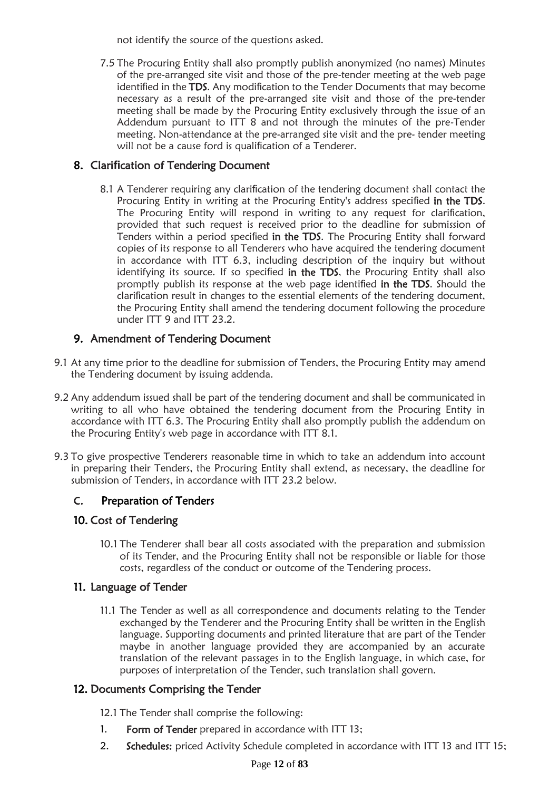not identify the source of the questions asked.

7.5 The Procuring Entity shall also promptly publish anonymized (no names) Minutes of the pre-arranged site visit and those of the pre-tender meeting at the web page identified in the TDS. Any modification to the Tender Documents that may become necessary as a result of the pre-arranged site visit and those of the pre-tender meeting shall be made by the Procuring Entity exclusively through the issue of an Addendum pursuant to ITT 8 and not through the minutes of the pre-Tender meeting. Non-attendance at the pre-arranged site visit and the pre- tender meeting will not be a cause ford is qualification of a Tenderer.

# <span id="page-11-0"></span>8. Clari**fi**cation of Tendering Document

8.1 A Tenderer requiring any clarification of the tendering document shall contact the Procuring Entity in writing at the Procuring Entity's address specified in the TDS. The Procuring Entity will respond in writing to any request for clarification, provided that such request is received prior to the deadline for submission of Tenders within a period specified in the TDS. The Procuring Entity shall forward copies of its response to all Tenderers who have acquired the tendering document in accordance with ITT 6.3, including description of the inquiry but without identifying its source. If so specified in the TDS, the Procuring Entity shall also promptly publish its response at the web page identified in the TDS. Should the clarification result in changes to the essential elements of the tendering document, the Procuring Entity shall amend the tendering document following the procedure under ITT 9 and ITT 23.2.

# 9. Amendment of Tendering Document

- <span id="page-11-1"></span>9.1 At any time prior to the deadline for submission of Tenders, the Procuring Entity may amend the Tendering document by issuing addenda.
- 9.2 Any addendum issued shall be part of the tendering document and shall be communicated in writing to all who have obtained the tendering document from the Procuring Entity in accordance with ITT 6.3. The Procuring Entity shall also promptly publish the addendum on the Procuring Entity's web page in accordance with ITT 8.1.
- 9.3 To give prospective Tenderers reasonable time in which to take an addendum into account in preparing their Tenders, the Procuring Entity shall extend, as necessary, the deadline for submission of Tenders, in accordance with ITT 23.2 below.

# <span id="page-11-2"></span>C. Preparation of Tenders

# <span id="page-11-3"></span>10. Cost of Tendering

10.1 The Tenderer shall bear all costs associated with the preparation and submission of its Tender, and the Procuring Entity shall not be responsible or liable for those costs, regardless of the conduct or outcome of the Tendering process.

# <span id="page-11-4"></span>11. Language of Tender

11.1 The Tender as well as all correspondence and documents relating to the Tender exchanged by the Tenderer and the Procuring Entity shall be written in the English language. Supporting documents and printed literature that are part of the Tender maybe in another language provided they are accompanied by an accurate translation of the relevant passages in to the English language, in which case, for purposes of interpretation of the Tender, such translation shall govern.

# <span id="page-11-5"></span>12. Documents Comprising the Tender

12.1 The Tender shall comprise the following:

- 1. Form of Tender prepared in accordance with ITT 13;
- 2. Schedules: priced Activity Schedule completed in accordance with ITT 13 and ITT 15;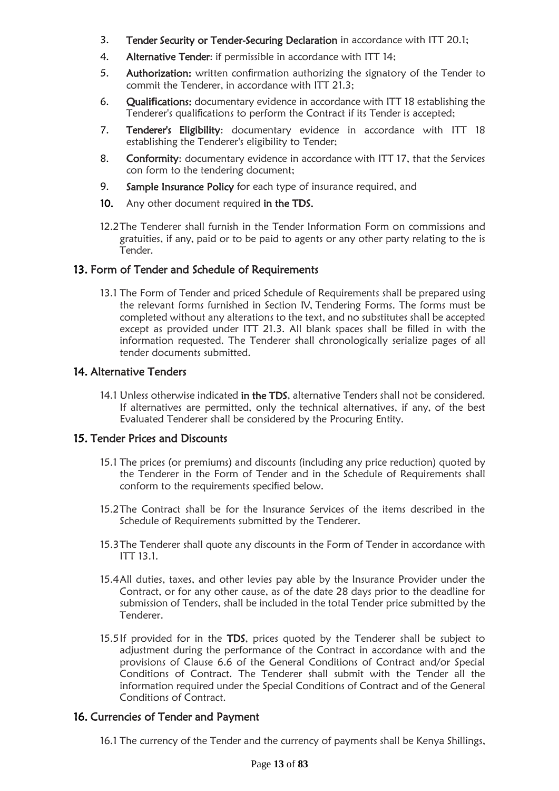- 3. Tender Security or Tender-Securing Declaration in accordance with ITT 20.1;
- 4. Alternative Tender: if permissible in accordance with ITT 14;
- 5. Authorization: written confirmation authorizing the signatory of the Tender to commit the Tenderer, in accordance with ITT 21.3;
- 6. Quali**fi**cations: documentary evidence in accordance with ITT 18 establishing the Tenderer's qualifications to perform the Contract if its Tender is accepted;
- 7. Tenderer's Eligibility: documentary evidence in accordance with ITT 18 establishing the Tenderer's eligibility to Tender;
- 8. Conformity: documentary evidence in accordance with ITT 17, that the Services con form to the tendering document;
- 9. Sample Insurance Policy for each type of insurance required, and
- 10. Any other document required in the TDS.
- 12.2The Tenderer shall furnish in the Tender Information Form on commissions and gratuities, if any, paid or to be paid to agents or any other party relating to the is Tender.

#### <span id="page-12-0"></span>13. Form of Tender and Schedule of Requirements

13.1 The Form of Tender and priced Schedule of Requirements shall be prepared using the relevant forms furnished in Section IV, Tendering Forms. The forms must be completed without any alterations to the text, and no substitutes shall be accepted except as provided under ITT 21.3. All blank spaces shall be filled in with the information requested. The Tenderer shall chronologically serialize pages of all tender documents submitted.

#### <span id="page-12-1"></span>14. Alternative Tenders

14.1 Unless otherwise indicated in the TDS, alternative Tenders shall not be considered. If alternatives are permitted, only the technical alternatives, if any, of the best Evaluated Tenderer shall be considered by the Procuring Entity.

#### <span id="page-12-2"></span>15. Tender Prices and Discounts

- 15.1 The prices (or premiums) and discounts (including any price reduction) quoted by the Tenderer in the Form of Tender and in the Schedule of Requirements shall conform to the requirements specified below.
- 15.2The Contract shall be for the Insurance Services of the items described in the Schedule of Requirements submitted by the Tenderer.
- 15.3The Tenderer shall quote any discounts in the Form of Tender in accordance with ITT 13.1.
- 15.4All duties, taxes, and other levies pay able by the Insurance Provider under the Contract, or for any other cause, as of the date 28 days prior to the deadline for submission of Tenders, shall be included in the total Tender price submitted by the Tenderer.
- 15.5If provided for in the TDS, prices quoted by the Tenderer shall be subject to adjustment during the performance of the Contract in accordance with and the provisions of Clause 6.6 of the General Conditions of Contract and/or Special Conditions of Contract. The Tenderer shall submit with the Tender all the information required under the Special Conditions of Contract and of the General Conditions of Contract.

## <span id="page-12-3"></span>16. Currencies of Tender and Payment

16.1 The currency of the Tender and the currency of payments shall be Kenya Shillings,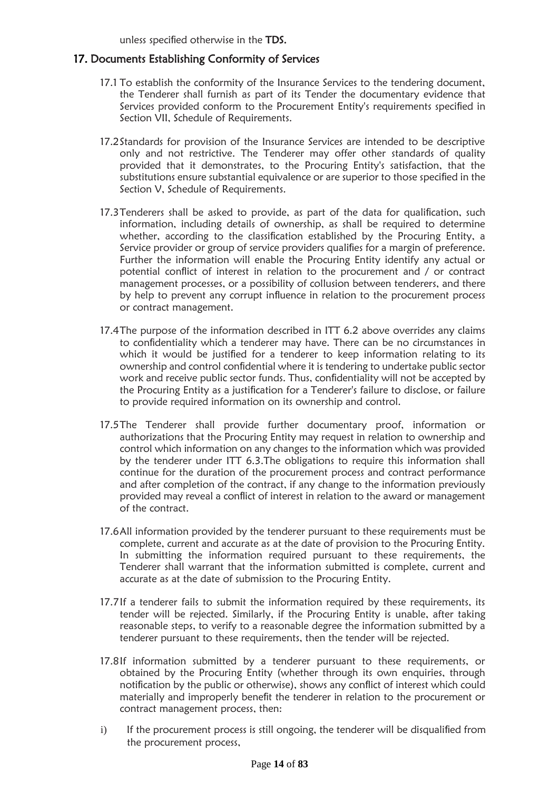#### <span id="page-13-0"></span>17. Documents Establishing Conformity of Services

- 17.1 To establish the conformity of the Insurance Services to the tendering document, the Tenderer shall furnish as part of its Tender the documentary evidence that Services provided conform to the Procurement Entity's requirements specified in Section VII, Schedule of Requirements.
- 17.2Standards for provision of the Insurance Services are intended to be descriptive only and not restrictive. The Tenderer may offer other standards of quality provided that it demonstrates, to the Procuring Entity's satisfaction, that the substitutions ensure substantial equivalence or are superior to those specified in the Section V, Schedule of Requirements.
- 17.3Tenderers shall be asked to provide, as part of the data for qualification, such information, including details of ownership, as shall be required to determine whether, according to the classification established by the Procuring Entity, a Service provider or group of service providers qualifies for a margin of preference. Further the information will enable the Procuring Entity identify any actual or potential conflict of interest in relation to the procurement and / or contract management processes, or a possibility of collusion between tenderers, and there by help to prevent any corrupt influence in relation to the procurement process or contract management.
- 17.4The purpose of the information described in ITT 6.2 above overrides any claims to confidentiality which a tenderer may have. There can be no circumstances in which it would be justified for a tenderer to keep information relating to its ownership and control confidential where it is tendering to undertake public sector work and receive public sector funds. Thus, confidentiality will not be accepted by the Procuring Entity as a justification for a Tenderer's failure to disclose, or failure to provide required information on its ownership and control.
- 17.5The Tenderer shall provide further documentary proof, information or authorizations that the Procuring Entity may request in relation to ownership and control which information on any changes to the information which was provided by the tenderer under ITT 6.3.The obligations to require this information shall continue for the duration of the procurement process and contract performance and after completion of the contract, if any change to the information previously provided may reveal a conflict of interest in relation to the award or management of the contract.
- 17.6All information provided by the tenderer pursuant to these requirements must be complete, current and accurate as at the date of provision to the Procuring Entity. In submitting the information required pursuant to these requirements, the Tenderer shall warrant that the information submitted is complete, current and accurate as at the date of submission to the Procuring Entity.
- 17.7If a tenderer fails to submit the information required by these requirements, its tender will be rejected. Similarly, if the Procuring Entity is unable, after taking reasonable steps, to verify to a reasonable degree the information submitted by a tenderer pursuant to these requirements, then the tender will be rejected.
- 17.8If information submitted by a tenderer pursuant to these requirements, or obtained by the Procuring Entity (whether through its own enquiries, through notification by the public or otherwise), shows any conflict of interest which could materially and improperly benefit the tenderer in relation to the procurement or contract management process, then:
- i) If the procurement process is still ongoing, the tenderer will be disqualified from the procurement process,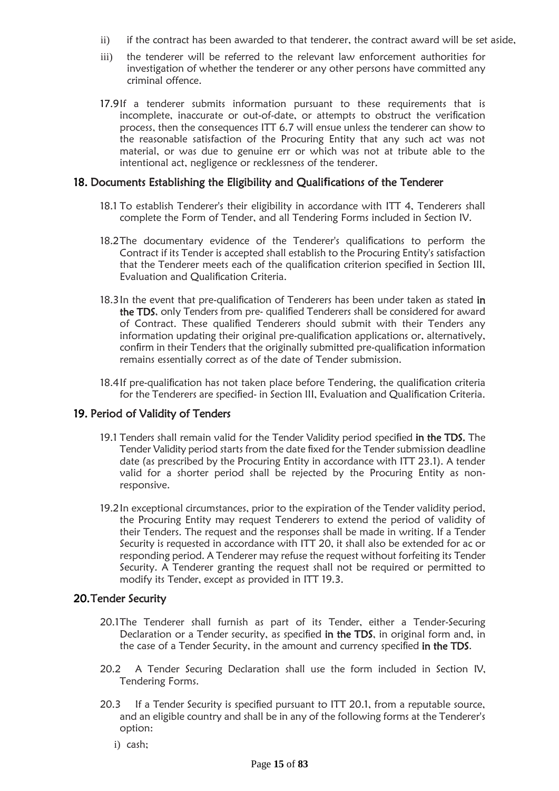- ii) if the contract has been awarded to that tenderer, the contract award will be set aside,
- iii) the tenderer will be referred to the relevant law enforcement authorities for investigation of whether the tenderer or any other persons have committed any criminal offence.
- 17.9If a tenderer submits information pursuant to these requirements that is incomplete, inaccurate or out-of-date, or attempts to obstruct the verification process, then the consequences ITT 6.7 will ensue unless the tenderer can show to the reasonable satisfaction of the Procuring Entity that any such act was not material, or was due to genuine err or which was not at tribute able to the intentional act, negligence or recklessness of the tenderer.

#### <span id="page-14-0"></span>18. Documents Establishing the Eligibility and Quali**fi**cations of the Tenderer

- 18.1 To establish Tenderer's their eligibility in accordance with ITT 4, Tenderers shall complete the Form of Tender, and all Tendering Forms included in Section IV.
- 18.2The documentary evidence of the Tenderer's qualifications to perform the Contract if its Tender is accepted shall establish to the Procuring Entity's satisfaction that the Tenderer meets each of the qualification criterion specified in Section III, Evaluation and Qualification Criteria.
- 18.3 In the event that pre-qualification of Tenderers has been under taken as stated in the TDS, only Tenders from pre- qualified Tenderers shall be considered for award of Contract. These qualified Tenderers should submit with their Tenders any information updating their original pre-qualification applications or, alternatively, confirm in their Tenders that the originally submitted pre-qualification information remains essentially correct as of the date of Tender submission.
- 18.4If pre-qualification has not taken place before Tendering, the qualification criteria for the Tenderers are specified- in Section III, Evaluation and Qualification Criteria.

#### <span id="page-14-1"></span>19. Period of Validity of Tenders

- 19.1 Tenders shall remain valid for the Tender Validity period specified in the TDS. The Tender Validity period starts from the date fixed for the Tender submission deadline date (as prescribed by the Procuring Entity in accordance with ITT 23.1). A tender valid for a shorter period shall be rejected by the Procuring Entity as nonresponsive.
- 19.2In exceptional circumstances, prior to the expiration of the Tender validity period, the Procuring Entity may request Tenderers to extend the period of validity of their Tenders. The request and the responses shall be made in writing. If a Tender Security is requested in accordance with ITT 20, it shall also be extended for ac or responding period. A Tenderer may refuse the request without forfeiting its Tender Security. A Tenderer granting the request shall not be required or permitted to modify its Tender, except as provided in ITT 19.3.

#### <span id="page-14-2"></span>20.Tender Security

- 20.1The Tenderer shall furnish as part of its Tender, either a Tender-Securing Declaration or a Tender security, as specified in the TDS, in original form and, in the case of a Tender Security, in the amount and currency specified in the TDS.
- 20.2 A Tender Securing Declaration shall use the form included in Section IV, Tendering Forms.
- 20.3 If a Tender Security is specified pursuant to ITT 20.1, from a reputable source, and an eligible country and shall be in any of the following forms at the Tenderer's option:
	- i) cash;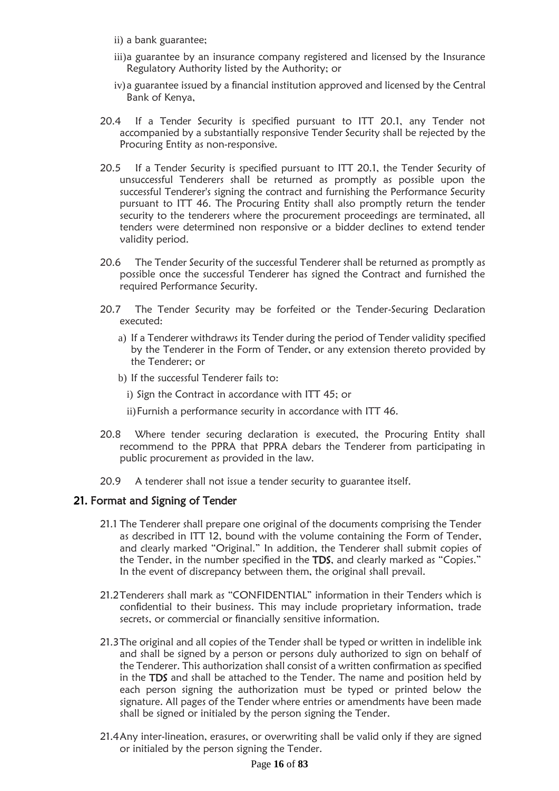- ii) a bank guarantee;
- iii)a guarantee by an insurance company registered and licensed by the Insurance Regulatory Authority listed by the Authority; or
- iv)a guarantee issued by a financial institution approved and licensed by the Central Bank of Kenya,
- 20.4 If a Tender Security is specified pursuant to ITT 20.1, any Tender not accompanied by a substantially responsive Tender Security shall be rejected by the Procuring Entity as non-responsive.
- 20.5 If a Tender Security is specified pursuant to ITT 20.1, the Tender Security of unsuccessful Tenderers shall be returned as promptly as possible upon the successful Tenderer's signing the contract and furnishing the Performance Security pursuant to ITT 46. The Procuring Entity shall also promptly return the tender security to the tenderers where the procurement proceedings are terminated, all tenders were determined non responsive or a bidder declines to extend tender validity period.
- 20.6 The Tender Security of the successful Tenderer shall be returned as promptly as possible once the successful Tenderer has signed the Contract and furnished the required Performance Security.
- 20.7 The Tender Security may be forfeited or the Tender-Securing Declaration executed:
	- a) If a Tenderer withdraws its Tender during the period of Tender validity specified by the Tenderer in the Form of Tender, or any extension thereto provided by the Tenderer; or
	- b) If the successful Tenderer fails to:
		- i) Sign the Contract in accordance with ITT 45; or
		- ii)Furnish a performance security in accordance with ITT 46.
- 20.8 Where tender securing declaration is executed, the Procuring Entity shall recommend to the PPRA that PPRA debars the Tenderer from participating in public procurement as provided in the law.
- 20.9 A tenderer shall not issue a tender security to guarantee itself.

#### <span id="page-15-0"></span>21. Format and Signing of Tender

- 21.1 The Tenderer shall prepare one original of the documents comprising the Tender as described in ITT 12, bound with the volume containing the Form of Tender, and clearly marked "Original." In addition, the Tenderer shall submit copies of the Tender, in the number specified in the TDS, and clearly marked as "Copies." In the event of discrepancy between them, the original shall prevail.
- 21.2Tenderers shall mark as "CONFIDENTIAL" information in their Tenders which is confidential to their business. This may include proprietary information, trade secrets, or commercial or financially sensitive information.
- 21.3The original and all copies of the Tender shall be typed or written in indelible ink and shall be signed by a person or persons duly authorized to sign on behalf of the Tenderer. This authorization shall consist of a written confirmation as specified in the TDS and shall be attached to the Tender. The name and position held by each person signing the authorization must be typed or printed below the signature. All pages of the Tender where entries or amendments have been made shall be signed or initialed by the person signing the Tender.
- 21.4Any inter-lineation, erasures, or overwriting shall be valid only if they are signed or initialed by the person signing the Tender.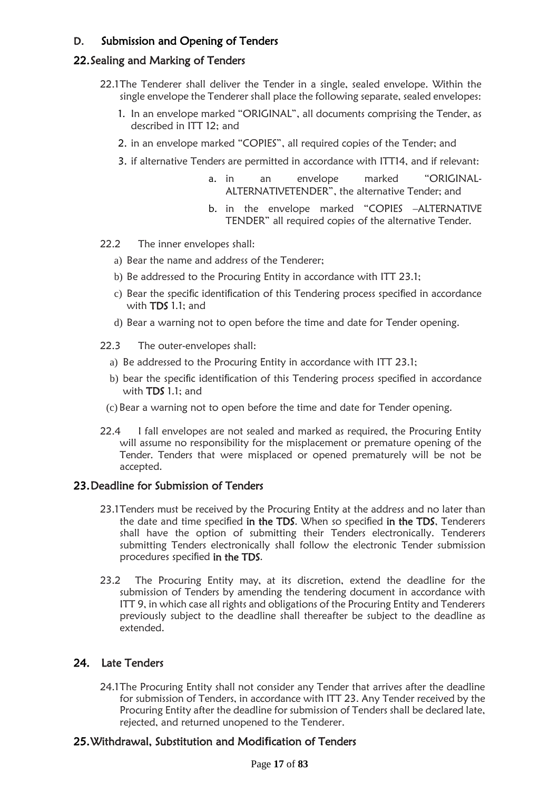# <span id="page-16-0"></span>D. Submission and Opening of Tenders

#### <span id="page-16-1"></span>22.Sealing and Marking of Tenders

- 22.1The Tenderer shall deliver the Tender in a single, sealed envelope. Within the single envelope the Tenderer shall place the following separate, sealed envelopes:
	- 1. In an envelope marked "ORIGINAL", all documents comprising the Tender, as described in ITT 12; and
	- 2. in an envelope marked "COPIES", all required copies of the Tender; and
	- 3. if alternative Tenders are permitted in accordance with ITT14, and if relevant:
		- a. in an envelope marked "ORIGINAL-ALTERNATIVETENDER", the alternative Tender; and
		- b. in the envelope marked "COPIES –ALTERNATIVE TENDER" all required copies of the alternative Tender.
- 22.2 The inner envelopes shall:
	- a) Bear the name and address of the Tenderer;
	- b) Be addressed to the Procuring Entity in accordance with ITT 23.1;
	- c) Bear the specific identification of this Tendering process specified in accordance with TDS 1.1; and
	- d) Bear a warning not to open before the time and date for Tender opening.
- 22.3 The outer-envelopes shall:
	- a) Be addressed to the Procuring Entity in accordance with ITT 23.1;
	- b) bear the specific identification of this Tendering process specified in accordance with TDS 1.1; and
	- (c) Bear a warning not to open before the time and date for Tender opening.
- 22.4 I fall envelopes are not sealed and marked as required, the Procuring Entity will assume no responsibility for the misplacement or premature opening of the Tender. Tenders that were misplaced or opened prematurely will be not be accepted.

#### <span id="page-16-2"></span>23.Deadline for Submission of Tenders

- 23.1Tenders must be received by the Procuring Entity at the address and no later than the date and time specified in the TDS. When so specified in the TDS, Tenderers shall have the option of submitting their Tenders electronically. Tenderers submitting Tenders electronically shall follow the electronic Tender submission procedures specified in the TDS.
- 23.2 The Procuring Entity may, at its discretion, extend the deadline for the submission of Tenders by amending the tendering document in accordance with ITT 9, in which case all rights and obligations of the Procuring Entity and Tenderers previously subject to the deadline shall thereafter be subject to the deadline as extended.

# <span id="page-16-3"></span>24. Late Tenders

24.1The Procuring Entity shall not consider any Tender that arrives after the deadline for submission of Tenders, in accordance with ITT 23. Any Tender received by the Procuring Entity after the deadline for submission of Tenders shall be declared late, rejected, and returned unopened to the Tenderer.

# <span id="page-16-4"></span>25.Withdrawal, Substitution and Modi**fi**cation of Tenders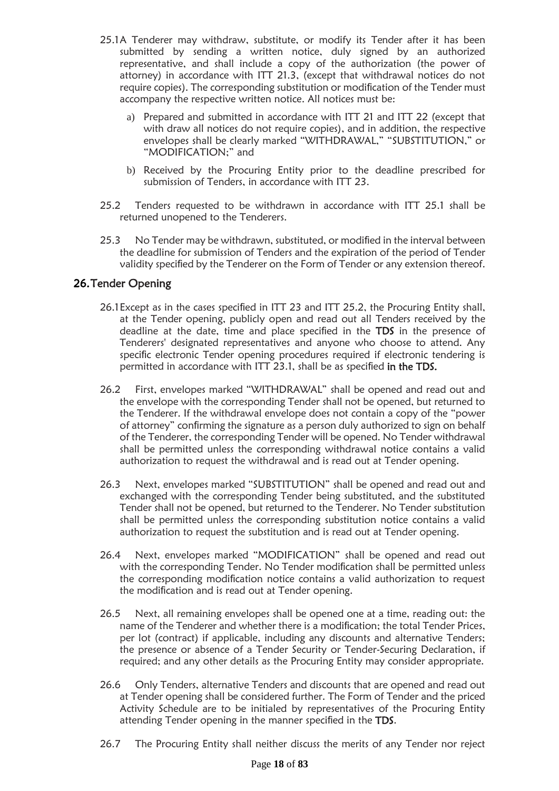- 25.1A Tenderer may withdraw, substitute, or modify its Tender after it has been submitted by sending a written notice, duly signed by an authorized representative, and shall include a copy of the authorization (the power of attorney) in accordance with ITT 21.3, (except that withdrawal notices do not require copies). The corresponding substitution or modification of the Tender must accompany the respective written notice. All notices must be:
	- a) Prepared and submitted in accordance with ITT 21 and ITT 22 (except that with draw all notices do not require copies), and in addition, the respective envelopes shall be clearly marked "WITHDRAWAL," "SUBSTITUTION," or "MODIFICATION;" and
	- b) Received by the Procuring Entity prior to the deadline prescribed for submission of Tenders, in accordance with ITT 23.
- 25.2 Tenders requested to be withdrawn in accordance with ITT 25.1 shall be returned unopened to the Tenderers.
- 25.3 No Tender may be withdrawn, substituted, or modified in the interval between the deadline for submission of Tenders and the expiration of the period of Tender validity specified by the Tenderer on the Form of Tender or any extension thereof.

# <span id="page-17-0"></span>26.Tender Opening

- 26.1Except as in the cases specified in ITT 23 and ITT 25.2, the Procuring Entity shall, at the Tender opening, publicly open and read out all Tenders received by the deadline at the date, time and place specified in the TDS in the presence of Tenderers' designated representatives and anyone who choose to attend. Any specific electronic Tender opening procedures required if electronic tendering is permitted in accordance with ITT 23.1, shall be as specified in the TDS.
- 26.2 First, envelopes marked "WITHDRAWAL" shall be opened and read out and the envelope with the corresponding Tender shall not be opened, but returned to the Tenderer. If the withdrawal envelope does not contain a copy of the "power of attorney" confirming the signature as a person duly authorized to sign on behalf of the Tenderer, the corresponding Tender will be opened. No Tender withdrawal shall be permitted unless the corresponding withdrawal notice contains a valid authorization to request the withdrawal and is read out at Tender opening.
- 26.3 Next, envelopes marked "SUBSTITUTION" shall be opened and read out and exchanged with the corresponding Tender being substituted, and the substituted Tender shall not be opened, but returned to the Tenderer. No Tender substitution shall be permitted unless the corresponding substitution notice contains a valid authorization to request the substitution and is read out at Tender opening.
- 26.4 Next, envelopes marked "MODIFICATION" shall be opened and read out with the corresponding Tender. No Tender modification shall be permitted unless the corresponding modification notice contains a valid authorization to request the modification and is read out at Tender opening.
- 26.5 Next, all remaining envelopes shall be opened one at a time, reading out: the name of the Tenderer and whether there is a modification; the total Tender Prices, per lot (contract) if applicable, including any discounts and alternative Tenders; the presence or absence of a Tender Security or Tender-Securing Declaration, if required; and any other details as the Procuring Entity may consider appropriate.
- 26.6 Only Tenders, alternative Tenders and discounts that are opened and read out at Tender opening shall be considered further. The Form of Tender and the priced Activity Schedule are to be initialed by representatives of the Procuring Entity attending Tender opening in the manner specified in the TDS.
- 26.7 The Procuring Entity shall neither discuss the merits of any Tender nor reject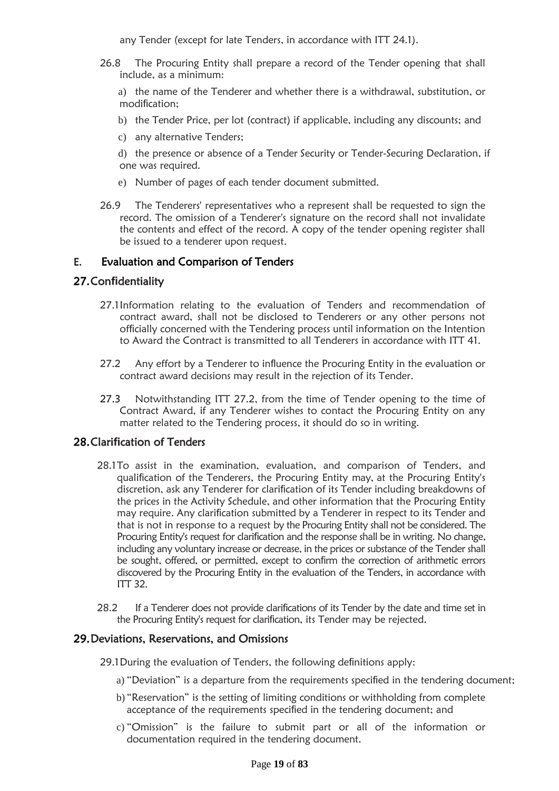any Tender (except for late Tenders, in accordance with ITT 24.1).

26.8 The Procuring Entity shall prepare a record of the Tender opening that shall include, as a minimum:

a) the name of the Tenderer and whether there is a withdrawal, substitution, or modification;

- b) the Tender Price, per lot (contract) if applicable, including any discounts; and
- c) any alternative Tenders;
- d) the presence or absence of a Tender Security or Tender-Securing Declaration, if one was required.
- e) Number of pages of each tender document submitted.
- 26.9 The Tenderers' representatives who a represent shall be requested to sign the record. The omission of a Tenderer's signature on the record shall not invalidate the contents and effect of the record. A copy of the tender opening register shall be issued to a tenderer upon request.

#### <span id="page-18-0"></span>E. Evaluation and Comparison of Tenders

#### <span id="page-18-1"></span>27.Con**fi**dentiality

- 27.1Information relating to the evaluation of Tenders and recommendation of contract award, shall not be disclosed to Tenderers or any other persons not officially concerned with the Tendering process until information on the Intention to Award the Contract is transmitted to all Tenderers in accordance with ITT 41.
- 27.2 Any effort by a Tenderer to influence the Procuring Entity in the evaluation or contract award decisions may result in the rejection of its Tender.
- 27.3 Notwithstanding ITT 27.2, from the time of Tender opening to the time of Contract Award, if any Tenderer wishes to contact the Procuring Entity on any matter related to the Tendering process, it should do so in writing.

#### <span id="page-18-2"></span>28.Clari**fi**cation of Tenders

- 28.1To assist in the examination, evaluation, and comparison of Tenders, and qualification of the Tenderers, the Procuring Entity may, at the Procuring Entity's discretion, ask any Tenderer for clarification of its Tender including breakdowns of the prices in the Activity Schedule, and other information that the Procuring Entity may require. Any clarification submitted by a Tenderer in respect to its Tender and that is not in response to a request by the Procuring Entity shall not be considered. The Procuring Entity's request for clarification and the response shall be in writing. No change, including any voluntary increase or decrease, in the prices or substance of the Tender shall be sought, offered, or permitted, except to confirm the correction of arithmetic errors discovered by the Procuring Entity in the evaluation of the Tenders, in accordance with ITT 32.
- 28.2 If a Tenderer does not provide clarifications of its Tender by the date and time set in the Procuring Entity's request for clarification, its Tender may be rejected.

#### <span id="page-18-3"></span>29.Deviations, Reservations, and Omissions

- 29.1During the evaluation of Tenders, the following definitions apply:
	- a) "Deviation" is a departure from the requirements specified in the tendering document;
	- b) "Reservation" is the setting of limiting conditions or withholding from complete acceptance of the requirements specified in the tendering document; and
	- c) "Omission" is the failure to submit part or all of the information or documentation required in the tendering document.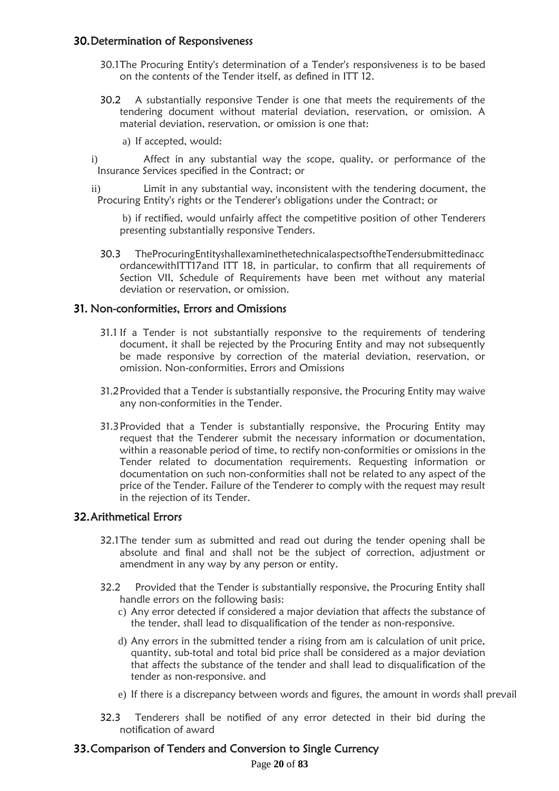#### <span id="page-19-0"></span>30.Determination of Responsiveness

- 30.1The Procuring Entity's determination of a Tender's responsiveness is to be based on the contents of the Tender itself, as defined in ITT 12.
- 30.2 A substantially responsive Tender is one that meets the requirements of the tendering document without material deviation, reservation, or omission. A material deviation, reservation, or omission is one that:
	- a) If accepted, would:

i) Affect in any substantial way the scope, quality, or performance of the Insurance Services specified in the Contract; or

ii) Limit in any substantial way, inconsistent with the tendering document, the Procuring Entity's rights or the Tenderer's obligations under the Contract; or

b) if rectified, would unfairly affect the competitive position of other Tenderers presenting substantially responsive Tenders.

30.3 TheProcuringEntityshallexaminethetechnicalaspectsoftheTendersubmittedinacc ordancewithITT17and ITT 18, in particular, to confirm that all requirements of Section VII, Schedule of Requirements have been met without any material deviation or reservation, or omission.

## <span id="page-19-1"></span>31. Non-conformities, Errors and Omissions

- 31.1 If a Tender is not substantially responsive to the requirements of tendering document, it shall be rejected by the Procuring Entity and may not subsequently be made responsive by correction of the material deviation, reservation, or omission. Non-conformities, Errors and Omissions
- 31.2Provided that a Tender is substantially responsive, the Procuring Entity may waive any non-conformities in the Tender.
- 31.3Provided that a Tender is substantially responsive, the Procuring Entity may request that the Tenderer submit the necessary information or documentation, within a reasonable period of time, to rectify non-conformities or omissions in the Tender related to documentation requirements. Requesting information or documentation on such non-conformities shall not be related to any aspect of the price of the Tender. Failure of the Tenderer to comply with the request may result in the rejection of its Tender.

# <span id="page-19-2"></span>32.Arithmetical Errors

- 32.1The tender sum as submitted and read out during the tender opening shall be absolute and final and shall not be the subject of correction, adjustment or amendment in any way by any person or entity.
- 32.2 Provided that the Tender is substantially responsive, the Procuring Entity shall handle errors on the following basis:
	- c) Any error detected if considered a major deviation that affects the substance of the tender, shall lead to disqualification of the tender as non-responsive.
	- d) Any errors in the submitted tender a rising from am is calculation of unit price, quantity, sub-total and total bid price shall be considered as a major deviation that affects the substance of the tender and shall lead to disqualification of the tender as non-responsive. and
	- e) If there is a discrepancy between words and figures, the amount in words shall prevail
- 32.3 Tenderers shall be notified of any error detected in their bid during the notification of award

#### <span id="page-19-3"></span>33.Comparison of Tenders and Conversion to Single Currency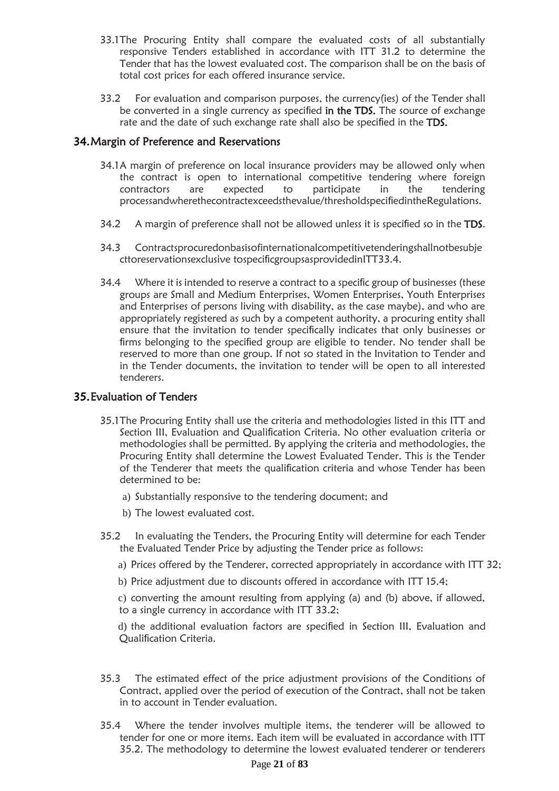- 33.1The Procuring Entity shall compare the evaluated costs of all substantially responsive Tenders established in accordance with ITT 31.2 to determine the Tender that has the lowest evaluated cost. The comparison shall be on the basis of total cost prices for each offered insurance service.
- 33.2 For evaluation and comparison purposes, the currency(ies) of the Tender shall be converted in a single currency as specified in the TDS. The source of exchange rate and the date of such exchange rate shall also be specified in the TDS.

#### <span id="page-20-0"></span>34.Margin of Preference and Reservations

- 34.1A margin of preference on local insurance providers may be allowed only when the contract is open to international competitive tendering where foreign contractors are expected to participate in the tendering processandwherethecontractexceedsthevalue/thresholdspecifiedintheRegulations.
- 34.2 A margin of preference shall not be allowed unless it is specified so in the TDS.
- 34.3 Contractsprocuredonbasisofinternationalcompetitivetenderingshallnotbesubje cttoreservationsexclusive tospecificgroupsasprovidedinITT33.4.
- 34.4 Where it is intended to reserve a contract to a specific group of businesses (these groups are Small and Medium Enterprises, Women Enterprises, Youth Enterprises and Enterprises of persons living with disability, as the case maybe), and who are appropriately registered as such by a competent authority, a procuring entity shall ensure that the invitation to tender specifically indicates that only businesses or firms belonging to the specified group are eligible to tender. No tender shall be reserved to more than one group. If not so stated in the Invitation to Tender and in the Tender documents, the invitation to tender will be open to all interested tenderers.

#### <span id="page-20-1"></span>35.Evaluation of Tenders

- 35.1The Procuring Entity shall use the criteria and methodologies listed in this ITT and Section III, Evaluation and Qualification Criteria. No other evaluation criteria or methodologies shall be permitted. By applying the criteria and methodologies, the Procuring Entity shall determine the Lowest Evaluated Tender. This is the Tender of the Tenderer that meets the qualification criteria and whose Tender has been determined to be:
	- a) Substantially responsive to the tendering document; and
	- b) The lowest evaluated cost.
- 35.2 In evaluating the Tenders, the Procuring Entity will determine for each Tender the Evaluated Tender Price by adjusting the Tender price as follows:
	- a) Prices offered by the Tenderer, corrected appropriately in accordance with ITT 32;
	- b) Price adjustment due to discounts offered in accordance with ITT 15.4;
	- c) converting the amount resulting from applying (a) and (b) above, if allowed, to a single currency in accordance with ITT 33.2;
	- d) the additional evaluation factors are specified in Section III, Evaluation and Qualification Criteria.
- 35.3 The estimated effect of the price adjustment provisions of the Conditions of Contract, applied over the period of execution of the Contract, shall not be taken in to account in Tender evaluation.
- 35.4 Where the tender involves multiple items, the tenderer will be allowed to tender for one or more items. Each item will be evaluated in accordance with ITT 35.2. The methodology to determine the lowest evaluated tenderer or tenderers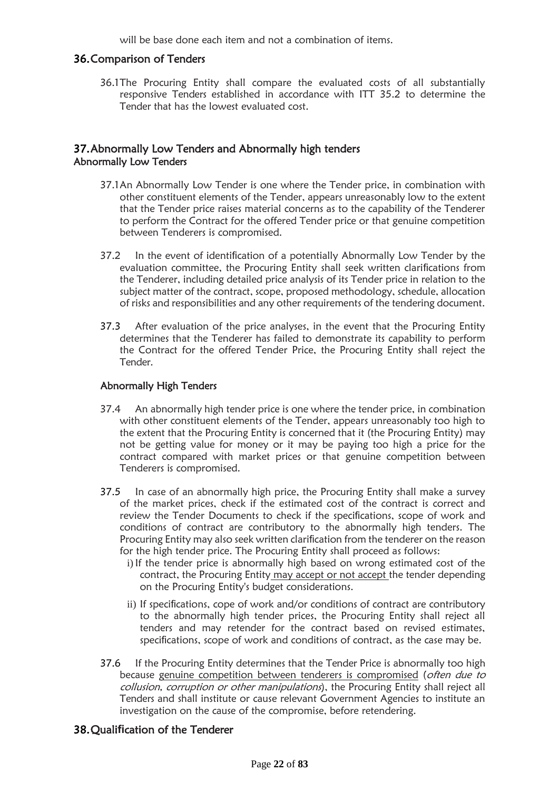will be base done each item and not a combination of items.

#### <span id="page-21-0"></span>36.Comparison of Tenders

36.1The Procuring Entity shall compare the evaluated costs of all substantially responsive Tenders established in accordance with ITT 35.2 to determine the Tender that has the lowest evaluated cost.

#### <span id="page-21-1"></span>37.Abnormally Low Tenders and Abnormally high tenders Abnormally Low Tenders

- 37.1An Abnormally Low Tender is one where the Tender price, in combination with other constituent elements of the Tender, appears unreasonably low to the extent that the Tender price raises material concerns as to the capability of the Tenderer to perform the Contract for the offered Tender price or that genuine competition between Tenderers is compromised.
- 37.2 In the event of identification of a potentially Abnormally Low Tender by the evaluation committee, the Procuring Entity shall seek written clarifications from the Tenderer, including detailed price analysis of its Tender price in relation to the subject matter of the contract, scope, proposed methodology, schedule, allocation of risks and responsibilities and any other requirements of the tendering document.
- 37.3 After evaluation of the price analyses, in the event that the Procuring Entity determines that the Tenderer has failed to demonstrate its capability to perform the Contract for the offered Tender Price, the Procuring Entity shall reject the Tender.

#### Abnormally High Tenders

- 37.4 An abnormally high tender price is one where the tender price, in combination with other constituent elements of the Tender, appears unreasonably too high to the extent that the Procuring Entity is concerned that it (the Procuring Entity) may not be getting value for money or it may be paying too high a price for the contract compared with market prices or that genuine competition between Tenderers is compromised.
- 37.5 In case of an abnormally high price, the Procuring Entity shall make a survey of the market prices, check if the estimated cost of the contract is correct and review the Tender Documents to check if the specifications, scope of work and conditions of contract are contributory to the abnormally high tenders. The Procuring Entity may also seek written clarification from the tenderer on the reason for the high tender price. The Procuring Entity shall proceed as follows:
	- i) If the tender price is abnormally high based on wrong estimated cost of the contract, the Procuring Entity may accept or not accept the tender depending on the Procuring Entity's budget considerations.
	- ii) If specifications, cope of work and/or conditions of contract are contributory to the abnormally high tender prices, the Procuring Entity shall reject all tenders and may retender for the contract based on revised estimates, specifications, scope of work and conditions of contract, as the case may be.
- 37.6 If the Procuring Entity determines that the Tender Price is abnormally too high because genuine competition between tenderers is compromised (often due to collusion, corruption or other manipulations), the Procuring Entity shall reject all Tenders and shall institute or cause relevant Government Agencies to institute an investigation on the cause of the compromise, before retendering.

#### <span id="page-21-2"></span>38.Quali**fi**cation of the Tenderer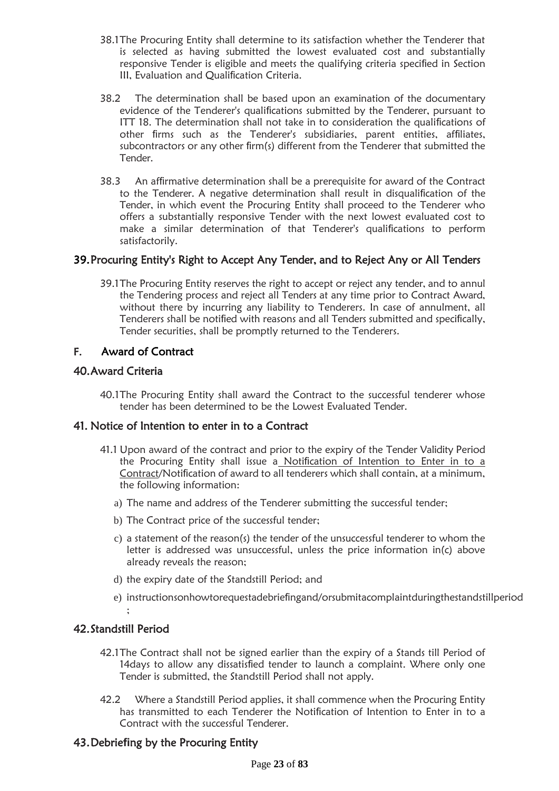- 38.1The Procuring Entity shall determine to its satisfaction whether the Tenderer that is selected as having submitted the lowest evaluated cost and substantially responsive Tender is eligible and meets the qualifying criteria specified in Section III, Evaluation and Qualification Criteria.
- 38.2 The determination shall be based upon an examination of the documentary evidence of the Tenderer's qualifications submitted by the Tenderer, pursuant to ITT 18. The determination shall not take in to consideration the qualifications of other firms such as the Tenderer's subsidiaries, parent entities, affiliates, subcontractors or any other firm(s) different from the Tenderer that submitted the Tender.
- 38.3 An affirmative determination shall be a prerequisite for award of the Contract to the Tenderer. A negative determination shall result in disqualification of the Tender, in which event the Procuring Entity shall proceed to the Tenderer who offers a substantially responsive Tender with the next lowest evaluated cost to make a similar determination of that Tenderer's qualifications to perform satisfactorily.

## <span id="page-22-0"></span>39.Procuring Entity's Right to Accept Any Tender, and to Reject Any or All Tenders

39.1The Procuring Entity reserves the right to accept or reject any tender, and to annul the Tendering process and reject all Tenders at any time prior to Contract Award, without there by incurring any liability to Tenderers. In case of annulment, all Tenderers shall be notified with reasons and all Tenders submitted and specifically, Tender securities, shall be promptly returned to the Tenderers.

## <span id="page-22-1"></span>F. Award of Contract

#### <span id="page-22-2"></span>40.Award Criteria

40.1The Procuring Entity shall award the Contract to the successful tenderer whose tender has been determined to be the Lowest Evaluated Tender.

#### <span id="page-22-3"></span>41. Notice of Intention to enter in to a Contract

- 41.1 Upon award of the contract and prior to the expiry of the Tender Validity Period the Procuring Entity shall issue a Notification of Intention to Enter in to a Contract/Notification of award to all tenderers which shall contain, at a minimum, the following information:
	- a) The name and address of the Tenderer submitting the successful tender;
	- b) The Contract price of the successful tender;
	- c) a statement of the reason(s) the tender of the unsuccessful tenderer to whom the letter is addressed was unsuccessful, unless the price information in(c) above already reveals the reason;
	- d) the expiry date of the Standstill Period; and
	- e) instructionsonhowtorequestadebriefingand/orsubmitacomplaintduringthestandstillperiod ;

#### <span id="page-22-4"></span>42.Standstill Period

- 42.1The Contract shall not be signed earlier than the expiry of a Stands till Period of 14days to allow any dissatisfied tender to launch a complaint. Where only one Tender is submitted, the Standstill Period shall not apply.
- 42.2 Where a Standstill Period applies, it shall commence when the Procuring Entity has transmitted to each Tenderer the Notification of Intention to Enter in to a Contract with the successful Tenderer.

#### <span id="page-22-5"></span>43.Debrie**fi**ng by the Procuring Entity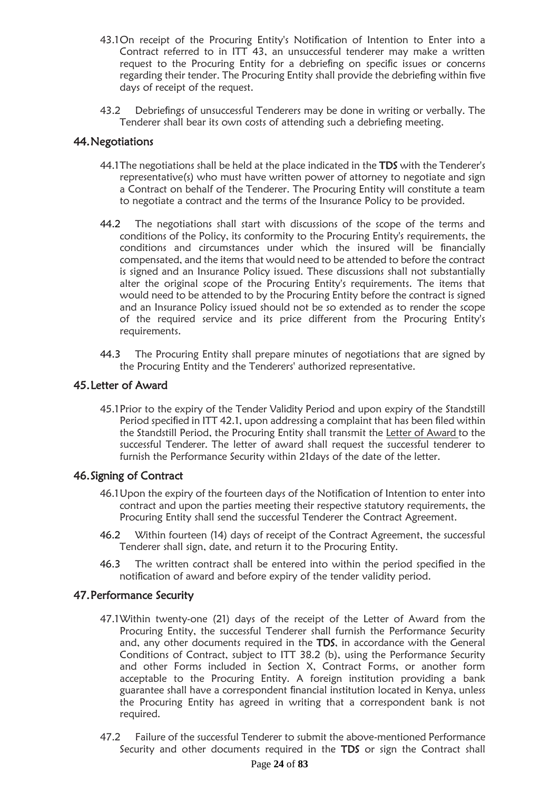- 43.1On receipt of the Procuring Entity's Notification of Intention to Enter into a Contract referred to in ITT 43, an unsuccessful tenderer may make a written request to the Procuring Entity for a debriefing on specific issues or concerns regarding their tender. The Procuring Entity shall provide the debriefing within five days of receipt of the request.
- 43.2 Debriefings of unsuccessful Tenderers may be done in writing or verbally. The Tenderer shall bear its own costs of attending such a debriefing meeting.

#### <span id="page-23-0"></span>44.Negotiations

- 44.1 The negotiations shall be held at the place indicated in the TDS with the Tenderer's representative(s) who must have written power of attorney to negotiate and sign a Contract on behalf of the Tenderer. The Procuring Entity will constitute a team to negotiate a contract and the terms of the Insurance Policy to be provided.
- 44.2 The negotiations shall start with discussions of the scope of the terms and conditions of the Policy, its conformity to the Procuring Entity's requirements, the conditions and circumstances under which the insured will be financially compensated, and the items that would need to be attended to before the contract is signed and an Insurance Policy issued. These discussions shall not substantially alter the original scope of the Procuring Entity's requirements. The items that would need to be attended to by the Procuring Entity before the contract is signed and an Insurance Policy issued should not be so extended as to render the scope of the required service and its price different from the Procuring Entity's requirements.
- 44.3 The Procuring Entity shall prepare minutes of negotiations that are signed by the Procuring Entity and the Tenderers' authorized representative.

#### <span id="page-23-1"></span>45.Letter of Award

45.1Prior to the expiry of the Tender Validity Period and upon expiry of the Standstill Period specified in ITT 42.1, upon addressing a complaint that has been filed within the Standstill Period, the Procuring Entity shall transmit the Letter of Award to the successful Tenderer. The letter of award shall request the successful tenderer to furnish the Performance Security within 21days of the date of the letter.

#### <span id="page-23-2"></span>46.Signing of Contract

- 46.1Upon the expiry of the fourteen days of the Notification of Intention to enter into contract and upon the parties meeting their respective statutory requirements, the Procuring Entity shall send the successful Tenderer the Contract Agreement.
- 46.2 Within fourteen (14) days of receipt of the Contract Agreement, the successful Tenderer shall sign, date, and return it to the Procuring Entity.
- 46.3 The written contract shall be entered into within the period specified in the notification of award and before expiry of the tender validity period.

#### <span id="page-23-3"></span>47.Performance Security

- 47.1Within twenty-one (21) days of the receipt of the Letter of Award from the Procuring Entity, the successful Tenderer shall furnish the Performance Security and, any other documents required in the TDS, in accordance with the General Conditions of Contract, subject to ITT 38.2 (b), using the Performance Security and other Forms included in Section X, Contract Forms, or another form acceptable to the Procuring Entity. A foreign institution providing a bank guarantee shall have a correspondent financial institution located in Kenya, unless the Procuring Entity has agreed in writing that a correspondent bank is not required.
- 47.2 Failure of the successful Tenderer to submit the above-mentioned Performance Security and other documents required in the TDS or sign the Contract shall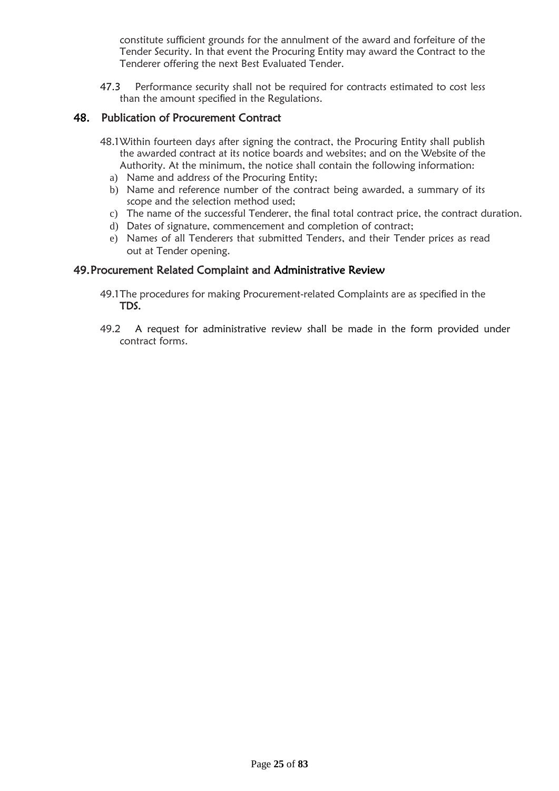constitute sufficient grounds for the annulment of the award and forfeiture of the Tender Security. In that event the Procuring Entity may award the Contract to the Tenderer offering the next Best Evaluated Tender.

<span id="page-24-0"></span>47.3 Performance security shall not be required for contracts estimated to cost less than the amount specified in the Regulations.

#### 48. Publication of Procurement Contract

- 48.1Within fourteen days after signing the contract, the Procuring Entity shall publish the awarded contract at its notice boards and websites; and on the Website of the Authority. At the minimum, the notice shall contain the following information:
	- a) Name and address of the Procuring Entity;
	- b) Name and reference number of the contract being awarded, a summary of its scope and the selection method used;
	- c) The name of the successful Tenderer, the final total contract price, the contract duration.
	- d) Dates of signature, commencement and completion of contract;
	- e) Names of all Tenderers that submitted Tenders, and their Tender prices as read out at Tender opening.

#### <span id="page-24-1"></span>49.Procurement Related Complaint and Administrative Review

- 49.1The procedures for making Procurement-related Complaints are as specified in the TDS.
- 49.2 A request for administrative review shall be made in the form provided under contract forms.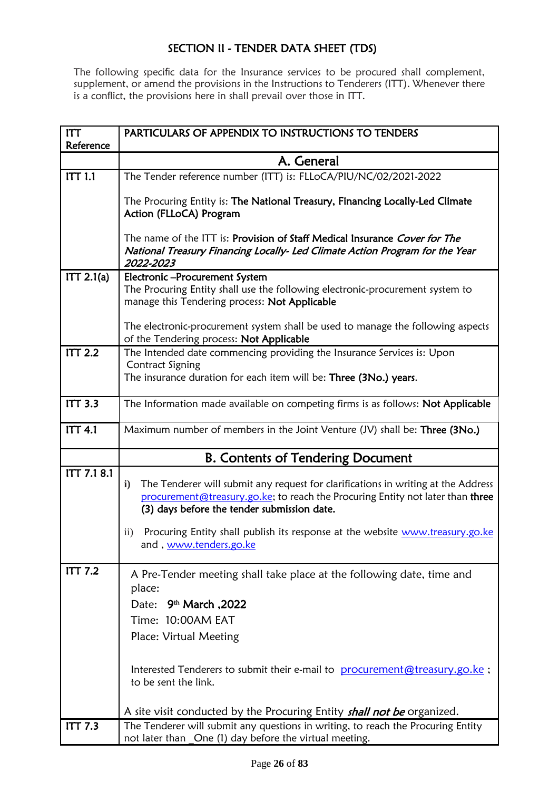# SECTION II - TENDER DATA SHEET (TDS)

<span id="page-25-0"></span>The following specific data for the Insurance services to be procured shall complement, supplement, or amend the provisions in the Instructions to Tenderers (ITT). Whenever there is a conflict, the provisions here in shall prevail over those in ITT.

| <b>ITT</b><br>Reference | PARTICULARS OF APPENDIX TO INSTRUCTIONS TO TENDERS                                                                                                                                                                                 |  |  |
|-------------------------|------------------------------------------------------------------------------------------------------------------------------------------------------------------------------------------------------------------------------------|--|--|
|                         | A. General                                                                                                                                                                                                                         |  |  |
| <b>ITT 1.1</b>          | The Tender reference number (ITT) is: FLLoCA/PIU/NC/02/2021-2022                                                                                                                                                                   |  |  |
|                         | The Procuring Entity is: The National Treasury, Financing Locally-Led Climate<br>Action (FLLoCA) Program                                                                                                                           |  |  |
|                         | The name of the ITT is: Provision of Staff Medical Insurance <i>Cover for The</i><br>National Treasury Financing Locally- Led Climate Action Program for the Year<br>2022-2023                                                     |  |  |
| ITT 2.1(a)              | Electronic - Procurement System                                                                                                                                                                                                    |  |  |
|                         | The Procuring Entity shall use the following electronic-procurement system to<br>manage this Tendering process: Not Applicable                                                                                                     |  |  |
|                         | The electronic-procurement system shall be used to manage the following aspects<br>of the Tendering process: Not Applicable                                                                                                        |  |  |
| $\overline{IT}$ 2.2     | The Intended date commencing providing the Insurance Services is: Upon                                                                                                                                                             |  |  |
|                         | <b>Contract Signing</b><br>The insurance duration for each item will be: Three (3No.) years.                                                                                                                                       |  |  |
|                         |                                                                                                                                                                                                                                    |  |  |
| <b>ITT 3.3</b>          | The Information made available on competing firms is as follows: Not Applicable                                                                                                                                                    |  |  |
| <b>ITT 4.1</b>          | Maximum number of members in the Joint Venture (JV) shall be: Three (3No.)                                                                                                                                                         |  |  |
|                         | <b>B. Contents of Tendering Document</b>                                                                                                                                                                                           |  |  |
| <b>ITT 7.1 8.1</b>      | The Tenderer will submit any request for clarifications in writing at the Address<br>$\mathbf{i}$<br>procurement@treasury.go.ke; to reach the Procuring Entity not later than three<br>(3) days before the tender submission date. |  |  |
|                         | Procuring Entity shall publish its response at the website www.treasury.go.ke<br>$\rm ii)$<br>and, www.tenders.go.ke                                                                                                               |  |  |
| <b>ITT 7.2</b>          | A Pre-Tender meeting shall take place at the following date, time and<br>place:                                                                                                                                                    |  |  |
|                         | Date: 9th March, 2022                                                                                                                                                                                                              |  |  |
|                         | Time: 10:00AM EAT                                                                                                                                                                                                                  |  |  |
|                         | Place: Virtual Meeting                                                                                                                                                                                                             |  |  |
|                         | Interested Tenderers to submit their e-mail to procurement@treasury.go.ke;<br>to be sent the link.                                                                                                                                 |  |  |
|                         | A site visit conducted by the Procuring Entity <b>shall not be</b> organized.                                                                                                                                                      |  |  |
| <b>ITT 7.3</b>          | The Tenderer will submit any questions in writing, to reach the Procuring Entity<br>not later than _One (1) day before the virtual meeting.                                                                                        |  |  |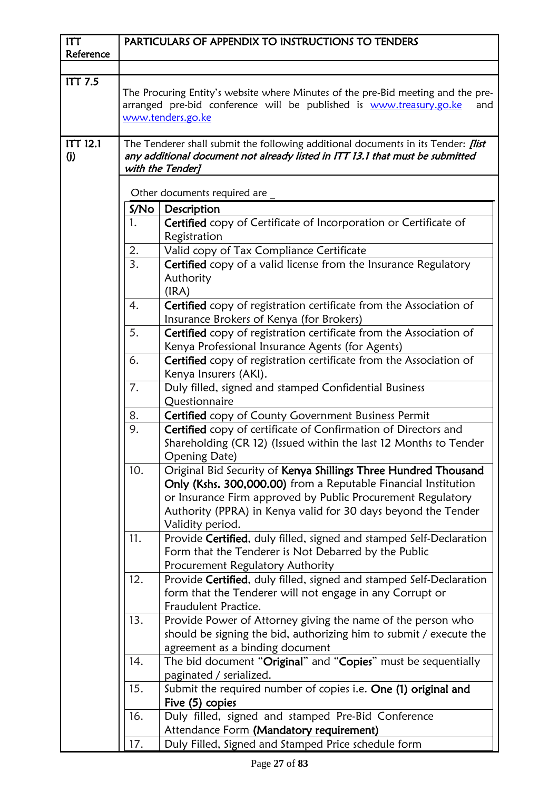| ITT                                                              |                                                                                                                                                                                                                               | PARTICULARS OF APPENDIX TO INSTRUCTIONS TO TENDERS                                                                                                                                  |  |
|------------------------------------------------------------------|-------------------------------------------------------------------------------------------------------------------------------------------------------------------------------------------------------------------------------|-------------------------------------------------------------------------------------------------------------------------------------------------------------------------------------|--|
| Reference                                                        |                                                                                                                                                                                                                               |                                                                                                                                                                                     |  |
|                                                                  |                                                                                                                                                                                                                               |                                                                                                                                                                                     |  |
| <b>ITT 7.5</b>                                                   |                                                                                                                                                                                                                               | The Procuring Entity's website where Minutes of the pre-Bid meeting and the pre-<br>arranged pre-bid conference will be published is www.treasury.go.ke<br>and<br>www.tenders.go.ke |  |
| <b>ITT 12.1</b><br>(i)                                           | The Tenderer shall submit the following additional documents in its Tender: <i>[list</i><br>any additional document not already listed in ITT 13.1 that must be submitted<br>with the Tender]<br>Other documents required are |                                                                                                                                                                                     |  |
|                                                                  |                                                                                                                                                                                                                               |                                                                                                                                                                                     |  |
|                                                                  | S/No                                                                                                                                                                                                                          | Description                                                                                                                                                                         |  |
|                                                                  | 1.                                                                                                                                                                                                                            | Certified copy of Certificate of Incorporation or Certificate of                                                                                                                    |  |
|                                                                  |                                                                                                                                                                                                                               | Registration                                                                                                                                                                        |  |
|                                                                  | 2.                                                                                                                                                                                                                            | Valid copy of Tax Compliance Certificate                                                                                                                                            |  |
|                                                                  | 3.                                                                                                                                                                                                                            | Certified copy of a valid license from the Insurance Regulatory                                                                                                                     |  |
|                                                                  |                                                                                                                                                                                                                               | Authority                                                                                                                                                                           |  |
|                                                                  |                                                                                                                                                                                                                               | (IRA)                                                                                                                                                                               |  |
|                                                                  | 4.                                                                                                                                                                                                                            | Certified copy of registration certificate from the Association of<br>Insurance Brokers of Kenya (for Brokers)                                                                      |  |
|                                                                  | 5.                                                                                                                                                                                                                            | Certified copy of registration certificate from the Association of                                                                                                                  |  |
|                                                                  |                                                                                                                                                                                                                               | Kenya Professional Insurance Agents (for Agents)                                                                                                                                    |  |
|                                                                  | 6.                                                                                                                                                                                                                            | Certified copy of registration certificate from the Association of                                                                                                                  |  |
|                                                                  |                                                                                                                                                                                                                               | Kenya Insurers (AKI).                                                                                                                                                               |  |
|                                                                  | 7.                                                                                                                                                                                                                            | Duly filled, signed and stamped Confidential Business                                                                                                                               |  |
|                                                                  |                                                                                                                                                                                                                               | Questionnaire                                                                                                                                                                       |  |
| 8.<br>9.                                                         |                                                                                                                                                                                                                               | Certified copy of County Government Business Permit                                                                                                                                 |  |
|                                                                  |                                                                                                                                                                                                                               | Certified copy of certificate of Confirmation of Directors and                                                                                                                      |  |
| Shareholding (CR 12) (Issued within the last 12 Months to Tender |                                                                                                                                                                                                                               | <b>Opening Date)</b>                                                                                                                                                                |  |
|                                                                  | 10.                                                                                                                                                                                                                           | Original Bid Security of Kenya Shillings Three Hundred Thousand                                                                                                                     |  |
|                                                                  |                                                                                                                                                                                                                               | Only (Kshs. 300,000.00) from a Reputable Financial Institution                                                                                                                      |  |
|                                                                  |                                                                                                                                                                                                                               | or Insurance Firm approved by Public Procurement Regulatory                                                                                                                         |  |
|                                                                  |                                                                                                                                                                                                                               | Authority (PPRA) in Kenya valid for 30 days beyond the Tender                                                                                                                       |  |
|                                                                  |                                                                                                                                                                                                                               | Validity period.                                                                                                                                                                    |  |
|                                                                  | 11.                                                                                                                                                                                                                           | Provide Certified, duly filled, signed and stamped Self-Declaration                                                                                                                 |  |
|                                                                  |                                                                                                                                                                                                                               | Form that the Tenderer is Not Debarred by the Public                                                                                                                                |  |
|                                                                  |                                                                                                                                                                                                                               | Procurement Regulatory Authority                                                                                                                                                    |  |
|                                                                  | 12.                                                                                                                                                                                                                           | Provide Certified, duly filled, signed and stamped Self-Declaration                                                                                                                 |  |
|                                                                  |                                                                                                                                                                                                                               | form that the Tenderer will not engage in any Corrupt or                                                                                                                            |  |
|                                                                  |                                                                                                                                                                                                                               | Fraudulent Practice.                                                                                                                                                                |  |
|                                                                  | 13.                                                                                                                                                                                                                           | Provide Power of Attorney giving the name of the person who                                                                                                                         |  |
|                                                                  |                                                                                                                                                                                                                               | should be signing the bid, authorizing him to submit / execute the                                                                                                                  |  |
|                                                                  |                                                                                                                                                                                                                               | agreement as a binding document                                                                                                                                                     |  |
|                                                                  | 14.                                                                                                                                                                                                                           | The bid document "Original" and "Copies" must be sequentially                                                                                                                       |  |
|                                                                  | paginated / serialized.<br>15.<br>Submit the required number of copies i.e. One (1) original and                                                                                                                              |                                                                                                                                                                                     |  |
|                                                                  |                                                                                                                                                                                                                               |                                                                                                                                                                                     |  |
| Five (5) copies                                                  |                                                                                                                                                                                                                               |                                                                                                                                                                                     |  |
|                                                                  | 16.<br>Duly filled, signed and stamped Pre-Bid Conference                                                                                                                                                                     |                                                                                                                                                                                     |  |
|                                                                  |                                                                                                                                                                                                                               | Attendance Form (Mandatory requirement)                                                                                                                                             |  |
|                                                                  | 17.                                                                                                                                                                                                                           | Duly Filled, Signed and Stamped Price schedule form                                                                                                                                 |  |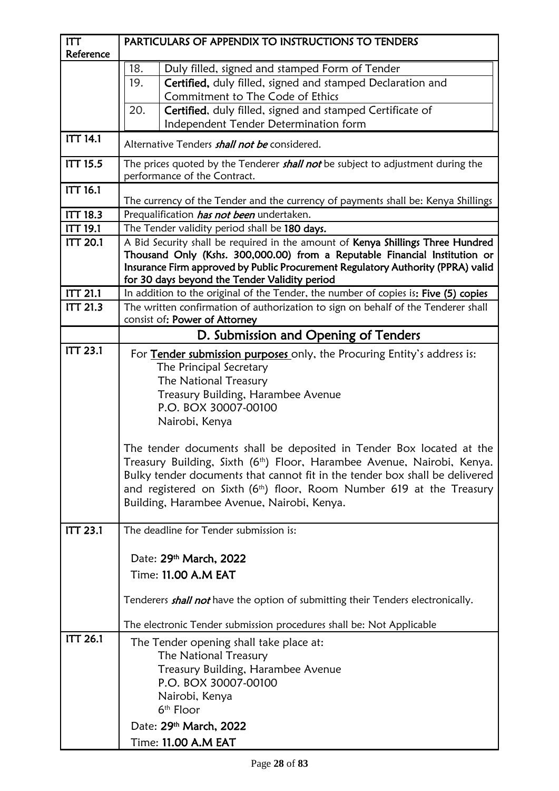| <b>ITT</b><br>Reference | PARTICULARS OF APPENDIX TO INSTRUCTIONS TO TENDERS                                                                                                            |  |  |  |
|-------------------------|---------------------------------------------------------------------------------------------------------------------------------------------------------------|--|--|--|
|                         | 18.<br>Duly filled, signed and stamped Form of Tender                                                                                                         |  |  |  |
|                         | 19.<br>Certified, duly filled, signed and stamped Declaration and                                                                                             |  |  |  |
|                         | Commitment to The Code of Ethics                                                                                                                              |  |  |  |
|                         | 20.<br>Certified, duly filled, signed and stamped Certificate of                                                                                              |  |  |  |
|                         | Independent Tender Determination form                                                                                                                         |  |  |  |
| <b>ITT 14.1</b>         | Alternative Tenders <i>shall not be</i> considered.                                                                                                           |  |  |  |
| <b>ITT 15.5</b>         | The prices quoted by the Tenderer <i>shall not</i> be subject to adjustment during the<br>performance of the Contract.                                        |  |  |  |
| <b>ITT 16.1</b>         | The currency of the Tender and the currency of payments shall be: Kenya Shillings                                                                             |  |  |  |
| <b>ITT 18.3</b>         | Prequalification has not been undertaken.                                                                                                                     |  |  |  |
| <b>ITT 19.1</b>         | The Tender validity period shall be 180 days.                                                                                                                 |  |  |  |
| <b>ITT 20.1</b>         | A Bid Security shall be required in the amount of Kenya Shillings Three Hundred<br>Thousand Only (Kshs. 300,000.00) from a Reputable Financial Institution or |  |  |  |
|                         | Insurance Firm approved by Public Procurement Regulatory Authority (PPRA) valid                                                                               |  |  |  |
|                         | for 30 days beyond the Tender Validity period                                                                                                                 |  |  |  |
| <b>ITT 21.1</b>         | In addition to the original of the Tender, the number of copies is: Five (5) copies                                                                           |  |  |  |
| <b>ITT 21.3</b>         | The written confirmation of authorization to sign on behalf of the Tenderer shall<br>consist of: Power of Attorney                                            |  |  |  |
|                         | D. Submission and Opening of Tenders                                                                                                                          |  |  |  |
| <b>ITT 23.1</b>         | For Tender submission purposes only, the Procuring Entity's address is:                                                                                       |  |  |  |
|                         | The Principal Secretary                                                                                                                                       |  |  |  |
|                         | The National Treasury                                                                                                                                         |  |  |  |
|                         | Treasury Building, Harambee Avenue                                                                                                                            |  |  |  |
|                         | P.O. BOX 30007-00100                                                                                                                                          |  |  |  |
|                         | Nairobi, Kenya                                                                                                                                                |  |  |  |
|                         | The tender documents shall be deposited in Tender Box located at the<br>Treasury Building, Sixth (6 <sup>th</sup> ) Floor, Harambee Avenue, Nairobi, Kenya.   |  |  |  |
|                         | Bulky tender documents that cannot fit in the tender box shall be delivered                                                                                   |  |  |  |
|                         | and registered on Sixth (6 <sup>th</sup> ) floor, Room Number 619 at the Treasury                                                                             |  |  |  |
|                         | Building, Harambee Avenue, Nairobi, Kenya.                                                                                                                    |  |  |  |
| <b>ITT 23.1</b>         | The deadline for Tender submission is:                                                                                                                        |  |  |  |
|                         | Date: 29th March, 2022                                                                                                                                        |  |  |  |
|                         | Time: 11.00 A.M EAT                                                                                                                                           |  |  |  |
|                         |                                                                                                                                                               |  |  |  |
|                         | Tenderers <i>shall not</i> have the option of submitting their Tenders electronically.                                                                        |  |  |  |
|                         | The electronic Tender submission procedures shall be: Not Applicable                                                                                          |  |  |  |
| <b>ITT 26.1</b>         | The Tender opening shall take place at:                                                                                                                       |  |  |  |
|                         | The National Treasury                                                                                                                                         |  |  |  |
|                         | Treasury Building, Harambee Avenue                                                                                                                            |  |  |  |
|                         | P.O. BOX 30007-00100                                                                                                                                          |  |  |  |
|                         | Nairobi, Kenya<br>6 <sup>th</sup> Floor                                                                                                                       |  |  |  |
|                         |                                                                                                                                                               |  |  |  |
|                         | Date: 29th March, 2022                                                                                                                                        |  |  |  |
|                         | Time: 11.00 A.M EAT                                                                                                                                           |  |  |  |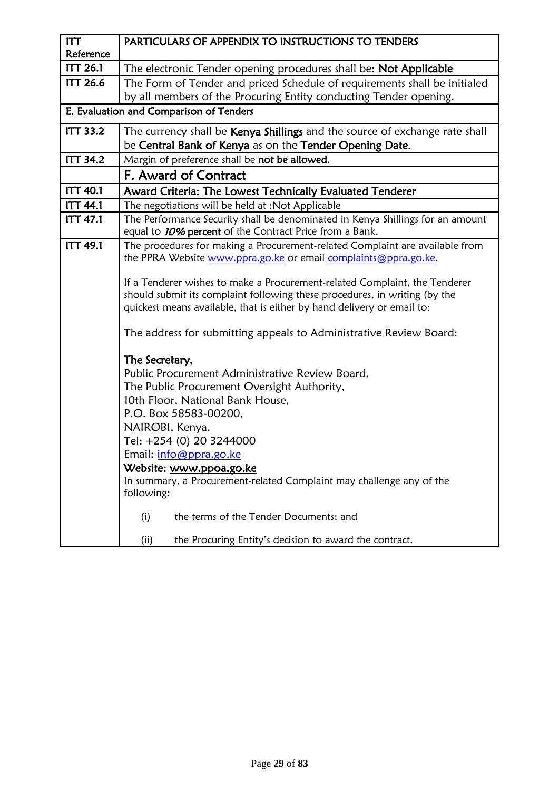| <b>ITT</b>                                              | PARTICULARS OF APPENDIX TO INSTRUCTIONS TO TENDERS                                                                                                                                                                                                                                                                                                                                                                       |  |  |
|---------------------------------------------------------|--------------------------------------------------------------------------------------------------------------------------------------------------------------------------------------------------------------------------------------------------------------------------------------------------------------------------------------------------------------------------------------------------------------------------|--|--|
| Reference                                               |                                                                                                                                                                                                                                                                                                                                                                                                                          |  |  |
| <b>ITT 26.1</b>                                         | The electronic Tender opening procedures shall be: Not Applicable                                                                                                                                                                                                                                                                                                                                                        |  |  |
| <b>ITT 26.6</b>                                         | The Form of Tender and priced Schedule of requirements shall be initialed                                                                                                                                                                                                                                                                                                                                                |  |  |
|                                                         | by all members of the Procuring Entity conducting Tender opening.                                                                                                                                                                                                                                                                                                                                                        |  |  |
|                                                         | E. Evaluation and Comparison of Tenders                                                                                                                                                                                                                                                                                                                                                                                  |  |  |
| <b>ITT 33.2</b>                                         | The currency shall be Kenya Shillings and the source of exchange rate shall                                                                                                                                                                                                                                                                                                                                              |  |  |
| be Central Bank of Kenya as on the Tender Opening Date. |                                                                                                                                                                                                                                                                                                                                                                                                                          |  |  |
| <b>ITT 34.2</b>                                         | Margin of preference shall be not be allowed.                                                                                                                                                                                                                                                                                                                                                                            |  |  |
|                                                         | F. Award of Contract                                                                                                                                                                                                                                                                                                                                                                                                     |  |  |
| <b>ITT 40.1</b>                                         | Award Criteria: The Lowest Technically Evaluated Tenderer                                                                                                                                                                                                                                                                                                                                                                |  |  |
| <b>ITT 44.1</b>                                         | The negotiations will be held at :Not Applicable                                                                                                                                                                                                                                                                                                                                                                         |  |  |
| <b>ITT 47.1</b>                                         | The Performance Security shall be denominated in Kenya Shillings for an amount<br>equal to 10% percent of the Contract Price from a Bank.                                                                                                                                                                                                                                                                                |  |  |
| <b>ITT 49.1</b>                                         | The procedures for making a Procurement-related Complaint are available from<br>the PPRA Website www.ppra.go.ke or email complaints@ppra.go.ke.                                                                                                                                                                                                                                                                          |  |  |
|                                                         | If a Tenderer wishes to make a Procurement-related Complaint, the Tenderer<br>should submit its complaint following these procedures, in writing (by the<br>quickest means available, that is either by hand delivery or email to:                                                                                                                                                                                       |  |  |
|                                                         | The address for submitting appeals to Administrative Review Board:                                                                                                                                                                                                                                                                                                                                                       |  |  |
|                                                         | The Secretary,<br>Public Procurement Administrative Review Board,<br>The Public Procurement Oversight Authority,<br>10th Floor, National Bank House,<br>P.O. Box 58583-00200,<br>NAIROBI, Kenya.<br>Tel: +254 (0) 20 3244000<br>Email: info@ppra.go.ke<br>Website: www.ppoa.go.ke<br>In summary, a Procurement-related Complaint may challenge any of the<br>following:<br>(i)<br>the terms of the Tender Documents; and |  |  |
|                                                         | the Procuring Entity's decision to award the contract.<br>(ii)                                                                                                                                                                                                                                                                                                                                                           |  |  |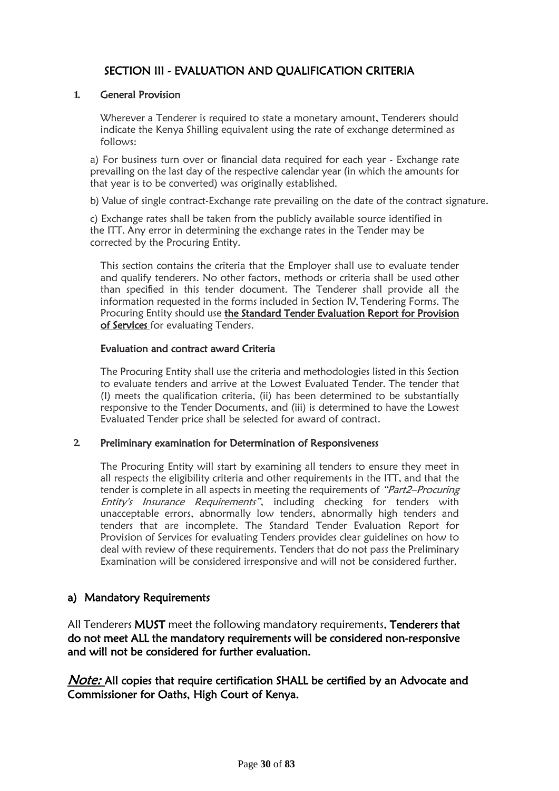# SECTION III - EVALUATION AND QUALIFICATION CRITERIA

#### <span id="page-29-0"></span>**1.** General Provision

Wherever a Tenderer is required to state a monetary amount, Tenderers should indicate the Kenya Shilling equivalent using the rate of exchange determined as follows:

a) For business turn over or financial data required for each year - Exchange rate prevailing on the last day of the respective calendar year (in which the amounts for that year is to be converted) was originally established.

b) Value of single contract-Exchange rate prevailing on the date of the contract signature.

c) Exchange rates shall be taken from the publicly available source identified in the ITT. Any error in determining the exchange rates in the Tender may be corrected by the Procuring Entity.

This section contains the criteria that the Employer shall use to evaluate tender and qualify tenderers. No other factors, methods or criteria shall be used other than specified in this tender document. The Tenderer shall provide all the information requested in the forms included in Section IV, Tendering Forms. The Procuring Entity should use the Standard Tender Evaluation Report for Provision of Services for evaluating Tenders.

#### Evaluation and contract award Criteria

The Procuring Entity shall use the criteria and methodologies listed in this Section to evaluate tenders and arrive at the Lowest Evaluated Tender. The tender that (I) meets the qualification criteria, (ii) has been determined to be substantially responsive to the Tender Documents, and (iii) is determined to have the Lowest Evaluated Tender price shall be selected for award of contract.

#### **2.** Preliminary examination for Determination of Responsiveness

The Procuring Entity will start by examining all tenders to ensure they meet in all respects the eligibility criteria and other requirements in the ITT, and that the tender is complete in all aspects in meeting the requirements of "Part2–Procuring" Entity's Insurance Requirements", including checking for tenders with unacceptable errors, abnormally low tenders, abnormally high tenders and tenders that are incomplete. The Standard Tender Evaluation Report for Provision of Services for evaluating Tenders provides clear guidelines on how to deal with review of these requirements. Tenders that do not pass the Preliminary Examination will be considered irresponsive and will not be considered further.

#### a) Mandatory Requirements

All Tenderers MUST meet the following mandatory requirements. Tenderers that do not meet ALL the mandatory requirements will be considered non-responsive and will not be considered for further evaluation.

*Note:* All copies that require certification SHALL be certified by an Advocate and Commissioner for Oaths, High Court of Kenya.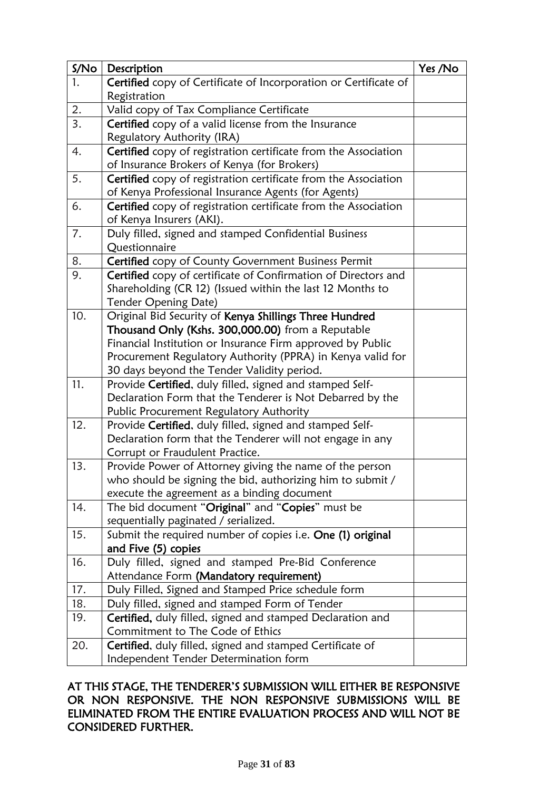| S/No | Description                                                      | Yes /No |
|------|------------------------------------------------------------------|---------|
| 1.   | Certified copy of Certificate of Incorporation or Certificate of |         |
|      | Registration                                                     |         |
| 2.   | Valid copy of Tax Compliance Certificate                         |         |
| 3.   | Certified copy of a valid license from the Insurance             |         |
|      | Regulatory Authority (IRA)                                       |         |
| 4.   | Certified copy of registration certificate from the Association  |         |
|      | of Insurance Brokers of Kenya (for Brokers)                      |         |
| 5.   | Certified copy of registration certificate from the Association  |         |
|      | of Kenya Professional Insurance Agents (for Agents)              |         |
| 6.   | Certified copy of registration certificate from the Association  |         |
|      | of Kenya Insurers (AKI).                                         |         |
| 7.   | Duly filled, signed and stamped Confidential Business            |         |
|      | Questionnaire                                                    |         |
| 8.   | Certified copy of County Government Business Permit              |         |
| 9.   | Certified copy of certificate of Confirmation of Directors and   |         |
|      | Shareholding (CR 12) (Issued within the last 12 Months to        |         |
|      | <b>Tender Opening Date)</b>                                      |         |
| 10.  | Original Bid Security of Kenya Shillings Three Hundred           |         |
|      | Thousand Only (Kshs. 300,000.00) from a Reputable                |         |
|      | Financial Institution or Insurance Firm approved by Public       |         |
|      | Procurement Regulatory Authority (PPRA) in Kenya valid for       |         |
|      | 30 days beyond the Tender Validity period.                       |         |
| 11.  | Provide Certified, duly filled, signed and stamped Self-         |         |
|      | Declaration Form that the Tenderer is Not Debarred by the        |         |
|      | Public Procurement Regulatory Authority                          |         |
| 12.  | Provide Certified, duly filled, signed and stamped Self-         |         |
|      | Declaration form that the Tenderer will not engage in any        |         |
|      | Corrupt or Fraudulent Practice.                                  |         |
| 13.  | Provide Power of Attorney giving the name of the person          |         |
|      | who should be signing the bid, authorizing him to submit /       |         |
|      | execute the agreement as a binding document                      |         |
| 14.  | The bid document "Original" and "Copies" must be                 |         |
|      | sequentially paginated / serialized.                             |         |
| 15.  | Submit the required number of copies i.e. One (1) original       |         |
|      | and Five (5) copies                                              |         |
| 16.  | Duly filled, signed and stamped Pre-Bid Conference               |         |
|      | Attendance Form (Mandatory requirement)                          |         |
| 17.  | Duly Filled, Signed and Stamped Price schedule form              |         |
| 18.  | Duly filled, signed and stamped Form of Tender                   |         |
| 19.  | Certified, duly filled, signed and stamped Declaration and       |         |
|      | Commitment to The Code of Ethics                                 |         |
| 20.  | Certified, duly filled, signed and stamped Certificate of        |         |
|      | Independent Tender Determination form                            |         |

# AT THIS STAGE, THE TENDERER'S SUBMISSION WILL EITHER BE RESPONSIVE OR NON RESPONSIVE. THE NON RESPONSIVE SUBMISSIONS WILL BE ELIMINATED FROM THE ENTIRE EVALUATION PROCESS AND WILL NOT BE CONSIDERED FURTHER.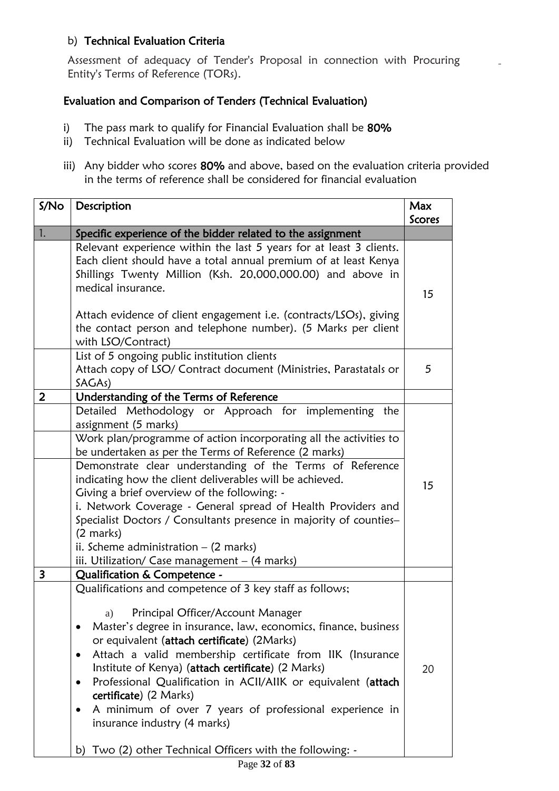# b) Technical Evaluation Criteria

Assessment of adequacy of Tender's Proposal in connection with Procuring Entity's Terms of Reference (TORs).

# Evaluation and Comparison of Tenders (Technical Evaluation)

- i) The pass mark to qualify for Financial Evaluation shall be 80%
- ii) Technical Evaluation will be done as indicated below
- iii) Any bidder who scores 80% and above, based on the evaluation criteria provided in the terms of reference shall be considered for financial evaluation

| S/N <sub>O</sub> | Description                                                                                                                                                                                                                                                                                                                                                                                                                                                                                                                                                                                                                                  | Max<br><b>Scores</b> |
|------------------|----------------------------------------------------------------------------------------------------------------------------------------------------------------------------------------------------------------------------------------------------------------------------------------------------------------------------------------------------------------------------------------------------------------------------------------------------------------------------------------------------------------------------------------------------------------------------------------------------------------------------------------------|----------------------|
| 1.               | Specific experience of the bidder related to the assignment                                                                                                                                                                                                                                                                                                                                                                                                                                                                                                                                                                                  |                      |
|                  | Relevant experience within the last 5 years for at least 3 clients.<br>Each client should have a total annual premium of at least Kenya<br>Shillings Twenty Million (Ksh. 20,000,000.00) and above in<br>medical insurance.<br>Attach evidence of client engagement i.e. (contracts/LSOs), giving<br>the contact person and telephone number). (5 Marks per client<br>with LSO/Contract)                                                                                                                                                                                                                                                     | 15                   |
|                  | List of 5 ongoing public institution clients<br>Attach copy of LSO/ Contract document (Ministries, Parastatals or<br>SAGAs)                                                                                                                                                                                                                                                                                                                                                                                                                                                                                                                  | 5                    |
| $\overline{2}$   | Understanding of the Terms of Reference                                                                                                                                                                                                                                                                                                                                                                                                                                                                                                                                                                                                      |                      |
|                  | Detailed Methodology or Approach for implementing the<br>assignment (5 marks)<br>Work plan/programme of action incorporating all the activities to<br>be undertaken as per the Terms of Reference (2 marks)<br>Demonstrate clear understanding of the Terms of Reference<br>indicating how the client deliverables will be achieved.<br>Giving a brief overview of the following: -<br>i. Network Coverage - General spread of Health Providers and<br>Specialist Doctors / Consultants presence in majority of counties-<br>$(2 \text{ marks})$<br>ii. Scheme administration $-$ (2 marks)<br>iii. Utilization/ Case management - (4 marks) | 15                   |
| 3                | Qualification & Competence -                                                                                                                                                                                                                                                                                                                                                                                                                                                                                                                                                                                                                 |                      |
|                  | Qualifications and competence of 3 key staff as follows;<br>Principal Officer/Account Manager<br>a)<br>Master's degree in insurance, law, economics, finance, business<br>٠<br>or equivalent (attach certificate) (2Marks)<br>Attach a valid membership certificate from IIK (Insurance<br>$\bullet$<br>Institute of Kenya) (attach certificate) (2 Marks)<br>Professional Qualification in ACII/AIIK or equivalent (attach<br>$\bullet$<br>certificate) (2 Marks)<br>A minimum of over 7 years of professional experience in<br>insurance industry (4 marks)<br>b) Two (2) other Technical Officers with the following: -                   | 20                   |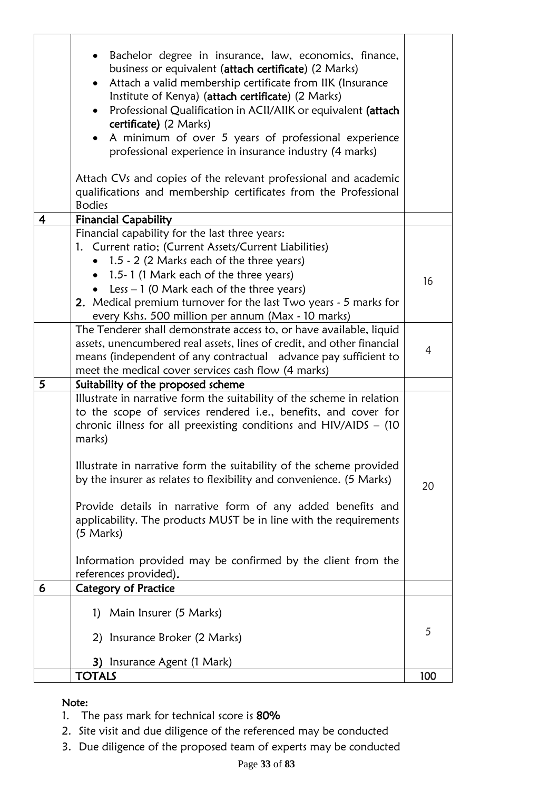|   | Bachelor degree in insurance, law, economics, finance,<br>business or equivalent (attach certificate) (2 Marks)<br>Attach a valid membership certificate from IIK (Insurance<br>Institute of Kenya) (attach certificate) (2 Marks)<br>• Professional Qualification in ACII/AIIK or equivalent (attach<br>certificate) (2 Marks)<br>A minimum of over 5 years of professional experience<br>professional experience in insurance industry (4 marks)                                                                                                                                                                   |     |
|---|----------------------------------------------------------------------------------------------------------------------------------------------------------------------------------------------------------------------------------------------------------------------------------------------------------------------------------------------------------------------------------------------------------------------------------------------------------------------------------------------------------------------------------------------------------------------------------------------------------------------|-----|
|   | Attach CVs and copies of the relevant professional and academic<br>qualifications and membership certificates from the Professional<br><b>Bodies</b>                                                                                                                                                                                                                                                                                                                                                                                                                                                                 |     |
| 4 | <b>Financial Capability</b>                                                                                                                                                                                                                                                                                                                                                                                                                                                                                                                                                                                          |     |
|   | Financial capability for the last three years:<br>1. Current ratio; (Current Assets/Current Liabilities)<br>$\bullet$ 1.5 - 2 (2 Marks each of the three years)<br>• 1.5-1 (1 Mark each of the three years)<br>• Less $-1$ (0 Mark each of the three years)<br>2. Medical premium turnover for the last Two years - 5 marks for<br>every Kshs. 500 million per annum (Max - 10 marks)                                                                                                                                                                                                                                | 16  |
|   | The Tenderer shall demonstrate access to, or have available, liquid<br>assets, unencumbered real assets, lines of credit, and other financial<br>means (independent of any contractual advance pay sufficient to<br>meet the medical cover services cash flow (4 marks)                                                                                                                                                                                                                                                                                                                                              | 4   |
| 5 | Suitability of the proposed scheme                                                                                                                                                                                                                                                                                                                                                                                                                                                                                                                                                                                   |     |
|   | Illustrate in narrative form the suitability of the scheme in relation<br>to the scope of services rendered i.e., benefits, and cover for<br>chronic illness for all preexisting conditions and $HIV/AIDS - (10$<br>marks)<br>Illustrate in narrative form the suitability of the scheme provided<br>by the insurer as relates to flexibility and convenience. (5 Marks)<br>Provide details in narrative form of any added benefits and<br>applicability. The products MUST be in line with the requirements<br>$(5$ Marks)<br>Information provided may be confirmed by the client from the<br>references provided). | 20  |
| 6 | <b>Category of Practice</b>                                                                                                                                                                                                                                                                                                                                                                                                                                                                                                                                                                                          |     |
|   | 1) Main Insurer (5 Marks)<br>2) Insurance Broker (2 Marks)                                                                                                                                                                                                                                                                                                                                                                                                                                                                                                                                                           | 5   |
|   | 3) Insurance Agent (1 Mark)                                                                                                                                                                                                                                                                                                                                                                                                                                                                                                                                                                                          |     |
|   | <b>TOTALS</b>                                                                                                                                                                                                                                                                                                                                                                                                                                                                                                                                                                                                        | 100 |

# Note:

- 1. The pass mark for technical score is 80%
- 2. Site visit and due diligence of the referenced may be conducted
- 3. Due diligence of the proposed team of experts may be conducted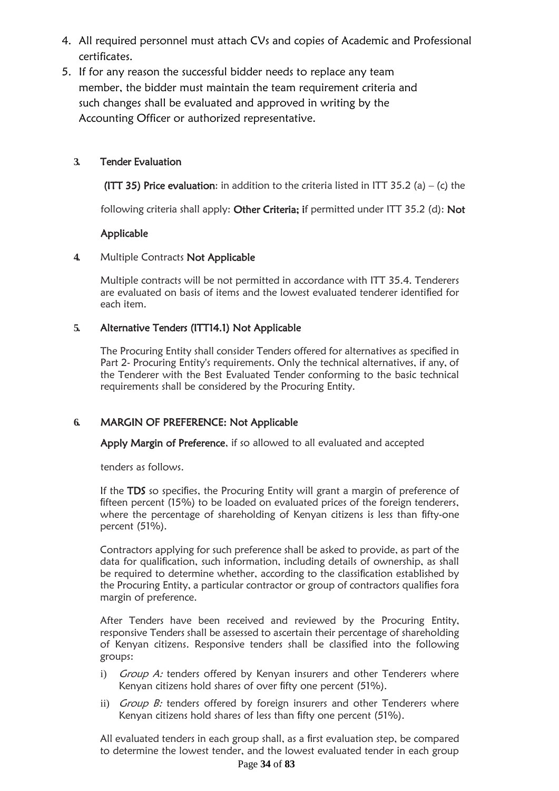- 4. All required personnel must attach CVs and copies of Academic and Professional certificates.
- 5. If for any reason the successful bidder needs to replace any team member, the bidder must maintain the team requirement criteria and such changes shall be evaluated and approved in writing by the Accounting Officer or authorized representative.

#### **3.** Tender Evaluation

(ITT 35) Price evaluation: in addition to the criteria listed in ITT 35.2 (a) – (c) the

following criteria shall apply: Other Criteria; if permitted under ITT 35.2 (d): Not

#### Applicable

#### **4.** Multiple Contracts Not Applicable

Multiple contracts will be not permitted in accordance with ITT 35.4. Tenderers are evaluated on basis of items and the lowest evaluated tenderer identified for each item.

#### **5.** Alternative Tenders (ITT14.1) Not Applicable

The Procuring Entity shall consider Tenders offered for alternatives as specified in Part 2- Procuring Entity's requirements. Only the technical alternatives, if any, of the Tenderer with the Best Evaluated Tender conforming to the basic technical requirements shall be considered by the Procuring Entity.

#### **6.** MARGIN OF PREFERENCE: Not Applicable

Apply Margin of Preference, if so allowed to all evaluated and accepted

tenders as follows.

If the TDS so specifies, the Procuring Entity will grant a margin of preference of fifteen percent (15%) to be loaded on evaluated prices of the foreign tenderers, where the percentage of shareholding of Kenyan citizens is less than fifty-one percent (51%).

Contractors applying for such preference shall be asked to provide, as part of the data for qualification, such information, including details of ownership, as shall be required to determine whether, according to the classification established by the Procuring Entity, a particular contractor or group of contractors qualifies fora margin of preference.

After Tenders have been received and reviewed by the Procuring Entity, responsive Tenders shall be assessed to ascertain their percentage of shareholding of Kenyan citizens. Responsive tenders shall be classified into the following groups:

- i) Group A: tenders offered by Kenyan insurers and other Tenderers where Kenyan citizens hold shares of over fifty one percent (51%).
- ii)  $Group B:$  tenders offered by foreign insurers and other Tenderers where Kenyan citizens hold shares of less than fifty one percent (51%).

All evaluated tenders in each group shall, as a first evaluation step, be compared to determine the lowest tender, and the lowest evaluated tender in each group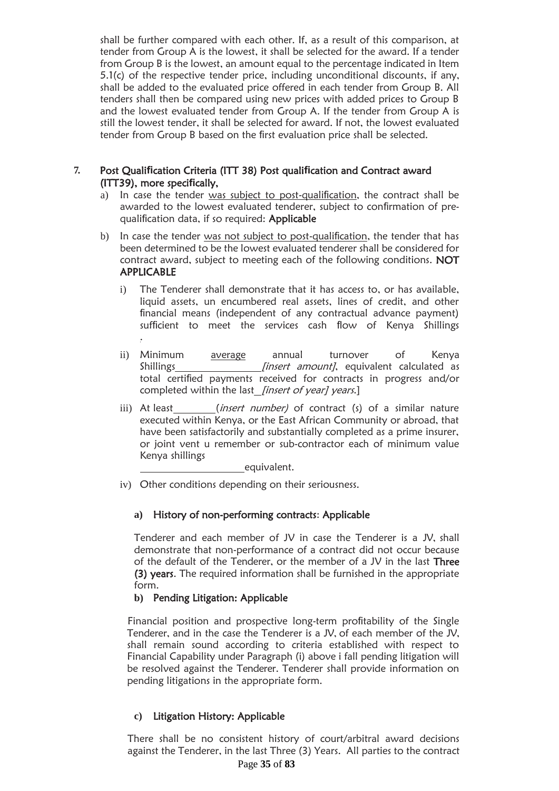shall be further compared with each other. If, as a result of this comparison, at tender from Group A is the lowest, it shall be selected for the award. If a tender from Group B is the lowest, an amount equal to the percentage indicated in Item 5.1(c) of the respective tender price, including unconditional discounts, if any, shall be added to the evaluated price offered in each tender from Group B. All tenders shall then be compared using new prices with added prices to Group B and the lowest evaluated tender from Group A. If the tender from Group A is still the lowest tender, it shall be selected for award. If not, the lowest evaluated tender from Group B based on the first evaluation price shall be selected.

#### **7.** Post Quali**fi**cation Criteria (ITT 38) Post quali**fi**cation and Contract award (ITT39), more speci**fi**cally,

- a) In case the tender was subject to post-qualification, the contract shall be awarded to the lowest evaluated tenderer, subject to confirmation of prequalification data, if so required: Applicable
- b) In case the tender was not subject to post-qualification, the tender that has been determined to be the lowest evaluated tenderer shall be considered for contract award, subject to meeting each of the following conditions. NOT APPLICABLE
	- i) The Tenderer shall demonstrate that it has access to, or has available, liquid assets, un encumbered real assets, lines of credit, and other financial means (independent of any contractual advance payment) sufficient to meet the services cash flow of Kenya Shillings .
	- ii) Minimum average annual turnover of Kenya Shillings **Example 2** *Shillings [insert amount]*, equivalent calculated as total certified payments received for contracts in progress and/or completed within the last\_*[insert of year] years*.]
	- iii) At least  $(inset number)$  of contract (s) of a similar nature executed within Kenya, or the East African Community or abroad, that have been satisfactorily and substantially completed as a prime insurer, or joint vent u remember or sub-contractor each of minimum value Kenya shillings

equivalent.

iv) Other conditions depending on their seriousness.

#### **a)** History of non-performing contracts: Applicable

Tenderer and each member of JV in case the Tenderer is a JV, shall demonstrate that non-performance of a contract did not occur because of the default of the Tenderer, or the member of a JV in the last Three (3) years. The required information shall be furnished in the appropriate form.

#### **b)** Pending Litigation: Applicable

Financial position and prospective long-term profitability of the Single Tenderer, and in the case the Tenderer is a JV, of each member of the JV, shall remain sound according to criteria established with respect to Financial Capability under Paragraph (i) above i fall pending litigation will be resolved against the Tenderer. Tenderer shall provide information on pending litigations in the appropriate form.

#### **c)** Litigation History: Applicable

There shall be no consistent history of court/arbitral award decisions against the Tenderer, in the last Three (3) Years. All parties to the contract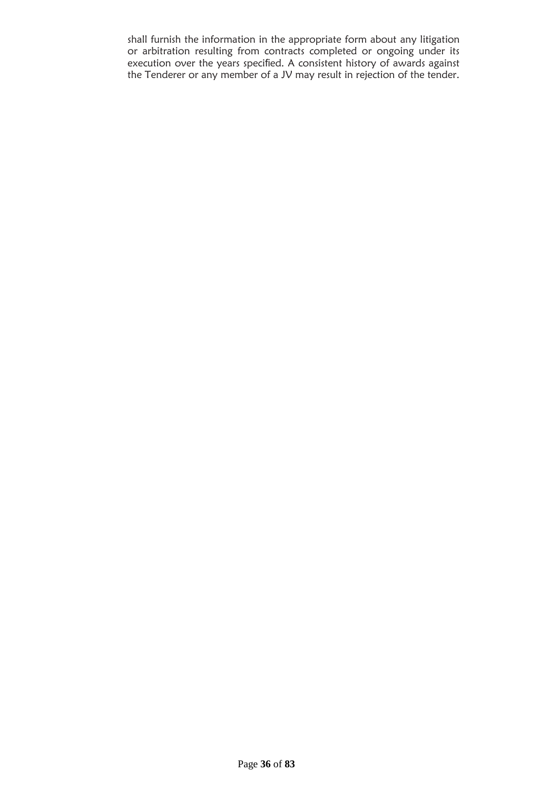shall furnish the information in the appropriate form about any litigation or arbitration resulting from contracts completed or ongoing under its execution over the years specified. A consistent history of awards against the Tenderer or any member of a JV may result in rejection of the tender.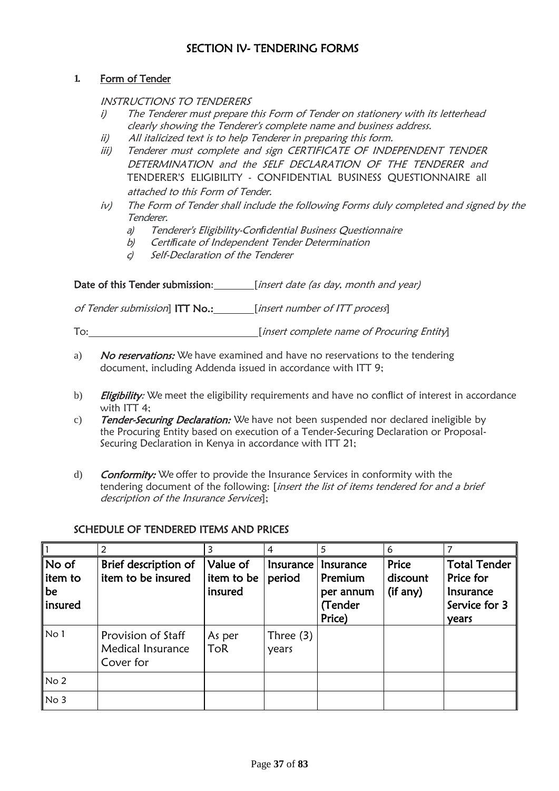# SECTION IV- TENDERING FORMS

#### **1.** Form of Tender

INSTRUCTIONS TO TENDERERS

- i) The Tenderer must prepare this Form of Tender on stationery with its letterhead clearly showing the Tenderer's complete name and business address.
- ii) All italicized text is to help Tenderer in preparing this form.
- iii) Tenderer must complete and sign CERTIFICATE OF INDEPENDENT TENDER DETERMINATION and the SELF DECLARATION OF THE TENDERER and TENDERER'S ELIGIBILITY - CONFIDENTIAL BUSINESS QUESTIONNAIRE all attached to this Form of Tender.
- iv) The Form of Tender shall include the following Forms duly completed and signed by the Tenderer.
	- a) Tenderer's Eligibility-Con*fi*dential Business Questionnaire
	- b) Certi*fi*cate of Independent Tender Determination
	- c) Self-Declaration of the Tenderer

Date of this Tender submission: *[insert date (as day, month and year)* 

of Tender submission] ITT No.: *[insert number of ITT process]* 

To: <u>[insert complete name of Procuring Entity]</u>

- a) No reservations: We have examined and have no reservations to the tendering document, including Addenda issued in accordance with ITT 9;
- b) Eligibility: We meet the eligibility requirements and have no conflict of interest in accordance with ITT 4:
- c) Tender-Securing Declaration: We have not been suspended nor declared ineligible by the Procuring Entity based on execution of a Tender-Securing Declaration or Proposal-Securing Declaration in Kenya in accordance with ITT 21;
- d) **Conformity:** We offer to provide the Insurance Services in conformity with the tendering document of the following: [insert the list of items tendered for and a brief description of the Insurance Services];

|                                                               |                                                      | 3                                 | 4                    | 5                                                      | 6                             |                                                                  |
|---------------------------------------------------------------|------------------------------------------------------|-----------------------------------|----------------------|--------------------------------------------------------|-------------------------------|------------------------------------------------------------------|
| $\overline{\phantom{a}}$ No of<br>∥item to<br>be<br>  insured | Brief description of<br>item to be insured           | Value of<br>item to be<br>insured | Insurance<br>period  | Insurance<br>Premium<br>per annum<br>(Tender<br>Price) | Price<br>discount<br>(if any) | Total Tender<br>Price for<br>Insurance<br>Service for 3<br>years |
| No 1                                                          | Provision of Staff<br>Medical Insurance<br>Cover for | As per<br><b>ToR</b>              | Three $(3)$<br>years |                                                        |                               |                                                                  |
| No <sub>2</sub>                                               |                                                      |                                   |                      |                                                        |                               |                                                                  |
| $N0$ 3                                                        |                                                      |                                   |                      |                                                        |                               |                                                                  |

#### SCHEDULE OF TENDERED ITEMS AND PRICES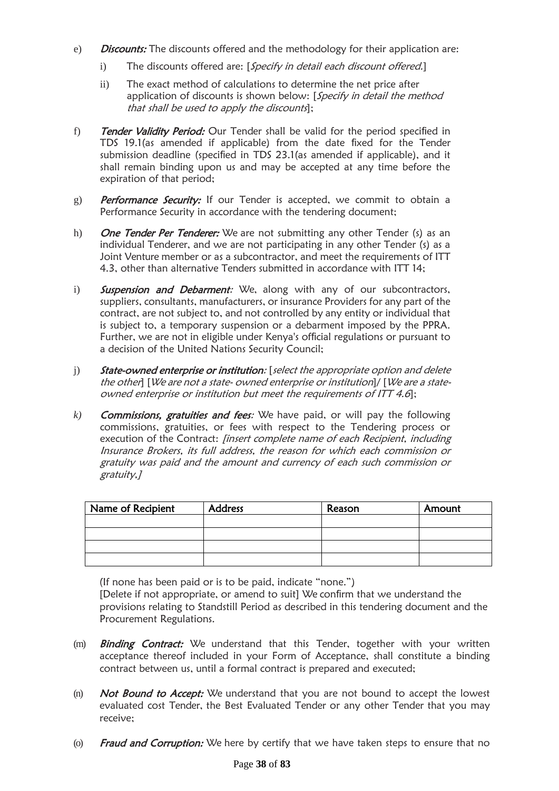- e) **Discounts:** The discounts offered and the methodology for their application are:
	- i) The discounts offered are: [Specify in detail each discount offered.]
	- ii) The exact method of calculations to determine the net price after application of discounts is shown below: [Specify in detail the method that shall be used to apply the discounts];
- f) Tender Validity Period: Our Tender shall be valid for the period specified in TDS 19.1(as amended if applicable) from the date fixed for the Tender submission deadline (specified in TDS 23.1(as amended if applicable), and it shall remain binding upon us and may be accepted at any time before the expiration of that period;
- g) Performance Security: If our Tender is accepted, we commit to obtain a Performance Security in accordance with the tendering document;
- h) One Tender Per Tenderer: We are not submitting any other Tender (s) as an individual Tenderer, and we are not participating in any other Tender (s) as a Joint Venture member or as a subcontractor, and meet the requirements of ITT 4.3, other than alternative Tenders submitted in accordance with ITT 14;
- i) **Suspension and Debarment:** We, along with any of our subcontractors, suppliers, consultants, manufacturers, or insurance Providers for any part of the contract, are not subject to, and not controlled by any entity or individual that is subject to, a temporary suspension or a debarment imposed by the PPRA. Further, we are not in eligible under Kenya's official regulations or pursuant to a decision of the United Nations Security Council;
- j) State-owned enterprise or institution: [select the appropriate option and delete the other] [We are not a state- owned enterprise or institution]/ [We are a stateowned enterprise or institution but meet the requirements of ITT 4.6];
- *k)* Commissions, gratuities and fees: We have paid, or will pay the following commissions, gratuities, or fees with respect to the Tendering process or execution of the Contract: [insert complete name of each Recipient, including Insurance Brokers, its full address, the reason for which each commission or gratuity was paid and the amount and currency of each such commission or gratuity,]

| Name of Recipient | <b>Address</b> | Reason | Amount |
|-------------------|----------------|--------|--------|
|                   |                |        |        |
|                   |                |        |        |
|                   |                |        |        |
|                   |                |        |        |

(If none has been paid or is to be paid, indicate "none.")

[Delete if not appropriate, or amend to suit] We confirm that we understand the provisions relating to Standstill Period as described in this tendering document and the Procurement Regulations.

- (m) **Binding Contract:** We understand that this Tender, together with your written acceptance thereof included in your Form of Acceptance, shall constitute a binding contract between us, until a formal contract is prepared and executed;
- (n) **Not Bound to Accept:** We understand that you are not bound to accept the lowest evaluated cost Tender, the Best Evaluated Tender or any other Tender that you may receive;
- (o) Fraud and Corruption: We here by certify that we have taken steps to ensure that no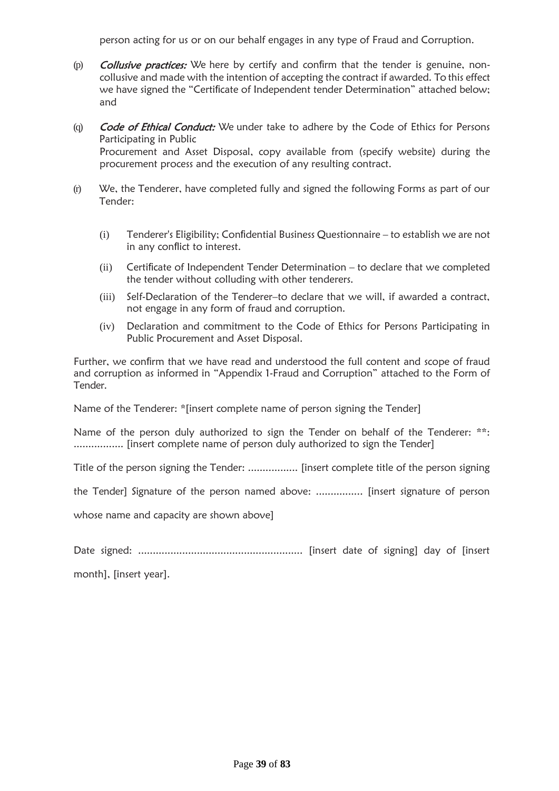person acting for us or on our behalf engages in any type of Fraud and Corruption.

- (p) **Collusive practices:** We here by certify and confirm that the tender is genuine, noncollusive and made with the intention of accepting the contract if awarded. To this effect we have signed the "Certificate of Independent tender Determination" attached below; and
- (q) **Code of Ethical Conduct:** We under take to adhere by the Code of Ethics for Persons Participating in Public Procurement and Asset Disposal, copy available from (specify website) during the procurement process and the execution of any resulting contract.
- (r) We, the Tenderer, have completed fully and signed the following Forms as part of our Tender:
	- (i) Tenderer's Eligibility; Confidential Business Questionnaire to establish we are not in any conflict to interest.
	- (ii) Certificate of Independent Tender Determination to declare that we completed the tender without colluding with other tenderers.
	- (iii) Self-Declaration of the Tenderer–to declare that we will, if awarded a contract, not engage in any form of fraud and corruption.
	- (iv) Declaration and commitment to the Code of Ethics for Persons Participating in Public Procurement and Asset Disposal.

Further, we confirm that we have read and understood the full content and scope of fraud and corruption as informed in "Appendix 1-Fraud and Corruption" attached to the Form of Tender.

Name of the Tenderer: \*[insert complete name of person signing the Tender]

Name of the person duly authorized to sign the Tender on behalf of the Tenderer: \*\*: ................. [insert complete name of person duly authorized to sign the Tender]

Title of the person signing the Tender: ................. [insert complete title of the person signing

the Tender] Signature of the person named above: ................ [insert signature of person

whose name and capacity are shown above]

Date signed: ........................................................ [insert date of signing] day of [insert

month], [insert year].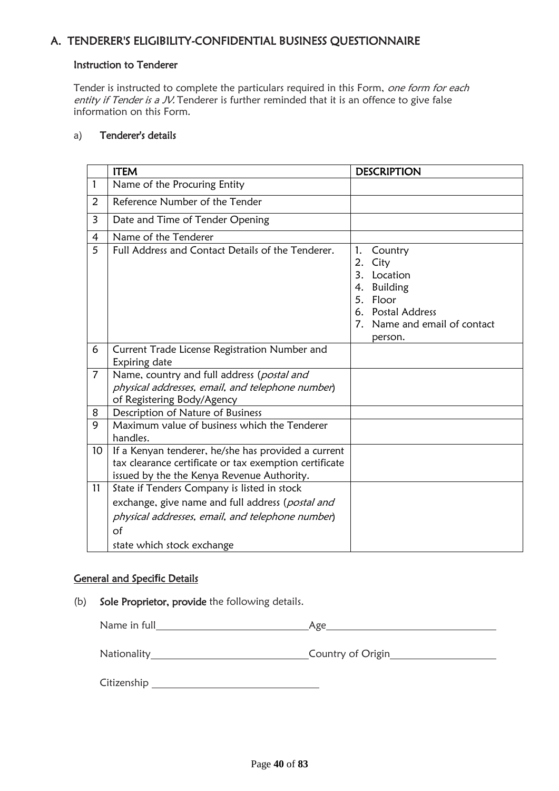# A. TENDERER'S ELIGIBILITY-CONFIDENTIAL BUSINESS QUESTIONNAIRE

#### Instruction to Tenderer

Tender is instructed to complete the particulars required in this Form, one form for each entity if Tender is a JV. Tenderer is further reminded that it is an offence to give false information on this Form.

#### a) Tenderer's details

|                | <b>ITEM</b>                                                                                                                                                                                    | <b>DESCRIPTION</b>                                                                                                                                                                   |
|----------------|------------------------------------------------------------------------------------------------------------------------------------------------------------------------------------------------|--------------------------------------------------------------------------------------------------------------------------------------------------------------------------------------|
| 1              | Name of the Procuring Entity                                                                                                                                                                   |                                                                                                                                                                                      |
| 2              | Reference Number of the Tender                                                                                                                                                                 |                                                                                                                                                                                      |
| 3              | Date and Time of Tender Opening                                                                                                                                                                |                                                                                                                                                                                      |
| 4              | Name of the Tenderer                                                                                                                                                                           |                                                                                                                                                                                      |
| 5              | Full Address and Contact Details of the Tenderer.                                                                                                                                              | 1.<br>Country<br>2.<br>City<br>3.<br>Location<br><b>Building</b><br>4.<br>5.<br>Floor<br>6. Postal Address<br>Name and email of contact<br>$7_{\scriptscriptstyle{\sim}}$<br>person. |
| 6              | Current Trade License Registration Number and<br>Expiring date                                                                                                                                 |                                                                                                                                                                                      |
| $\overline{7}$ | Name, country and full address (postal and<br>physical addresses, email, and telephone number)<br>of Registering Body/Agency                                                                   |                                                                                                                                                                                      |
| 8              | Description of Nature of Business                                                                                                                                                              |                                                                                                                                                                                      |
| 9              | Maximum value of business which the Tenderer<br>handles.                                                                                                                                       |                                                                                                                                                                                      |
| 10             | If a Kenyan tenderer, he/she has provided a current<br>tax clearance certificate or tax exemption certificate<br>issued by the the Kenya Revenue Authority.                                    |                                                                                                                                                                                      |
| 11             | State if Tenders Company is listed in stock<br>exchange, give name and full address (postal and<br>physical addresses, email, and telephone number)<br>$\circ$ f<br>state which stock exchange |                                                                                                                                                                                      |

#### General and Speci**fi**c Details

(b) Sole Proprietor, provide the following details.

Name in full example and the contract of Age example and Age and the contract of Age and the Contract of Age and the Contract of Age and the Contract of Age and the Contract of Age and the Contract of Age and the Contract Nationality Country of Origin

Citizenship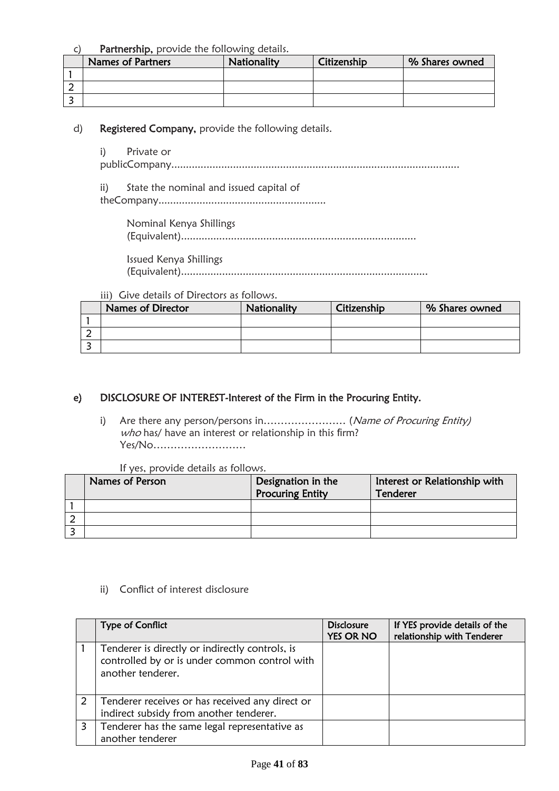#### c) Partnership, provide the following details.

| <b>Names of Partners</b> | Nationality | Citizenship | % Shares owned |
|--------------------------|-------------|-------------|----------------|
|                          |             |             |                |
|                          |             |             |                |
|                          |             |             |                |

#### d) Registered Company, provide the following details.

- i) Private or publicCompany..................................................................................................
- ii) State the nominal and issued capital of
- theCompany.........................................................
	- Nominal Kenya Shillings
	- (Equivalent)................................................................................

Issued Kenya Shillings

(Equivalent)....................................................................................

#### iii) Give details of Directors as follows.

| <b>Names of Director</b> | Nationality | Citizenship | % Shares owned |
|--------------------------|-------------|-------------|----------------|
|                          |             |             |                |
|                          |             |             |                |
|                          |             |             |                |

#### e) DISCLOSURE OF INTEREST-Interest of the Firm in the Procuring Entity.

i) Are there any person/persons in…………………… (Name of Procuring Entity)  $who$  has/ have an interest or relationship in this firm? Yes/No………………………

If yes, provide details as follows.

| Names of Person | Designation in the<br><b>Procuring Entity</b> | Interest or Relationship with<br>Tenderer |
|-----------------|-----------------------------------------------|-------------------------------------------|
|                 |                                               |                                           |
|                 |                                               |                                           |
|                 |                                               |                                           |

ii) Conflict of interest disclosure

|   | <b>Type of Conflict</b>                                                                                               | <b>Disclosure</b><br><b>YES OR NO</b> | If YES provide details of the<br>relationship with Tenderer |
|---|-----------------------------------------------------------------------------------------------------------------------|---------------------------------------|-------------------------------------------------------------|
|   | Tenderer is directly or indirectly controls, is<br>controlled by or is under common control with<br>another tenderer. |                                       |                                                             |
| 2 | Tenderer receives or has received any direct or<br>indirect subsidy from another tenderer.                            |                                       |                                                             |
| 3 | Tenderer has the same legal representative as<br>another tenderer                                                     |                                       |                                                             |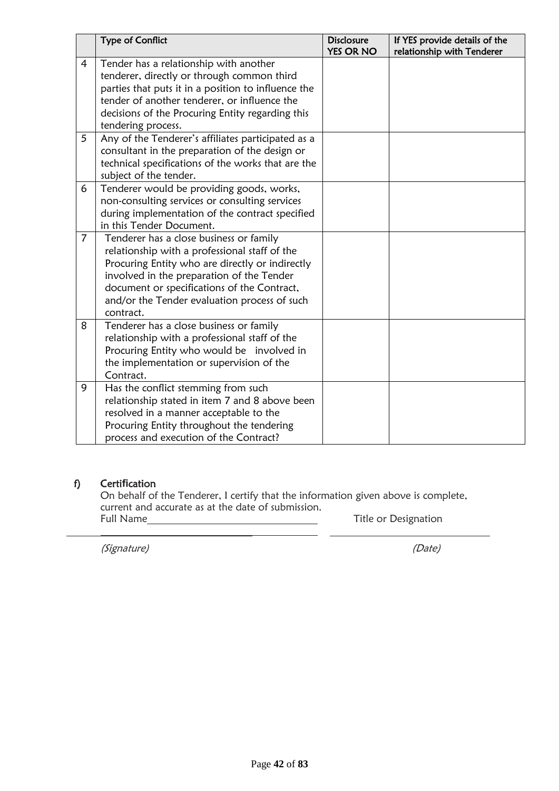|                | <b>Type of Conflict</b>                                                                                                                                                                                                                                                                              | <b>Disclosure</b><br><b>YES OR NO</b> | If YES provide details of the<br>relationship with Tenderer |
|----------------|------------------------------------------------------------------------------------------------------------------------------------------------------------------------------------------------------------------------------------------------------------------------------------------------------|---------------------------------------|-------------------------------------------------------------|
| 4              | Tender has a relationship with another<br>tenderer, directly or through common third<br>parties that puts it in a position to influence the<br>tender of another tenderer, or influence the<br>decisions of the Procuring Entity regarding this<br>tendering process.                                |                                       |                                                             |
| 5              | Any of the Tenderer's affiliates participated as a<br>consultant in the preparation of the design or<br>technical specifications of the works that are the<br>subject of the tender.                                                                                                                 |                                       |                                                             |
| 6              | Tenderer would be providing goods, works,<br>non-consulting services or consulting services<br>during implementation of the contract specified<br>in this Tender Document.                                                                                                                           |                                       |                                                             |
| $\overline{7}$ | Tenderer has a close business or family<br>relationship with a professional staff of the<br>Procuring Entity who are directly or indirectly<br>involved in the preparation of the Tender<br>document or specifications of the Contract,<br>and/or the Tender evaluation process of such<br>contract. |                                       |                                                             |
| 8              | Tenderer has a close business or family<br>relationship with a professional staff of the<br>Procuring Entity who would be involved in<br>the implementation or supervision of the<br>Contract.                                                                                                       |                                       |                                                             |
| 9              | Has the conflict stemming from such<br>relationship stated in item 7 and 8 above been<br>resolved in a manner acceptable to the<br>Procuring Entity throughout the tendering<br>process and execution of the Contract?                                                                               |                                       |                                                             |

#### f) Certi**fi**cation

On behalf of the Tenderer, I certify that the information given above is complete, current and accurate as at the date of submission. Full Name Title or Designation

(Signature) (Date)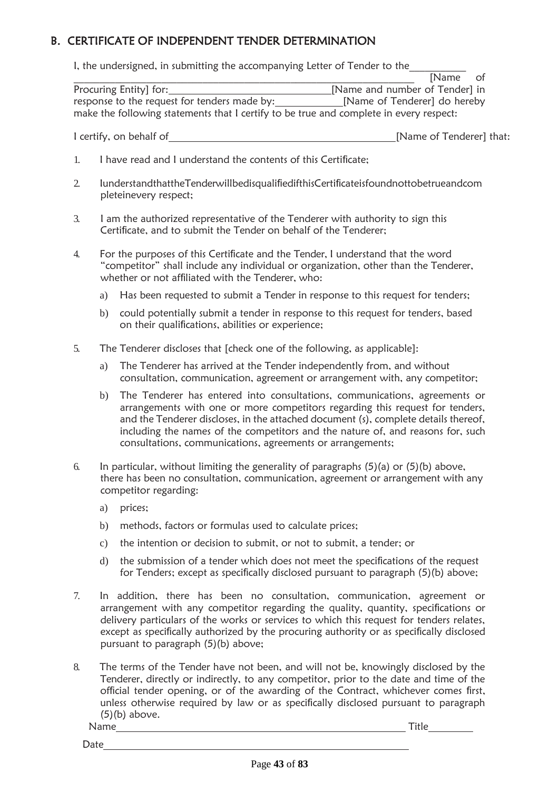# B. CERTIFICATE OF INDEPENDENT TENDER DETERMINATION

I, the undersigned, in submitting the accompanying Letter of Tender to the  $\frac{N_{\text{P}}}{N_{\text{P}}}\frac{1}{N_{\text{P}}}}$ 

|                                                                                        | [Name of                       |
|----------------------------------------------------------------------------------------|--------------------------------|
| Procuring Entity] for:                                                                 | [Name and number of Tender] in |
| response to the request for tenders made by:                                           | [Name of Tenderer] do hereby   |
| make the following statements that I certify to be true and complete in every respect: |                                |

I certify, on behalf of [Name of Tenderer] that:

- 1. I have read and I understand the contents of this Certificate;
- 2. IunderstandthattheTenderwillbedisqualifiedifthisCertificateisfoundnottobetrueandcom pleteinevery respect;
- 3. I am the authorized representative of the Tenderer with authority to sign this Certificate, and to submit the Tender on behalf of the Tenderer;
- 4. For the purposes of this Certificate and the Tender, I understand that the word "competitor" shall include any individual or organization, other than the Tenderer, whether or not affiliated with the Tenderer, who:
	- a) Has been requested to submit a Tender in response to this request for tenders;
	- b) could potentially submit a tender in response to this request for tenders, based on their qualifications, abilities or experience;
- 5. The Tenderer discloses that [check one of the following, as applicable]:
	- a) The Tenderer has arrived at the Tender independently from, and without consultation, communication, agreement or arrangement with, any competitor;
	- b) The Tenderer has entered into consultations, communications, agreements or arrangements with one or more competitors regarding this request for tenders, and the Tenderer discloses, in the attached document (s), complete details thereof, including the names of the competitors and the nature of, and reasons for, such consultations, communications, agreements or arrangements;
- 6. In particular, without limiting the generality of paragraphs  $(5)(a)$  or  $(5)(b)$  above, there has been no consultation, communication, agreement or arrangement with any competitor regarding:
	- a) prices;
	- b) methods, factors or formulas used to calculate prices;
	- c) the intention or decision to submit, or not to submit, a tender; or
	- d) the submission of a tender which does not meet the specifications of the request for Tenders; except as specifically disclosed pursuant to paragraph (5)(b) above;
- 7. In addition, there has been no consultation, communication, agreement or arrangement with any competitor regarding the quality, quantity, specifications or delivery particulars of the works or services to which this request for tenders relates, except as specifically authorized by the procuring authority or as specifically disclosed pursuant to paragraph (5)(b) above;
- 8. The terms of the Tender have not been, and will not be, knowingly disclosed by the Tenderer, directly or indirectly, to any competitor, prior to the date and time of the official tender opening, or of the awarding of the Contract, whichever comes first, unless otherwise required by law or as specifically disclosed pursuant to paragraph (5)(b) above.

Date

Name Title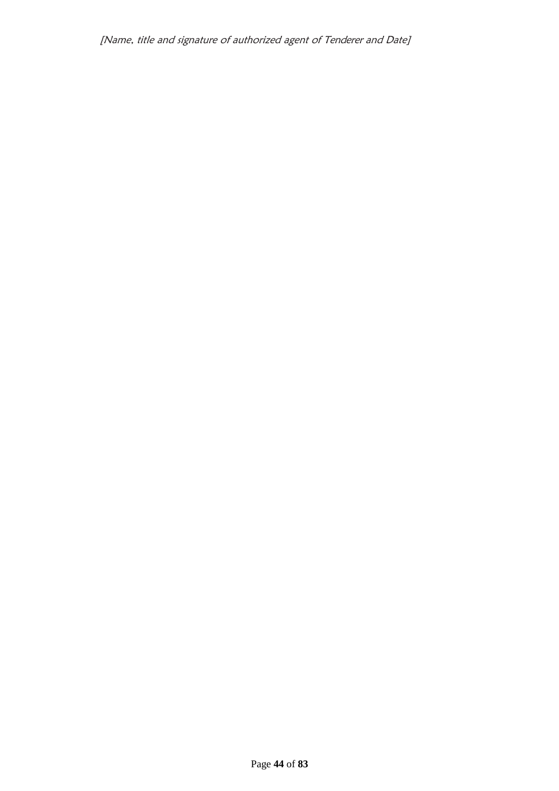[Name, title and signature of authorized agent of Tenderer and Date]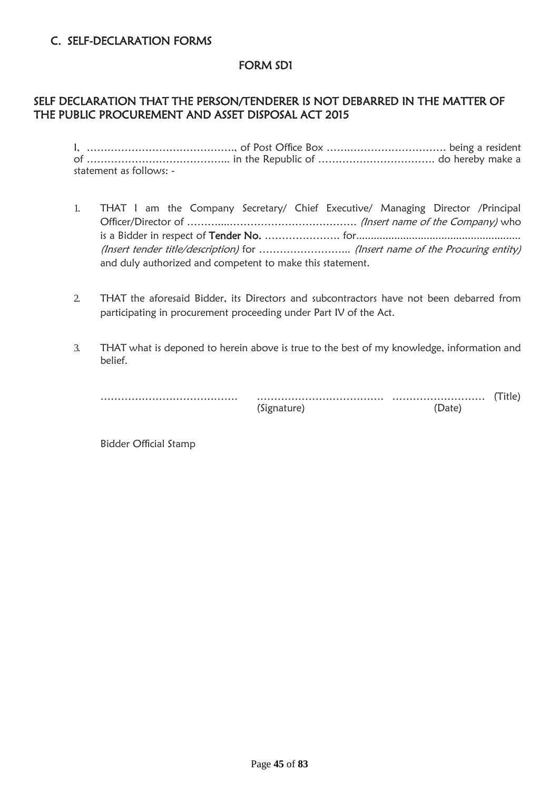#### FORM SD1

## SELF DECLARATION THAT THE PERSON/TENDERER IS NOT DEBARRED IN THE MATTER OF THE PUBLIC PROCUREMENT AND ASSET DISPOSAL ACT 2015

I, ……………………………………., of Post Office Box …….………………………. being a resident of …………………………………... in the Republic of ……………………………. do hereby make a statement as follows: -

- 1. THAT I am the Company Secretary/ Chief Executive/ Managing Director /Principal Officer/Director of ………....………………………………. (Insert name of the Company) who is a Bidder in respect of Tender No. …………………. for........................................................ (Insert tender title/description) for ……………………... (Insert name of the Procuring entity) and duly authorized and competent to make this statement.
- 2. THAT the aforesaid Bidder, its Directors and subcontractors have not been debarred from participating in procurement proceeding under Part IV of the Act.
- 3. THAT what is deponed to herein above is true to the best of my knowledge, information and belief.

…………………………………. ………………………………. ……………………… (Title) (Signature) (Date)

Bidder Official Stamp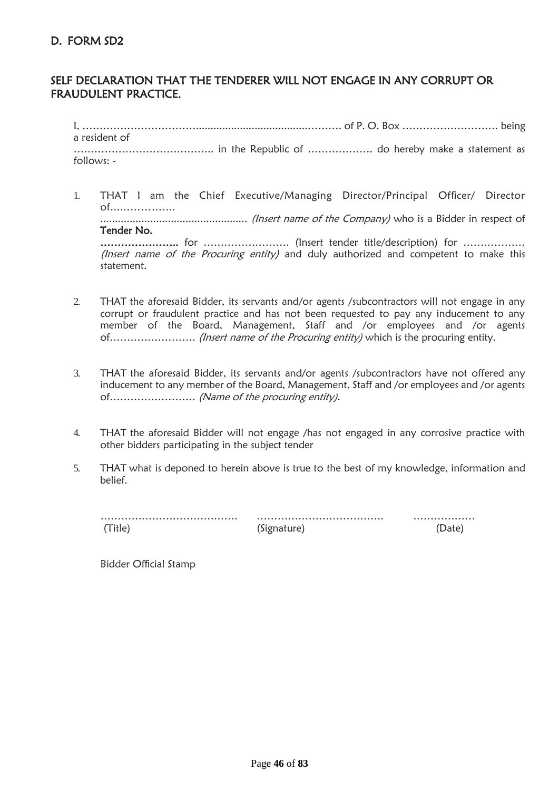## SELF DECLARATION THAT THE TENDERER WILL NOT ENGAGE IN ANY CORRUPT OR FRAUDULENT PRACTICE.

I, ……………………………......................................………. of P. O. Box ………………………. being a resident of ………………………………….. in the Republic of ………………. do hereby make a statement as follows: -

- 1. THAT I am the Chief Executive/Managing Director/Principal Officer/ Director of......……….... .................................................. (Insert name of the Company) who is a Bidder in respect of Tender No. ………………….. for ……………………. (Insert tender title/description) for ……………… (Insert name of the Procuring entity) and duly authorized and competent to make this statement.
- 2. THAT the aforesaid Bidder, its servants and/or agents /subcontractors will not engage in any corrupt or fraudulent practice and has not been requested to pay any inducement to any member of the Board, Management, Staff and /or employees and /or agents of……………………. (Insert name of the Procuring entity) which is the procuring entity.
- 3. THAT the aforesaid Bidder, its servants and/or agents /subcontractors have not offered any inducement to any member of the Board, Management, Staff and /or employees and /or agents of……………………. (Name of the procuring entity).
- 4. THAT the aforesaid Bidder will not engage /has not engaged in any corrosive practice with other bidders participating in the subject tender
- 5. THAT what is deponed to herein above is true to the best of my knowledge, information and belief.

|         |             | .                 |
|---------|-------------|-------------------|
| (Title) | (Signature) | Date <sup>1</sup> |

Bidder Official Stamp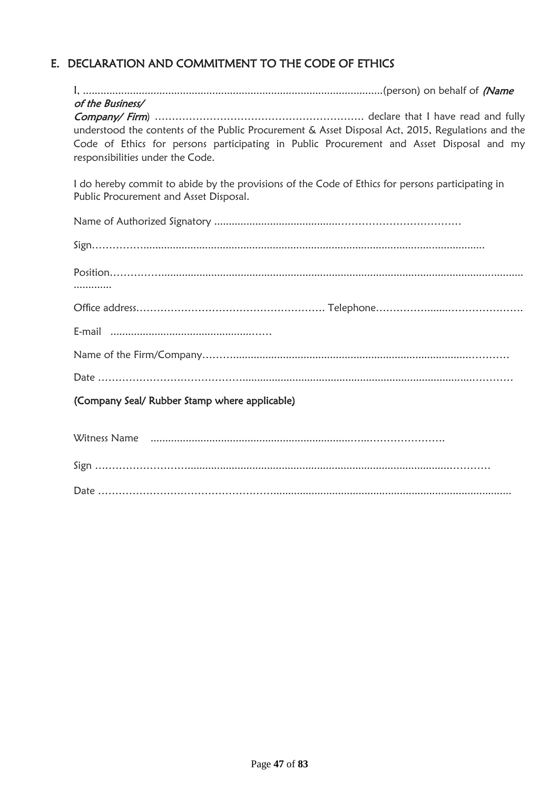# E. DECLARATION AND COMMITMENT TO THE CODE OF ETHICS

| of the Business/                                                                                  |
|---------------------------------------------------------------------------------------------------|
|                                                                                                   |
| understood the contents of the Public Procurement & Asset Disposal Act, 2015, Regulations and the |
| Code of Ethics for persons participating in Public Procurement and Asset Disposal and my          |
| responsibilities under the Code.                                                                  |
| I do hereby commit to abide by the provisions of the Code of Ethics for persons participating in  |
| Public Procurement and Asset Disposal.                                                            |
|                                                                                                   |
|                                                                                                   |
|                                                                                                   |
|                                                                                                   |
|                                                                                                   |
|                                                                                                   |
|                                                                                                   |
|                                                                                                   |
|                                                                                                   |
|                                                                                                   |
|                                                                                                   |
|                                                                                                   |
| (Company Seal/ Rubber Stamp where applicable)                                                     |
|                                                                                                   |
|                                                                                                   |
|                                                                                                   |
|                                                                                                   |
|                                                                                                   |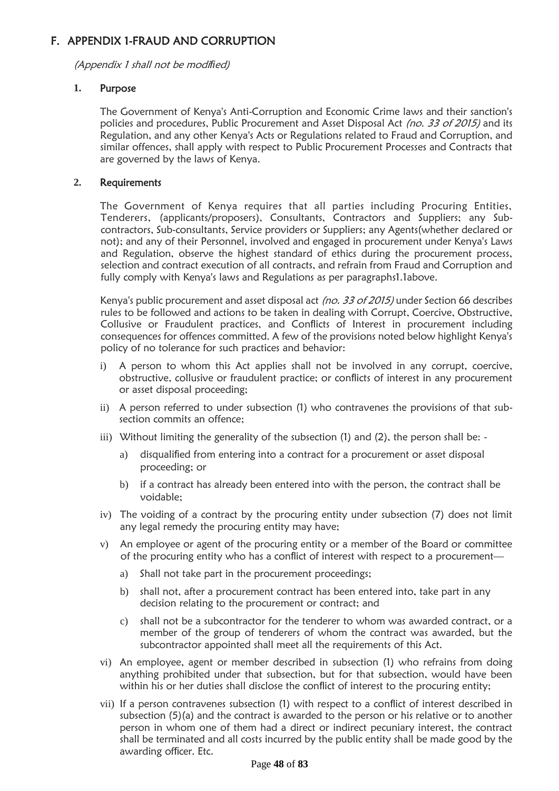# F. APPENDIX 1-FRAUD AND CORRUPTION

(Appendix 1 shall not be modi*fi*ed)

#### **1.** Purpose

The Government of Kenya's Anti-Corruption and Economic Crime laws and their sanction's policies and procedures, Public Procurement and Asset Disposal Act (no. 33 of 2015) and its Regulation, and any other Kenya's Acts or Regulations related to Fraud and Corruption, and similar offences, shall apply with respect to Public Procurement Processes and Contracts that are governed by the laws of Kenya.

#### **2.** Requirements

The Government of Kenya requires that all parties including Procuring Entities, Tenderers, (applicants/proposers), Consultants, Contractors and Suppliers; any Subcontractors, Sub-consultants, Service providers or Suppliers; any Agents(whether declared or not); and any of their Personnel, involved and engaged in procurement under Kenya's Laws and Regulation, observe the highest standard of ethics during the procurement process, selection and contract execution of all contracts, and refrain from Fraud and Corruption and fully comply with Kenya's laws and Regulations as per paragraphs1.1above.

Kenya's public procurement and asset disposal act (no. 33 of 2015) under Section 66 describes rules to be followed and actions to be taken in dealing with Corrupt, Coercive, Obstructive, Collusive or Fraudulent practices, and Conflicts of Interest in procurement including consequences for offences committed. A few of the provisions noted below highlight Kenya's policy of no tolerance for such practices and behavior:

- i) A person to whom this Act applies shall not be involved in any corrupt, coercive, obstructive, collusive or fraudulent practice; or conflicts of interest in any procurement or asset disposal proceeding;
- ii) A person referred to under subsection (1) who contravenes the provisions of that subsection commits an offence;
- iii) Without limiting the generality of the subsection (1) and (2), the person shall be:
	- a) disqualified from entering into a contract for a procurement or asset disposal proceeding; or
	- b) if a contract has already been entered into with the person, the contract shall be voidable;
- iv) The voiding of a contract by the procuring entity under subsection (7) does not limit any legal remedy the procuring entity may have;
- v) An employee or agent of the procuring entity or a member of the Board or committee of the procuring entity who has a conflict of interest with respect to a procurement
	- a) Shall not take part in the procurement proceedings;
	- b) shall not, after a procurement contract has been entered into, take part in any decision relating to the procurement or contract; and
	- c) shall not be a subcontractor for the tenderer to whom was awarded contract, or a member of the group of tenderers of whom the contract was awarded, but the subcontractor appointed shall meet all the requirements of this Act.
- vi) An employee, agent or member described in subsection (1) who refrains from doing anything prohibited under that subsection, but for that subsection, would have been within his or her duties shall disclose the conflict of interest to the procuring entity;
- vii) If a person contravenes subsection (1) with respect to a conflict of interest described in subsection (5)(a) and the contract is awarded to the person or his relative or to another person in whom one of them had a direct or indirect pecuniary interest, the contract shall be terminated and all costs incurred by the public entity shall be made good by the awarding officer. Etc.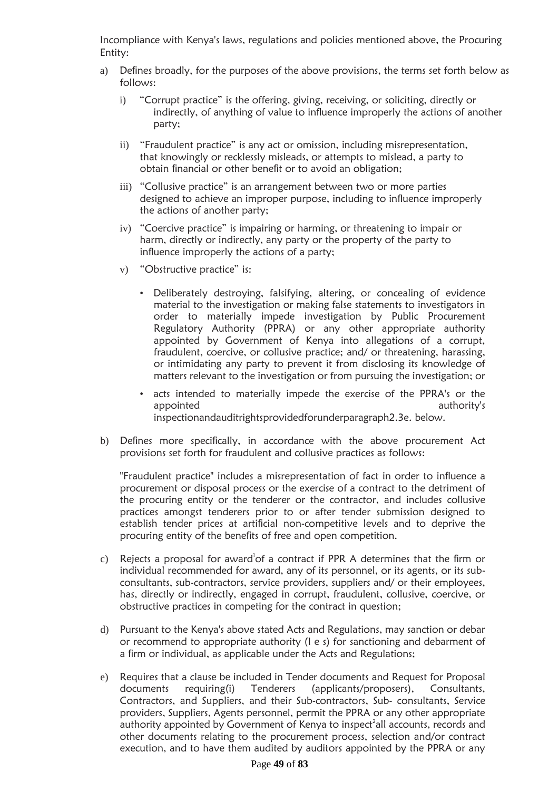Incompliance with Kenya's laws, regulations and policies mentioned above, the Procuring Entity:

- a) Defines broadly, for the purposes of the above provisions, the terms set forth below as follows:
	- i) "Corrupt practice" is the offering, giving, receiving, or soliciting, directly or indirectly, of anything of value to influence improperly the actions of another party;
	- ii) "Fraudulent practice" is any act or omission, including misrepresentation, that knowingly or recklessly misleads, or attempts to mislead, a party to obtain financial or other benefit or to avoid an obligation;
	- iii) "Collusive practice" is an arrangement between two or more parties designed to achieve an improper purpose, including to influence improperly the actions of another party;
	- iv) "Coercive practice" is impairing or harming, or threatening to impair or harm, directly or indirectly, any party or the property of the party to influence improperly the actions of a party;
	- v) "Obstructive practice" is:
		- Deliberately destroying, falsifying, altering, or concealing of evidence material to the investigation or making false statements to investigators in order to materially impede investigation by Public Procurement Regulatory Authority (PPRA) or any other appropriate authority appointed by Government of Kenya into allegations of a corrupt, fraudulent, coercive, or collusive practice; and/ or threatening, harassing, or intimidating any party to prevent it from disclosing its knowledge of matters relevant to the investigation or from pursuing the investigation; or
		- acts intended to materially impede the exercise of the PPRA's or the appointed and authority's authority's inspectionandauditrightsprovidedforunderparagraph2.3e. below.
- b) Defines more specifically, in accordance with the above procurement Act provisions set forth for fraudulent and collusive practices as follows:

"Fraudulent practice" includes a misrepresentation of fact in order to influence a procurement or disposal process or the exercise of a contract to the detriment of the procuring entity or the tenderer or the contractor, and includes collusive practices amongst tenderers prior to or after tender submission designed to establish tender prices at artificial non-competitive levels and to deprive the procuring entity of the benefits of free and open competition.

- c) Rejects a proposal for award of a contract if PPR A determines that the firm or individual recommended for award, any of its personnel, or its agents, or its subconsultants, sub-contractors, service providers, suppliers and/ or their employees, has, directly or indirectly, engaged in corrupt, fraudulent, collusive, coercive, or obstructive practices in competing for the contract in question;
- d) Pursuant to the Kenya's above stated Acts and Regulations, may sanction or debar or recommend to appropriate authority (I e s) for sanctioning and debarment of a firm or individual, as applicable under the Acts and Regulations;
- e) Requires that a clause be included in Tender documents and Request for Proposal documents requiring(i) Tenderers (applicants/proposers), Consultants, Contractors, and Suppliers, and their Sub-contractors, Sub- consultants, Service providers, Suppliers, Agents personnel, permit the PPRA or any other appropriate authority appointed by Government of Kenya to inspect<sup>2</sup>all accounts, records and other documents relating to the procurement process, selection and/or contract execution, and to have them audited by auditors appointed by the PPRA or any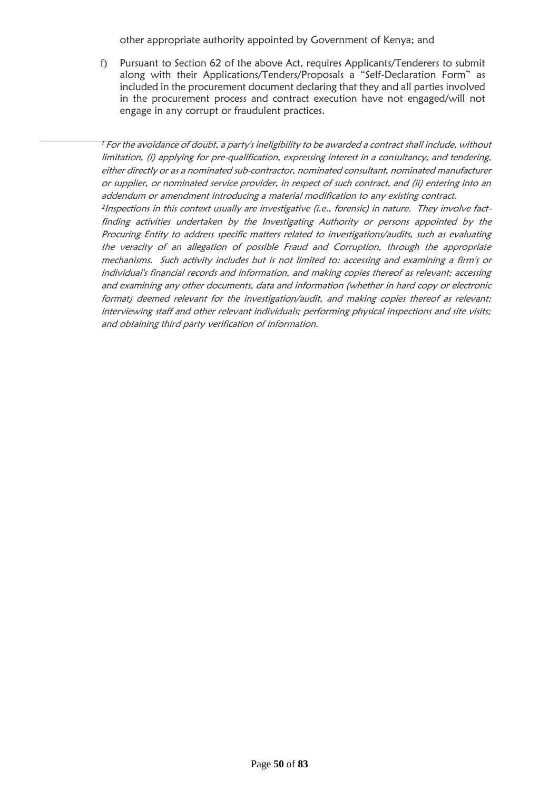other appropriate authority appointed by Government of Kenya; and

f) Pursuant to Section 62 of the above Act, requires Applicants/Tenderers to submit along with their Applications/Tenders/Proposals a "Self-Declaration Form" as included in the procurement document declaring that they and all parties involved in the procurement process and contract execution have not engaged/will not engage in any corrupt or fraudulent practices.

<sup>1</sup> For the avoidance of doubt, a party's ineligibility to be awarded a contract shall include, without limitation, (i) applying for pre-qualification, expressing interest in a consultancy, and tendering, either directly or as a nominated sub-contractor, nominated consultant, nominated manufacturer or supplier, or nominated service provider, in respect of such contract, and (ii) entering into an addendum or amendment introducing a material modification to any existing contract. 2 Inspections in this context usually are investigative (i.e., forensic) in nature. They involve factfinding activities undertaken by the Investigating Authority or persons appointed by the Procuring Entity to address specific matters related to investigations/audits, such as evaluating the veracity of an allegation of possible Fraud and Corruption, through the appropriate mechanisms. Such activity includes but is not limited to: accessing and examining a firm's or individual's financial records and information, and making copies thereof as relevant; accessing and examining any other documents, data and information (whether in hard copy or electronic format) deemed relevant for the investigation/audit, and making copies thereof as relevant; interviewing staff and other relevant individuals; performing physical inspections and site visits; and obtaining third party verification of information.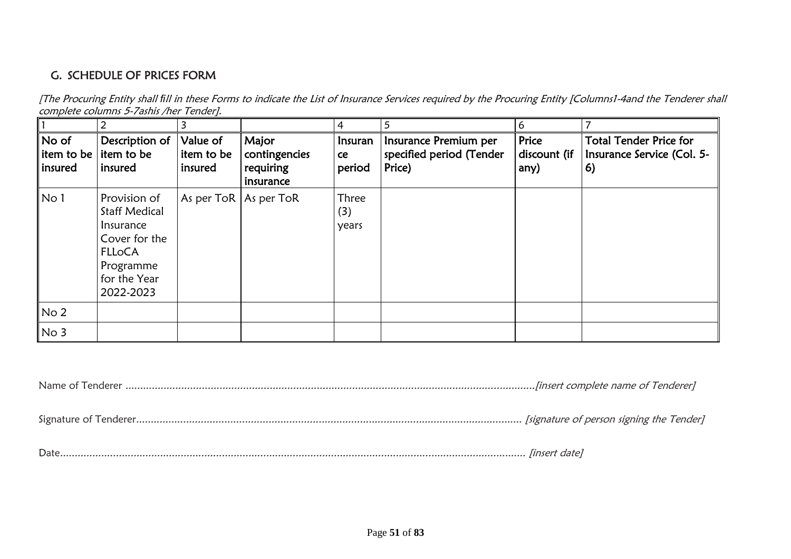# G. SCHEDULE OF PRICES FORM

[The Procuring Entity shall *fi*ll in these Forms to indicate the List of Insurance Services required by the Procuring Entity [Columns1-4and the Tenderer shall complete columns 5-7ashis /her Tender].

|                                                                     | 2                                                                                                                      |                                   |                                                  | 4                       | 5                                                           | ь                             |                                                                   |
|---------------------------------------------------------------------|------------------------------------------------------------------------------------------------------------------------|-----------------------------------|--------------------------------------------------|-------------------------|-------------------------------------------------------------|-------------------------------|-------------------------------------------------------------------|
| $\overline{\phantom{a}}$ No of<br>$\parallel$ item to be<br>insured | Description of<br>item to be<br>insured                                                                                | Value of<br>item to be<br>insured | Major<br>contingencies<br>requiring<br>insurance | Insuran<br>ce<br>period | Insurance Premium per<br>specified period (Tender<br>Price) | Price<br>discount (if<br>any) | <b>Total Tender Price for</b><br>Insurance Service (Col. 5-<br>6) |
| N <sub>0</sub> 1                                                    | Provision of<br><b>Staff Medical</b><br>Insurance<br>Cover for the<br>FLLoCA<br>Programme<br>for the Year<br>2022-2023 |                                   | As per $ToR$   As per $ToR$                      | Three<br>(3)<br>years   |                                                             |                               |                                                                   |
| N <sub>0</sub>                                                      |                                                                                                                        |                                   |                                                  |                         |                                                             |                               |                                                                   |
| $\vert$ No 3                                                        |                                                                                                                        |                                   |                                                  |                         |                                                             |                               |                                                                   |

Name of Tenderer ...........................................................................................................................................[insert complete name of Tenderer]

Signature of Tenderer................................................................................................................................... [signature of person signing the Tender]

|--|--|--|--|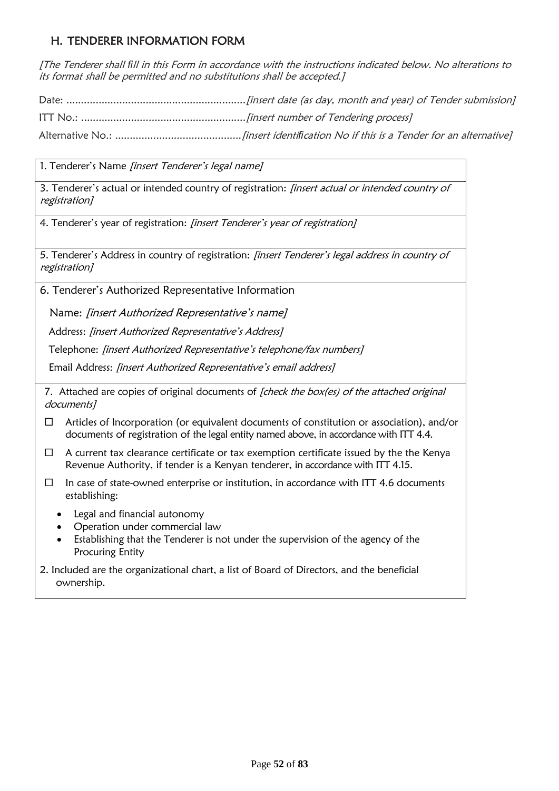# H. TENDERER INFORMATION FORM

[The Tenderer shall *fi*ll in this Form in accordance with the instructions indicated below. No alterations to its format shall be permitted and no substitutions shall be accepted.]

Date: .............................................................[insert date (as day, month and year) of Tender submission] ITT No.: ........................................................[insert number of Tendering process] Alternative No.: ...........................................[insert identi*fi*cation No if this is a Tender for an alternative]

1. Tenderer's Name [insert Tenderer's legal name]

3. Tenderer's actual or intended country of registration: *[insert actual or intended country of* registration]

4. Tenderer's year of registration: *[insert Tenderer's year of registration]* 

5. Tenderer's Address in country of registration: *[insert Tenderer's legal address in country of* registration]

6. Tenderer's Authorized Representative Information

Name: [insert Authorized Representative's name]

Address: [insert Authorized Representative's Address]

Telephone: *[insert Authorized Representative's telephone/fax numbers]* 

Email Address: [insert Authorized Representative's email address]

7. Attached are copies of original documents of *[check the box(es)* of the attached original documents]

- $\Box$  Articles of Incorporation (or equivalent documents of constitution or association), and/or documents of registration of the legal entity named above, in accordance with ITT 4.4.
- $\Box$  A current tax clearance certificate or tax exemption certificate issued by the the Kenya Revenue Authority, if tender is a Kenyan tenderer, in accordance with ITT 4.15.
- $\Box$  In case of state-owned enterprise or institution, in accordance with ITT 4.6 documents establishing:
	- Legal and financial autonomy
	- Operation under commercial law
	- Establishing that the Tenderer is not under the supervision of the agency of the Procuring Entity

2. Included are the organizational chart, a list of Board of Directors, and the beneficial ownership.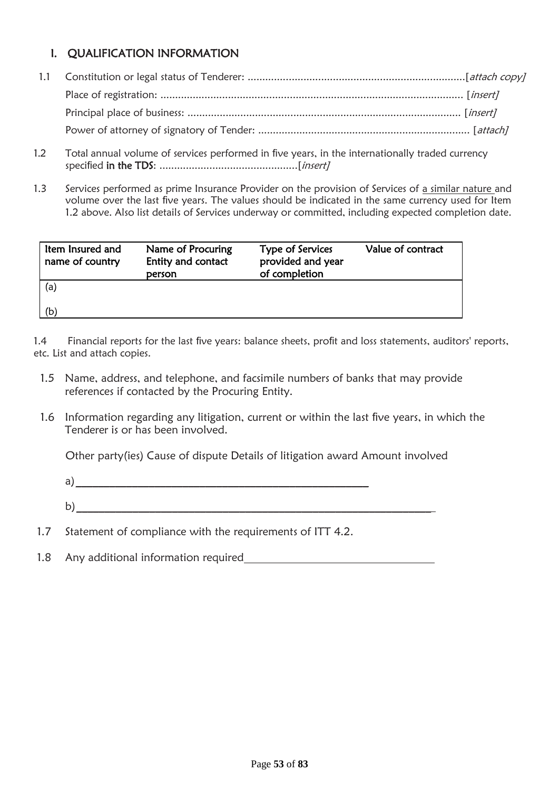# I. QUALIFICATION INFORMATION

- 1.1 Constitution or legal status of Tenderer: ..........................................................................[attach copy] Place of registration: ....................................................................................................... [insert] Principal place of business: ............................................................................................. [insert] Power of attorney of signatory of Tender: ........................................................................ [attach]
- 1.2 Total annual volume of services performed in five years, in the internationally traded currency specified in the TDS: ...............................................[insert]
- 1.3 Services performed as prime Insurance Provider on the provision of Services of a similar nature and volume over the last five years. The values should be indicated in the same currency used for Item 1.2 above. Also list details of Services underway or committed, including expected completion date.

| Item Insured and<br>name of country | Name of Procuring<br>Entity and contact<br>person | <b>Type of Services</b><br>provided and year<br>of completion | Value of contract |
|-------------------------------------|---------------------------------------------------|---------------------------------------------------------------|-------------------|
| (a)                                 |                                                   |                                                               |                   |
| (b)                                 |                                                   |                                                               |                   |

1.4 Financial reports for the last five years: balance sheets, profit and loss statements, auditors' reports, etc. List and attach copies.

- 1.5 Name, address, and telephone, and facsimile numbers of banks that may provide references if contacted by the Procuring Entity.
- 1.6 Information regarding any litigation, current or within the last five years, in which the Tenderer is or has been involved.

Other party(ies) Cause of dispute Details of litigation award Amount involved

- a)\_\_\_\_\_\_\_\_\_\_\_\_\_\_\_\_\_\_\_\_\_\_\_\_\_\_\_\_\_\_\_\_\_\_\_\_\_\_\_\_\_\_\_\_\_\_\_\_\_\_\_\_ b)
- 1.7 Statement of compliance with the requirements of ITT 4.2.
- 1.8 Any additional information required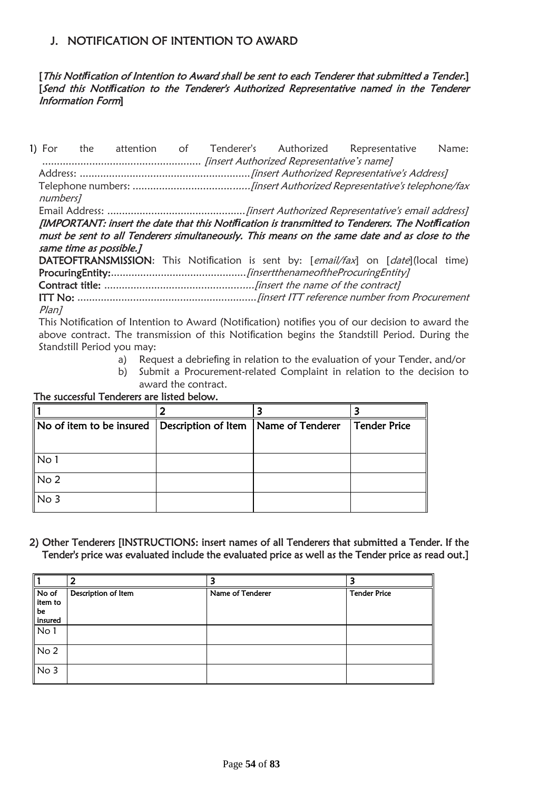# J. NOTIFICATION OF INTENTION TO AWARD

#### [This Noti*fi*cation of Intention to Award shall be sent to each Tenderer that submitted a Tender.] [Send this Noti*fi*cation to the Tenderer's Authorized Representative named in the Tenderer Information Form]

1) For the attention of Tenderer's Authorized Representative Name: ...................................................... [insert Authorized Representative's name] Address: ..........................................................[insert Authorized Representative's Address] Telephone numbers: ........................................[insert Authorized Representative's telephone/fax numbers] Email Address: ...............................................[insert Authorized Representative's email address] [IMPORTANT: insert the date that this Noti*fi*cation is transmitted to Tenderers. The Noti*fi*cation must be sent to all Tenderers simultaneously. This means on the same date and as close to the same time as possible.] **DATEOFTRANSMISSION:** This Notification is sent by: [*email/fax*] on [*date*](local time) ProcuringEntity:..............................................[insertthenameoftheProcuringEntity] Contract title: ...................................................[insert the name of the contract] ITT No: .............................................................[insert ITT reference number from Procurement Plan] This Notification of Intention to Award (Notification) notifies you of our decision to award the above contract. The transmission of this Notification begins the Standstill Period. During the Standstill Period you may:

- a) Request a debriefing in relation to the evaluation of your Tender, and/or
- b) Submit a Procurement-related Complaint in relation to the decision to award the contract.

The successful Tenderers are listed below.

|                 | $\parallel$ No of item to be insured $\parallel$ Description of Item $\parallel$ Name of Tenderer |  | <b>Tender Price</b> |
|-----------------|---------------------------------------------------------------------------------------------------|--|---------------------|
|                 |                                                                                                   |  |                     |
|                 |                                                                                                   |  |                     |
| No <sub>1</sub> |                                                                                                   |  |                     |
|                 |                                                                                                   |  |                     |
| N <sub>0</sub>  |                                                                                                   |  |                     |
| $N0$ 3          |                                                                                                   |  |                     |
|                 |                                                                                                   |  |                     |

2) Other Tenderers [INSTRUCTIONS: insert names of all Tenderers that submitted a Tender. If the Tender's price was evaluated include the evaluated price as well as the Tender price as read out.]

| No of<br>litem to<br>$\left\  \begin{array}{c} \text{be} \\ \text{insured} \end{array} \right\ $ | Description of Item | Name of Tenderer | <b>Tender Price</b> |
|--------------------------------------------------------------------------------------------------|---------------------|------------------|---------------------|
| No 1                                                                                             |                     |                  |                     |
| No <sub>2</sub>                                                                                  |                     |                  |                     |
| No <sub>3</sub>                                                                                  |                     |                  |                     |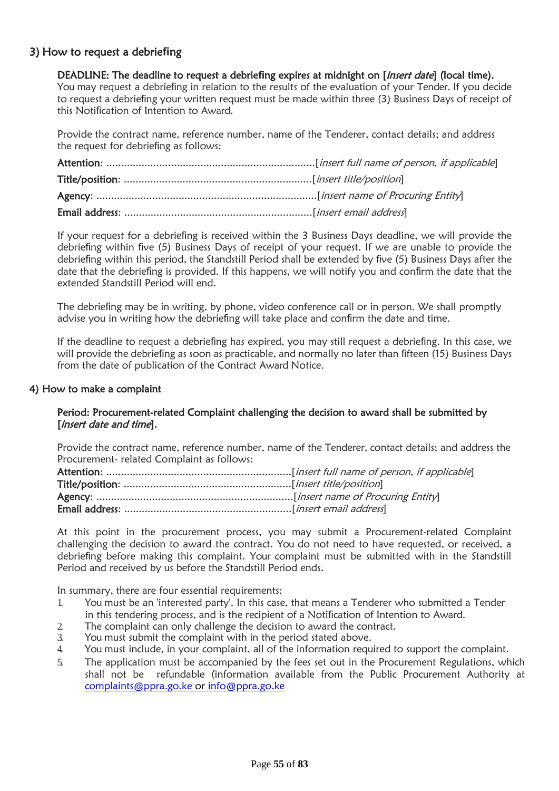## 3) How to request a debrie**fi**ng

#### DEADLINE: The deadline to request a debrie**fi**ng expires at midnight on [insert date] (local time).

You may request a debriefing in relation to the results of the evaluation of your Tender. If you decide to request a debriefing your written request must be made within three (3) Business Days of receipt of this Notification of Intention to Award.

Provide the contract name, reference number, name of the Tenderer, contact details; and address the request for debriefing as follows:

If your request for a debriefing is received within the 3 Business Days deadline, we will provide the debriefing within five (5) Business Days of receipt of your request. If we are unable to provide the debriefing within this period, the Standstill Period shall be extended by five (5) Business Days after the date that the debriefing is provided. If this happens, we will notify you and confirm the date that the extended Standstill Period will end.

The debriefing may be in writing, by phone, video conference call or in person. We shall promptly advise you in writing how the debriefing will take place and confirm the date and time.

If the deadline to request a debriefing has expired, you may still request a debriefing. In this case, we will provide the debriefing as soon as practicable, and normally no later than fifteen (15) Business Days from the date of publication of the Contract Award Notice.

#### 4) How to make a complaint

#### Period: Procurement-related Complaint challenging the decision to award shall be submitted by [insert date and time].

Provide the contract name, reference number, name of the Tenderer, contact details; and address the Procurement- related Complaint as follows:

At this point in the procurement process, you may submit a Procurement-related Complaint challenging the decision to award the contract. You do not need to have requested, or received, a debriefing before making this complaint. Your complaint must be submitted with in the Standstill Period and received by us before the Standstill Period ends.

In summary, there are four essential requirements:

- 1. You must be an 'interested party'. In this case, that means a Tenderer who submitted a Tender in this tendering process, and is the recipient of a Notification of Intention to Award.
- 2 The complaint can only challenge the decision to award the contract.<br>3 You must submit the complaint with in the period stated above.
- You must submit the complaint with in the period stated above.
- 4. You must include, in your complaint, all of the information required to support the complaint.
- 5. The application must be accompanied by the fees set out in the Procurement Regulations, which shall not be refundable (information available from the Public Procurement Authority at [complaints@ppra.go.ke](http://complaints@ppra.go.ke/) or [info@ppra.go.ke](mailto:info@ppra.go.ke)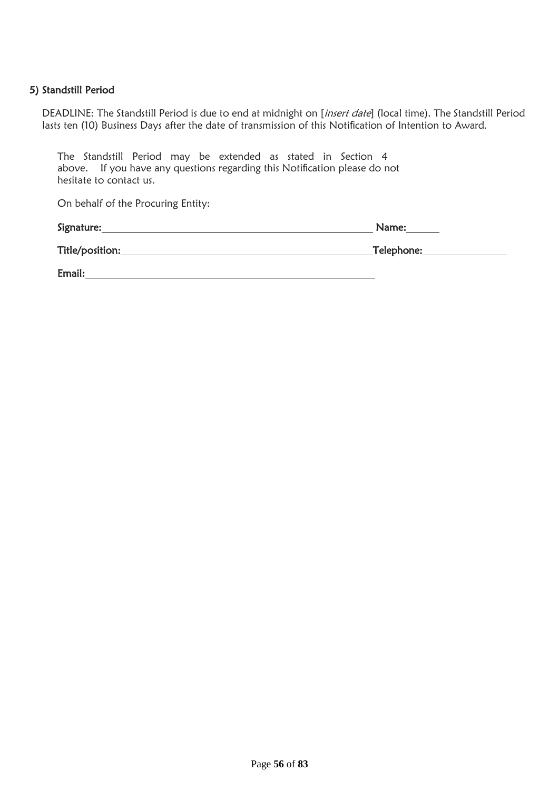#### 5) Standstill Period

DEADLINE: The Standstill Period is due to end at midnight on [insert date] (local time). The Standstill Period lasts ten (10) Business Days after the date of transmission of this Notification of Intention to Award.

The Standstill Period may be extended as stated in Section 4 above. If you have any questions regarding this Notification please do not hesitate to contact us.

On behalf of the Procuring Entity:

| Signature:      | Name:      |
|-----------------|------------|
| Title/position: | Telephone: |
| Email:          |            |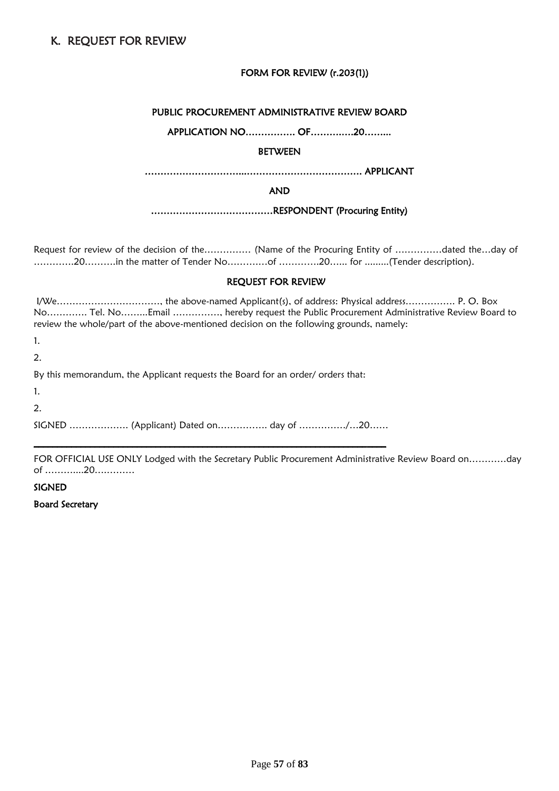#### FORM FOR REVIEW (r.203(1))

#### PUBLIC PROCUREMENT ADMINISTRATIVE REVIEW BOARD

APPLICATION NO……………. OF……….….20……...

#### **BETWEEN**

…………………………...………………………………. APPLICANT

#### AND

…………………………………RESPONDENT (Procuring Entity)

Request for review of the decision of the…………… (Name of the Procuring Entity of ……………dated the…day of ………….20……….in the matter of Tender No……….…of ………….20…... for .........(Tender description).

#### REQUEST FOR REVIEW

I/We……………………………, the above-named Applicant(s), of address: Physical address……………. P. O. Box No…………. Tel. No……...Email ……………, hereby request the Public Procurement Administrative Review Board to review the whole/part of the above-mentioned decision on the following grounds, namely: 1. 2. By this memorandum, the Applicant requests the Board for an order/ orders that: 1. 2. SIGNED ………………. (Applicant) Dated on……………. day of ……………/…20……  $\_$  . The contribution of the contribution of the contribution of the contribution of the contribution of the contribution of  $\mathcal{L}_\text{max}$ 

FOR OFFICIAL USE ONLY Lodged with the Secretary Public Procurement Administrative Review Board on…………day of ………....20….………

#### SIGNED

#### Board Secretary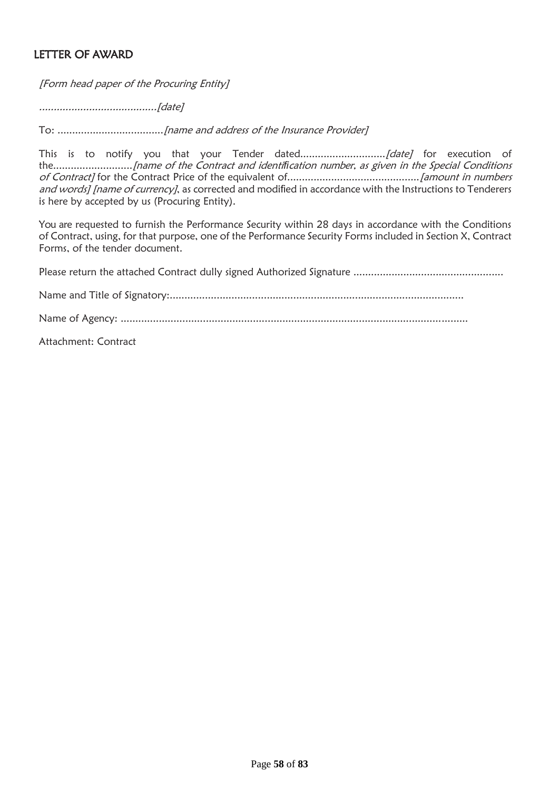# LETTER OF AWARD

[Form head paper of the Procuring Entity]

........................................[date]

To: ....................................[name and address of the Insurance Provider]

This is to notify you that your Tender dated.............................[date] for execution of the...........................[name of the Contract and identi*fi*cation number, as given in the Special Conditions of Contract] for the Contract Price of the equivalent of.............................................[amount in numbers and words] [name of currency], as corrected and modified in accordance with the Instructions to Tenderers is here by accepted by us (Procuring Entity).

You are requested to furnish the Performance Security within 28 days in accordance with the Conditions of Contract, using, for that purpose, one of the Performance Security Forms included in Section X, Contract Forms, of the tender document.

Please return the attached Contract dully signed Authorized Signature ...................................................

Name and Title of Signatory:....................................................................................................

Name of Agency: ......................................................................................................................

Attachment: Contract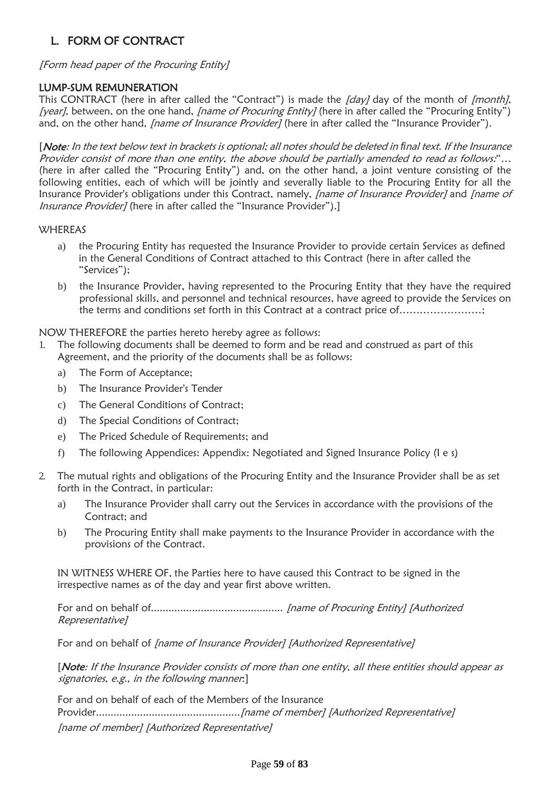# L. FORM OF CONTRACT

[Form head paper of the Procuring Entity]

#### LUMP-SUM REMUNERATION

This CONTRACT (here in after called the "Contract") is made the  $\int day$  day of the month of  $\int$ month, [year], between, on the one hand, [name of Procuring Entity] (here in after called the "Procuring Entity") and, on the other hand, *[name of Insurance Provider]* (here in after called the "Insurance Provider").

[Note: In the text below text in brackets is optional; all notes should be deleted in *fi*nal text. If the Insurance Provider consist of more than one entity, the above should be partially amended to read as follows:"… (here in after called the "Procuring Entity") and, on the other hand, a joint venture consisting of the following entities, each of which will be jointly and severally liable to the Procuring Entity for all the Insurance Provider's obligations under this Contract, namely, *[name of Insurance Provider]* and *[name of* Insurance Provider] (here in after called the "Insurance Provider").]

#### **WHEREAS**

- a) the Procuring Entity has requested the Insurance Provider to provide certain Services as defined in the General Conditions of Contract attached to this Contract (here in after called the "Services");
- b) the Insurance Provider, having represented to the Procuring Entity that they have the required professional skills, and personnel and technical resources, have agreed to provide the Services on the terms and conditions set forth in this Contract at a contract price of……………………;

NOW THEREFORE the parties hereto hereby agree as follows:

- The following documents shall be deemed to form and be read and construed as part of this Agreement, and the priority of the documents shall be as follows:
	- a) The Form of Acceptance;
	- b) The Insurance Provider's Tender
	- c) The General Conditions of Contract;
	- d) The Special Conditions of Contract;
	- e) The Priced Schedule of Requirements; and
	- f) The following Appendices: Appendix: Negotiated and Signed Insurance Policy (I e s)
- 2. The mutual rights and obligations of the Procuring Entity and the Insurance Provider shall be as set forth in the Contract, in particular:
	- a) The Insurance Provider shall carry out the Services in accordance with the provisions of the Contract; and
	- b) The Procuring Entity shall make payments to the Insurance Provider in accordance with the provisions of the Contract.

IN WITNESS WHERE OF, the Parties here to have caused this Contract to be signed in the irrespective names as of the day and year first above written.

For and on behalf of............................................. [name of Procuring Entity] [Authorized Representative]

For and on behalf of *Iname of Insurance Provider1 [Authorized Representative]* 

[Note: If the Insurance Provider consists of more than one entity, all these entities should appear as signatories, e.g., in the following manner:]

For and on behalf of each of the Members of the Insurance Provider.................................................[name of member] [Authorized Representative] [name of member] [Authorized Representative]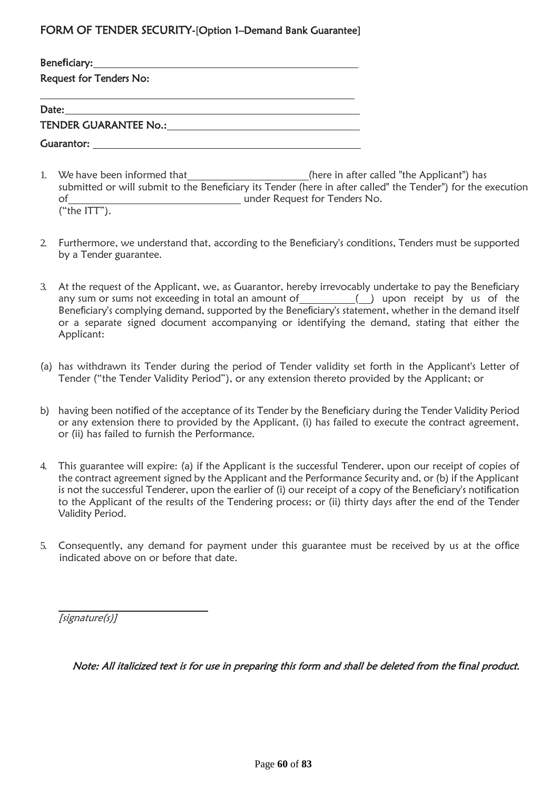## FORM OF TENDER SECURITY-[Option 1–Demand Bank Guarantee]

| Request for Tenders No:                            |
|----------------------------------------------------|
|                                                    |
|                                                    |
| <b>TENDER GUARANTEE No.: TENDER GUARANTEE NO.:</b> |
| Guarantor: Cuarantor:                              |

- 1. We have been informed that\_\_\_\_\_\_\_\_\_\_\_\_\_\_\_\_\_\_\_\_\_\_\_(here in after called "the Applicant") has submitted or will submit to the Beneficiary its Tender (here in after called" the Tender") for the execution of under Request for Tenders No. ("the ITT").
- 2. Furthermore, we understand that, according to the Beneficiary's conditions, Tenders must be supported by a Tender guarantee.
- 3. At the request of the Applicant, we, as Guarantor, hereby irrevocably undertake to pay the Beneficiary any sum or sums not exceeding in total an amount of  $\qquad \qquad$  ( ) upon receipt by us of the Beneficiary's complying demand, supported by the Beneficiary's statement, whether in the demand itself or a separate signed document accompanying or identifying the demand, stating that either the Applicant:
- (a) has withdrawn its Tender during the period of Tender validity set forth in the Applicant's Letter of Tender ("the Tender Validity Period"), or any extension thereto provided by the Applicant; or
- b) having been notified of the acceptance of its Tender by the Beneficiary during the Tender Validity Period or any extension there to provided by the Applicant, (i) has failed to execute the contract agreement, or (ii) has failed to furnish the Performance.
- 4. This guarantee will expire: (a) if the Applicant is the successful Tenderer, upon our receipt of copies of the contract agreement signed by the Applicant and the Performance Security and, or (b) if the Applicant is not the successful Tenderer, upon the earlier of (i) our receipt of a copy of the Beneficiary's notification to the Applicant of the results of the Tendering process; or (ii) thirty days after the end of the Tender Validity Period.
- 5. Consequently, any demand for payment under this guarantee must be received by us at the office indicated above on or before that date.

[signature(s)]

Note: All italicized text is for use in preparing this form and shall be deleted from the *fi*nal product.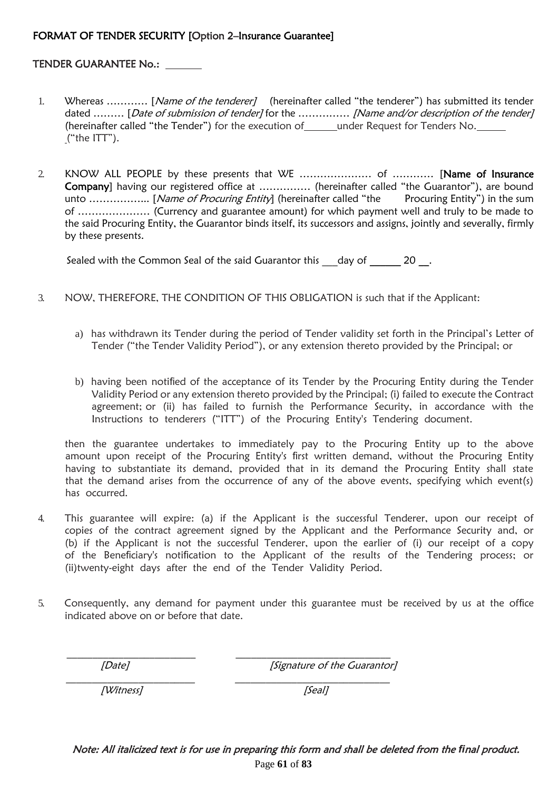#### FORMAT OF TENDER SECURITY [Option 2–Insurance Guarantee]

#### TENDER GUARANTEE No.:

- 1. Whereas ............ [Name of the tenderer] (hereinafter called "the tenderer") has submitted its tender dated ......... [Date of submission of tender] for the ............... [Name and/or description of the tender] (hereinafter called "the Tender") for the execution of \_\_\_\_\_\_ under Request for Tenders No.  $('the ITT").$
- 2. KNOW ALL PEOPLE by these presents that WE ………………… of ………… [Name of Insurance Company] having our registered office at ............... (hereinafter called "the Guarantor"), are bound unto .................. [Name of Procuring Entity] (hereinafter called "the Procuring Entity") in the sum of ………………… (Currency and guarantee amount) for which payment well and truly to be made to the said Procuring Entity, the Guarantor binds itself, its successors and assigns, jointly and severally, firmly by these presents.

Sealed with the Common Seal of the said Guarantor this  $\frac{dy}{dx}$  of  $\frac{dy}{dx}$  20  $\frac{dy}{dx}$ .

- 3. NOW, THEREFORE, THE CONDITION OF THIS OBLIGATION is such that if the Applicant:
	- a) has withdrawn its Tender during the period of Tender validity set forth in the Principal's Letter of Tender ("the Tender Validity Period"), or any extension thereto provided by the Principal; or
	- b) having been notified of the acceptance of its Tender by the Procuring Entity during the Tender Validity Period or any extension thereto provided by the Principal; (i) failed to execute the Contract agreement; or (ii) has failed to furnish the Performance Security, in accordance with the Instructions to tenderers ("ITT") of the Procuring Entity's Tendering document.

then the guarantee undertakes to immediately pay to the Procuring Entity up to the above amount upon receipt of the Procuring Entity's first written demand, without the Procuring Entity having to substantiate its demand, provided that in its demand the Procuring Entity shall state that the demand arises from the occurrence of any of the above events, specifying which event(s) has occurred.

- 4. This guarantee will expire: (a) if the Applicant is the successful Tenderer, upon our receipt of copies of the contract agreement signed by the Applicant and the Performance Security and, or (b) if the Applicant is not the successful Tenderer, upon the earlier of (i) our receipt of a copy of the Beneficiary's notification to the Applicant of the results of the Tendering process; or (ii)twenty-eight days after the end of the Tender Validity Period.
- 5. Consequently, any demand for payment under this guarantee must be received by us at the office indicated above on or before that date.

\_\_\_\_\_\_\_\_\_\_\_\_\_\_\_\_\_\_\_\_\_\_\_\_\_ \_\_\_\_\_\_\_\_\_\_\_\_\_\_\_\_\_\_\_\_\_\_\_\_\_\_\_\_\_\_

\_\_\_\_\_\_\_\_\_\_\_\_\_\_\_\_\_\_\_\_\_\_\_\_\_ \_\_\_\_\_\_\_\_\_\_\_\_\_\_\_\_\_\_\_\_\_\_\_\_\_\_\_\_\_\_ *[Date]* [Signature of the Guarantor]

[Witness] [Seal]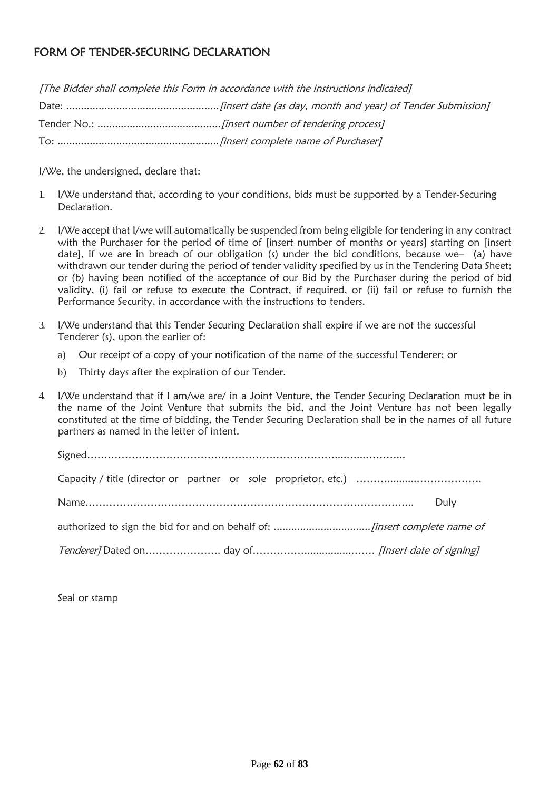# FORM OF TENDER-SECURING DECLARATION

[The Bidder shall complete this Form in accordance with the instructions indicated] Date: ....................................................[insert date (as day, month and year) of Tender Submission] Tender No.: ..........................................[insert number of tendering process] To: .......................................................[insert complete name of Purchaser]

I/We, the undersigned, declare that:

- 1. I/We understand that, according to your conditions, bids must be supported by a Tender-Securing Declaration.
- 2. I/We accept that I/we will automatically be suspended from being eligible for tendering in any contract with the Purchaser for the period of time of [insert number of months or years] starting on [insert date], if we are in breach of our obligation (s) under the bid conditions, because we- (a) have withdrawn our tender during the period of tender validity specified by us in the Tendering Data Sheet; or (b) having been notified of the acceptance of our Bid by the Purchaser during the period of bid validity, (i) fail or refuse to execute the Contract, if required, or (ii) fail or refuse to furnish the Performance Security, in accordance with the instructions to tenders.
- 3. I/We understand that this Tender Securing Declaration shall expire if we are not the successful Tenderer (s), upon the earlier of:
	- a) Our receipt of a copy of your notification of the name of the successful Tenderer; or
	- b) Thirty days after the expiration of our Tender.
- 4. I/We understand that if I am/we are/ in a Joint Venture, the Tender Securing Declaration must be in the name of the Joint Venture that submits the bid, and the Joint Venture has not been legally constituted at the time of bidding, the Tender Securing Declaration shall be in the names of all future partners as named in the letter of intent.

Signed………………………………………………………………....…...………...

|  |  |  | Dulv |
|--|--|--|------|
|  |  |  |      |
|  |  |  |      |

Seal or stamp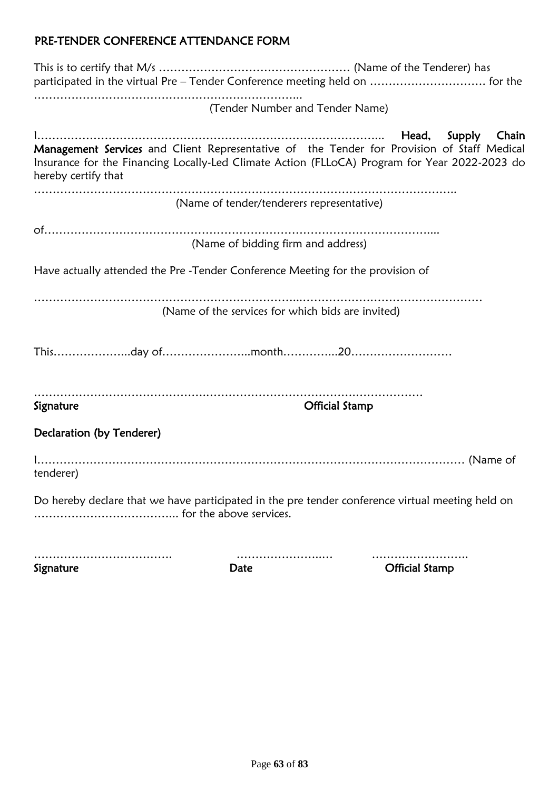# PRE-TENDER CONFERENCE ATTENDANCE FORM

| participated in the virtual Pre - Tender Conference meeting held on  for the                                                                                                                                       |                          |
|--------------------------------------------------------------------------------------------------------------------------------------------------------------------------------------------------------------------|--------------------------|
| (Tender Number and Tender Name)                                                                                                                                                                                    |                          |
| Management Services and Client Representative of the Tender for Provision of Staff Medical<br>Insurance for the Financing Locally-Led Climate Action (FLLoCA) Program for Year 2022-2023 do<br>hereby certify that | Head,<br>Supply<br>Chain |
| (Name of tender/tenderers representative)                                                                                                                                                                          |                          |
| (Name of bidding firm and address)                                                                                                                                                                                 |                          |
| Have actually attended the Pre -Tender Conference Meeting for the provision of                                                                                                                                     |                          |
| (Name of the services for which bids are invited)                                                                                                                                                                  |                          |
|                                                                                                                                                                                                                    |                          |
| Signature<br><b>Official Stamp</b>                                                                                                                                                                                 |                          |
| Declaration (by Tenderer)                                                                                                                                                                                          |                          |
| tenderer)                                                                                                                                                                                                          |                          |
| Do hereby declare that we have participated in the pre tender conference virtual meeting held on                                                                                                                   |                          |

………………………………. …………………..… …………………….. Date **Date** Official Stamp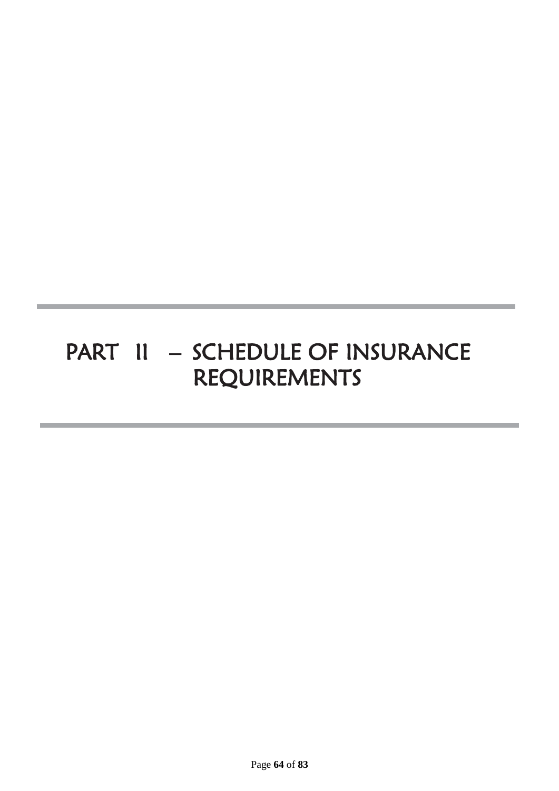# PART II – SCHEDULE OF INSURANCE REQUIREMENTS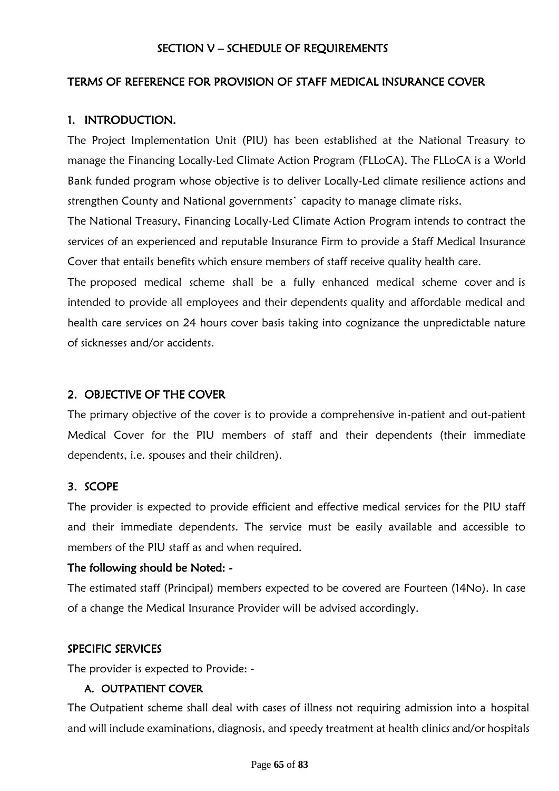# SECTION V – SCHEDULE OF REQUIREMENTS

# TERMS OF REFERENCE FOR PROVISION OF STAFF MEDICAL INSURANCE COVER

# 1. INTRODUCTION.

The Project Implementation Unit (PIU) has been established at the National Treasury to manage the Financing Locally-Led Climate Action Program (FLLoCA). The FLLoCA is a World Bank funded program whose objective is to deliver Locally-Led climate resilience actions and strengthen County and National governments` capacity to manage climate risks.

The National Treasury, Financing Locally-Led Climate Action Program intends to contract the services of an experienced and reputable Insurance Firm to provide a Staff Medical Insurance Cover that entails benefits which ensure members of staff receive quality health care.

The proposed medical scheme shall be a fully enhanced medical scheme cover and is intended to provide all employees and their dependents quality and affordable medical and health care services on 24 hours cover basis taking into cognizance the unpredictable nature of sicknesses and/or accidents.

## 2. OBJECTIVE OF THE COVER

The primary objective of the cover is to provide a comprehensive in-patient and out-patient Medical Cover for the PIU members of staff and their dependents (their immediate dependents, i.e. spouses and their children).

# 3. SCOPE

The provider is expected to provide efficient and effective medical services for the PIU staff and their immediate dependents. The service must be easily available and accessible to members of the PIU staff as and when required.

#### The following should be Noted: -

The estimated staff (Principal) members expected to be covered are Fourteen (14No). In case of a change the Medical Insurance Provider will be advised accordingly.

#### SPECIFIC SERVICES

The provider is expected to Provide: -

#### A. OUTPATIENT COVER

The Outpatient scheme shall deal with cases of illness not requiring admission into a hospital and will include examinations, diagnosis, and speedy treatment at health clinics and/or hospitals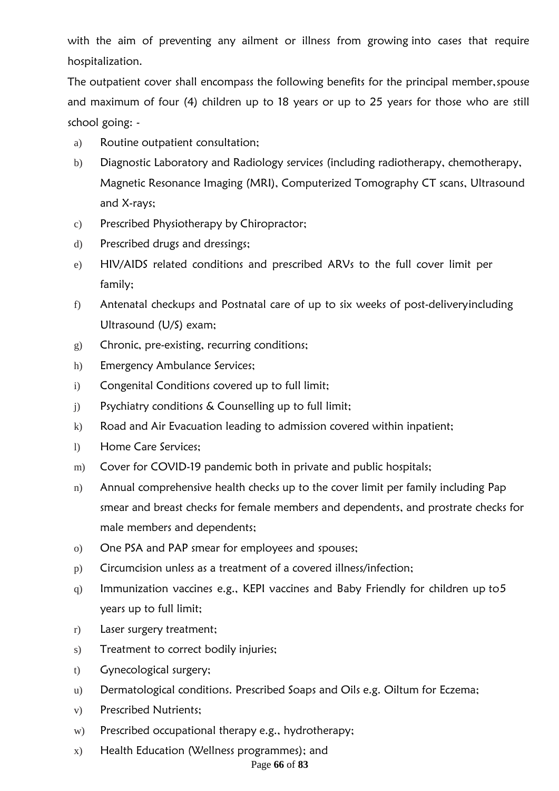with the aim of preventing any ailment or illness from growing into cases that require hospitalization.

The outpatient cover shall encompass the following benefits for the principal member,spouse and maximum of four (4) children up to 18 years or up to 25 years for those who are still school going: -

- a) Routine outpatient consultation;
- b) Diagnostic Laboratory and Radiology services (including radiotherapy, chemotherapy, Magnetic Resonance Imaging (MRI), Computerized Tomography CT scans, Ultrasound and X-rays;
- c) Prescribed Physiotherapy by Chiropractor;
- d) Prescribed drugs and dressings;
- e) HIV/AIDS related conditions and prescribed ARVs to the full cover limit per family;
- f) Antenatal checkups and Postnatal care of up to six weeks of post-deliveryincluding Ultrasound (U/S) exam;
- g) Chronic, pre-existing, recurring conditions;
- h) Emergency Ambulance Services;
- i) Congenital Conditions covered up to full limit;
- j) Psychiatry conditions & Counselling up to full limit;
- k) Road and Air Evacuation leading to admission covered within inpatient;
- l) Home Care Services;
- m) Cover for COVID-19 pandemic both in private and public hospitals;
- n) Annual comprehensive health checks up to the cover limit per family including Pap smear and breast checks for female members and dependents, and prostrate checks for male members and dependents;
- o) One PSA and PAP smear for employees and spouses;
- p) Circumcision unless as a treatment of a covered illness/infection;
- q) Immunization vaccines e.g., KEPI vaccines and Baby Friendly for children up to5 years up to full limit;
- r) Laser surgery treatment;
- s) Treatment to correct bodily injuries;
- t) Gynecological surgery;
- u) Dermatological conditions. Prescribed Soaps and Oils e.g. Oiltum for Eczema;
- v) Prescribed Nutrients;
- w) Prescribed occupational therapy e.g., hydrotherapy;
- x) Health Education (Wellness programmes); and

Page **66** of **83**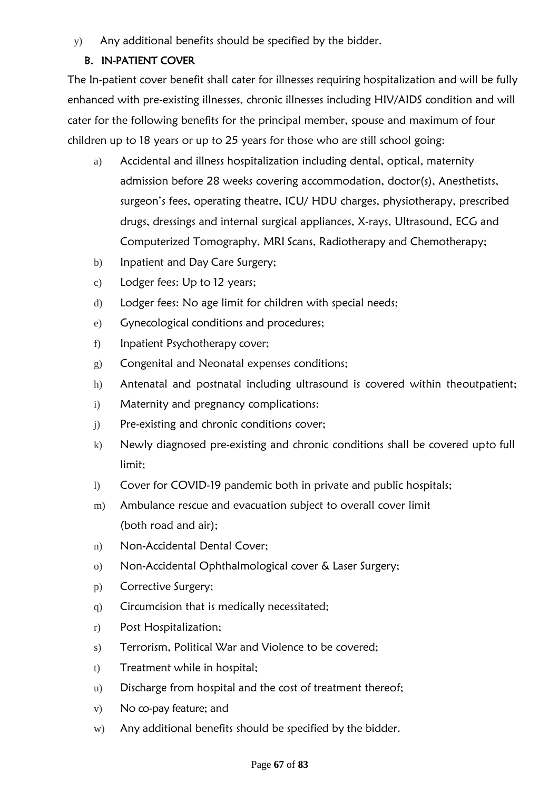y) Any additional benefits should be specified by the bidder.

# B. IN-PATIENT COVER

The In-patient cover benefit shall cater for illnesses requiring hospitalization and will be fully enhanced with pre-existing illnesses, chronic illnesses including HIV/AIDS condition and will cater for the following benefits for the principal member, spouse and maximum of four children up to 18 years or up to 25 years for those who are still school going:

- a) Accidental and illness hospitalization including dental, optical, maternity admission before 28 weeks covering accommodation, doctor(s), Anesthetists, surgeon's fees, operating theatre, ICU/ HDU charges, physiotherapy, prescribed drugs, dressings and internal surgical appliances, X-rays, Ultrasound, ECG and Computerized Tomography, MRI Scans, Radiotherapy and Chemotherapy;
- b) Inpatient and Day Care Surgery;
- c) Lodger fees: Up to 12 years;
- d) Lodger fees: No age limit for children with special needs;
- e) Gynecological conditions and procedures;
- f) Inpatient Psychotherapy cover;
- g) Congenital and Neonatal expenses conditions;
- h) Antenatal and postnatal including ultrasound is covered within theoutpatient;
- i) Maternity and pregnancy complications:
- j) Pre-existing and chronic conditions cover;
- k) Newly diagnosed pre-existing and chronic conditions shall be covered upto full limit;
- l) Cover for COVID-19 pandemic both in private and public hospitals;
- m) Ambulance rescue and evacuation subject to overall cover limit (both road and air);
- n) Non-Accidental Dental Cover;
- o) Non-Accidental Ophthalmological cover & Laser Surgery;
- p) Corrective Surgery;
- q) Circumcision that is medically necessitated;
- r) Post Hospitalization;
- s) Terrorism, Political War and Violence to be covered;
- t) Treatment while in hospital;
- u) Discharge from hospital and the cost of treatment thereof;
- v) No co-pay feature; and
- w) Any additional benefits should be specified by the bidder.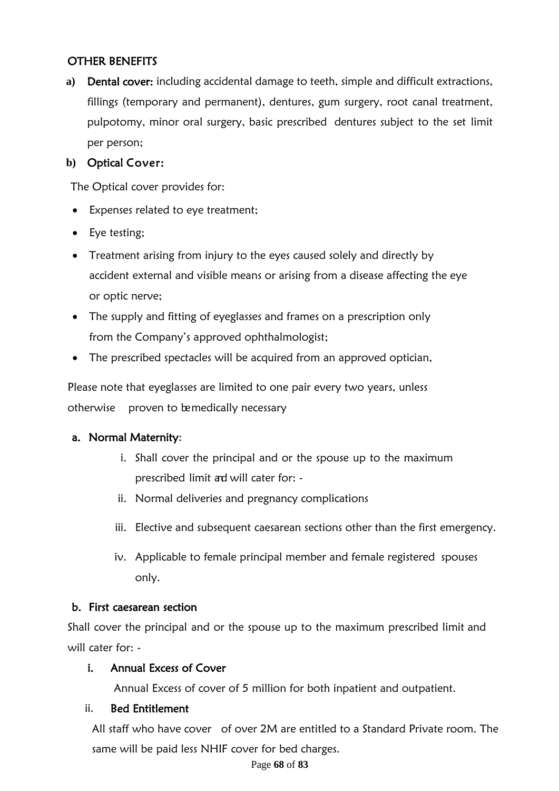# OTHER BENEFITS

**a)** Dental cover: including accidental damage to teeth, simple and difficult extractions, fillings (temporary and permanent), dentures, gum surgery, root canal treatment, pulpotomy, minor oral surgery, basic prescribed dentures subject to the set limit per person;

# **b)** Optical Cover:

The Optical cover provides for:

- Expenses related to eye treatment;
- Eye testing;
- Treatment arising from injury to the eyes caused solely and directly by accident external and visible means or arising from a disease affecting the eye or optic nerve;
- The supply and fitting of eyeglasses and frames on a prescription only from the Company's approved ophthalmologist;
- The prescribed spectacles will be acquired from an approved optician,

Please note that eyeglasses are limited to one pair every two years, unless otherwise proven to bemedically necessary

# a. Normal Maternity:

- i. Shall cover the principal and or the spouse up to the maximum prescribed limit ad will cater for: -
- ii. Normal deliveries and pregnancy complications
- iii. Elective and subsequent caesarean sections other than the first emergency.
- iv. Applicable to female principal member and female registered spouses only.

# b. First caesarean section

Shall cover the principal and or the spouse up to the maximum prescribed limit and will cater for: -

# i. Annual Excess of Cover

Annual Excess of cover of 5 million for both inpatient and outpatient.

# ii. Bed Entitlement

All staff who have cover of over 2M are entitled to a Standard Private room. The same will be paid less NHIF cover for bed charges.

#### Page **68** of **83**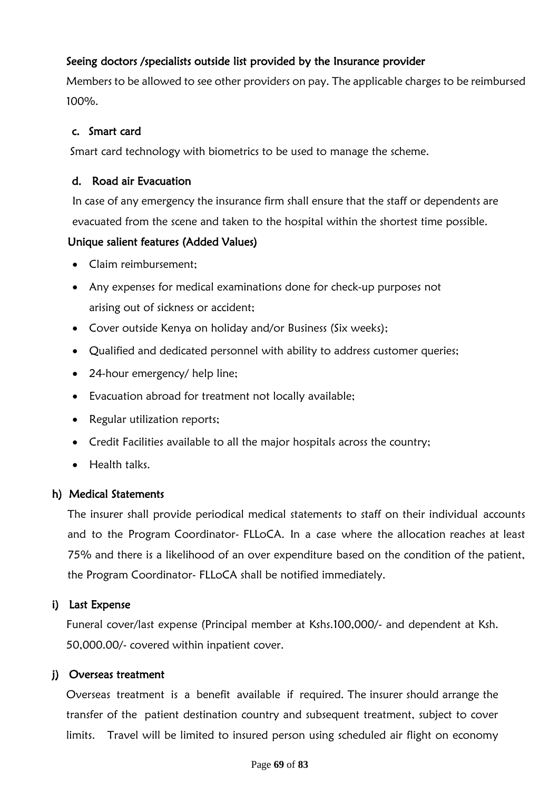# Seeing doctors /specialists outside list provided by the Insurance provider

Members to be allowed to see other providers on pay. The applicable charges to be reimbursed 100%.

# c. Smart card

Smart card technology with biometrics to be used to manage the scheme.

# d. Road air Evacuation

In case of any emergency the insurance firm shall ensure that the staff or dependents are evacuated from the scene and taken to the hospital within the shortest time possible.

# Unique salient features (Added Values)

- Claim reimbursement;
- Any expenses for medical examinations done for check-up purposes not arising out of sickness or accident;
- Cover outside Kenya on holiday and/or Business (Six weeks);
- Qualified and dedicated personnel with ability to address customer queries;
- 24-hour emergency/ help line;
- Evacuation abroad for treatment not locally available;
- Regular utilization reports;
- Credit Facilities available to all the major hospitals across the country;
- Health talks.

# h) Medical Statements

The insurer shall provide periodical medical statements to staff on their individual accounts and to the Program Coordinator- FLLoCA. In a case where the allocation reaches at least 75% and there is a likelihood of an over expenditure based on the condition of the patient, the Program Coordinator- FLLoCA shall be notified immediately.

# i) Last Expense

Funeral cover/last expense (Principal member at Kshs.100,000/- and dependent at Ksh. 50,000.00/- covered within inpatient cover.

# j) Overseas treatment

Overseas treatment is a benefit available if required. The insurer should arrange the transfer of the patient destination country and subsequent treatment, subject to cover limits. Travel will be limited to insured person using scheduled air flight on economy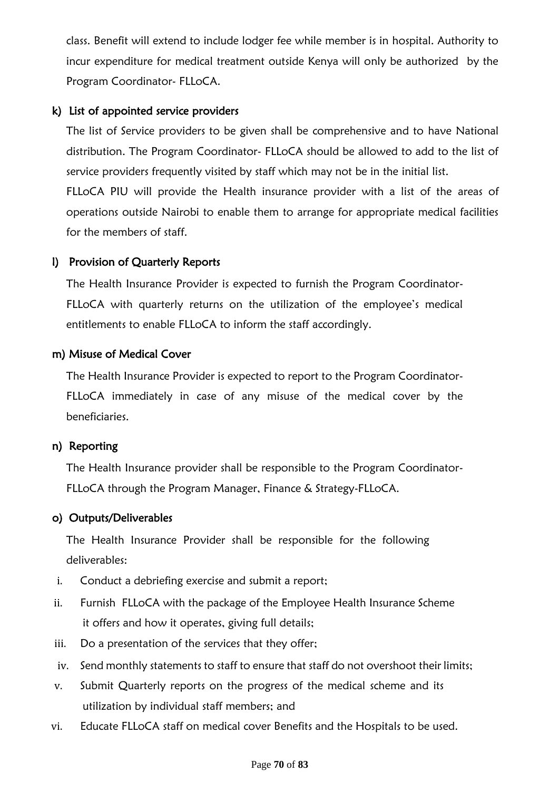class. Benefit will extend to include lodger fee while member is in hospital. Authority to incur expenditure for medical treatment outside Kenya will only be authorized by the Program Coordinator- FLLoCA.

# k) List of appointed service providers

The list of Service providers to be given shall be comprehensive and to have National distribution. The Program Coordinator- FLLoCA should be allowed to add to the list of service providers frequently visited by staff which may not be in the initial list. FLLoCA PIU will provide the Health insurance provider with a list of the areas of

operations outside Nairobi to enable them to arrange for appropriate medical facilities for the members of staff.

# l) Provision of Quarterly Reports

The Health Insurance Provider is expected to furnish the Program Coordinator-FLLoCA with quarterly returns on the utilization of the employee's medical entitlements to enable FLLoCA to inform the staff accordingly.

# m) Misuse of Medical Cover

The Health Insurance Provider is expected to report to the Program Coordinator-FLLoCA immediately in case of any misuse of the medical cover by the beneficiaries.

# n) Reporting

The Health Insurance provider shall be responsible to the Program Coordinator-FLLoCA through the Program Manager, Finance & Strategy-FLLoCA.

# o) Outputs/Deliverables

The Health Insurance Provider shall be responsible for the following deliverables:

- i. Conduct a debriefing exercise and submit a report;
- ii. Furnish FLLoCA with the package of the Employee Health Insurance Scheme it offers and how it operates, giving full details;
- iii. Do a presentation of the services that they offer;
- iv. Send monthly statements to staff to ensure that staff do not overshoot their limits;
- v. Submit Quarterly reports on the progress of the medical scheme and its utilization by individual staff members; and
- vi. Educate FLLoCA staff on medical cover Benefits and the Hospitals to be used.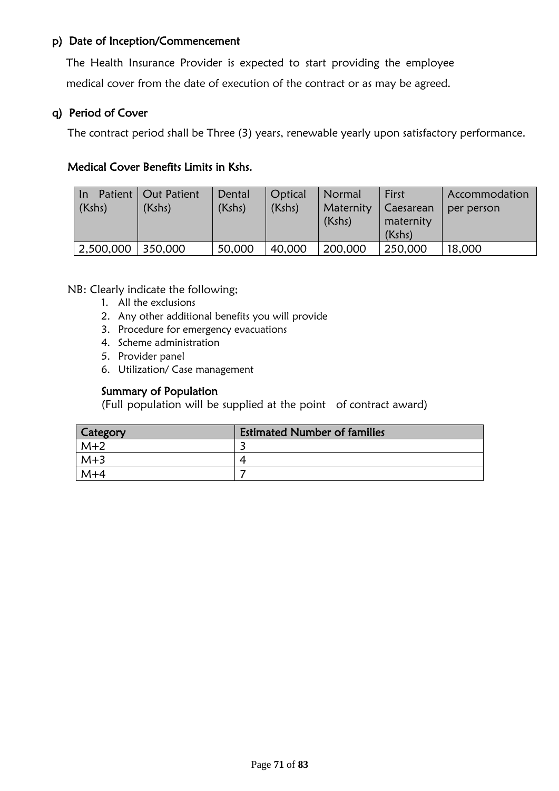# p) Date of Inception/Commencement

The Health Insurance Provider is expected to start providing the employee medical cover from the date of execution of the contract or as may be agreed.

#### q) Period of Cover

The contract period shall be Three (3) years, renewable yearly upon satisfactory performance.

#### Medical Cover Benefits Limits in Kshs.

| In        | Patient   Out Patient | Dental | Optical | Normal    | First     | Accommodation |
|-----------|-----------------------|--------|---------|-----------|-----------|---------------|
| (Kshs)    | (Kshs)                | (Kshs) | (Kshs)  | Maternity | Caesarean | per person    |
|           |                       |        |         | (Kshs)    | maternity |               |
|           |                       |        |         |           | (Kshs)    |               |
| 2,500,000 | 350,000               | 50,000 | 40,000  | 200,000   | 250,000   | 18,000        |

NB: Clearly indicate the following;

- 1. All the exclusions
- 2. Any other additional benefits you will provide
- 3. Procedure for emergency evacuations
- 4. Scheme administration
- 5. Provider panel
- 6. Utilization/ Case management

#### Summary of Population

(Full population will be supplied at the point of contract award)

| <b>Category</b> | <b>Estimated Number of families</b> |
|-----------------|-------------------------------------|
| $M+2$           |                                     |
| $M+3$           | ◢                                   |
| $M+4$           |                                     |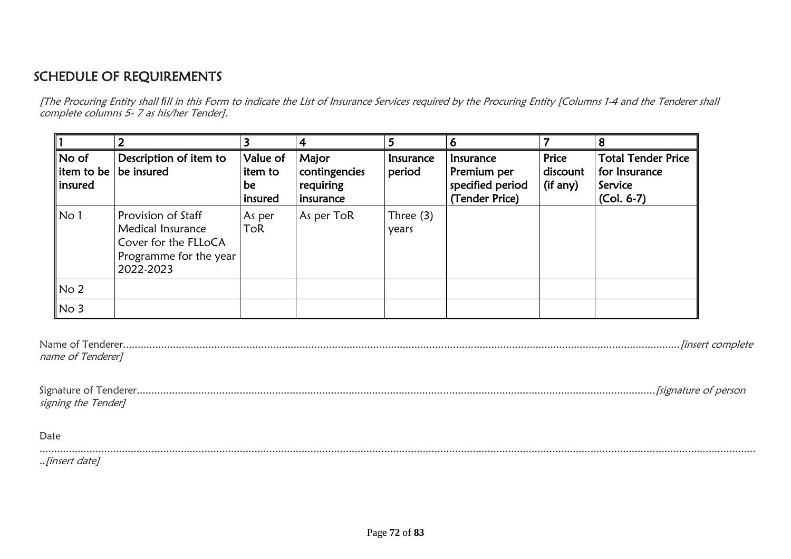# SCHEDULE OF REQUIREMENTS

[The Procuring Entity shall *fi*ll in this Form to indicate the List of Insurance Services required by the Procuring Entity [Columns 1-4 and the Tenderer shall complete columns 5- 7 as his/her Tender].

|                                    |                                                                                                        |                                      | 4                                                | 5                   | 6                                                              |                               |                                                                       |
|------------------------------------|--------------------------------------------------------------------------------------------------------|--------------------------------------|--------------------------------------------------|---------------------|----------------------------------------------------------------|-------------------------------|-----------------------------------------------------------------------|
| No of<br>item to be $ $<br>insured | Description of item to<br>be insured                                                                   | Value of<br>item to<br>be<br>insured | Major<br>contingencies<br>requiring<br>insurance | Insurance<br>period | Insurance<br>Premium per<br>specified period<br>(Tender Price) | Price<br>discount<br>(if any) | <b>Total Tender Price</b><br>for Insurance<br>Service<br>$(Col. 6-7)$ |
| No 1                               | Provision of Staff<br>Medical Insurance<br>Cover for the FLLoCA<br>Programme for the year<br>2022-2023 | As per<br><b>ToR</b>                 | As per ToR                                       | Three (3)<br>years  |                                                                |                               |                                                                       |
| No <sub>2</sub>                    |                                                                                                        |                                      |                                                  |                     |                                                                |                               |                                                                       |
| No 3                               |                                                                                                        |                                      |                                                  |                     |                                                                |                               |                                                                       |

| name of Tenderer]   |  |
|---------------------|--|
|                     |  |
| signing the Tender] |  |

...................................................................................................................................................................................................................................................

Date

..[insert date]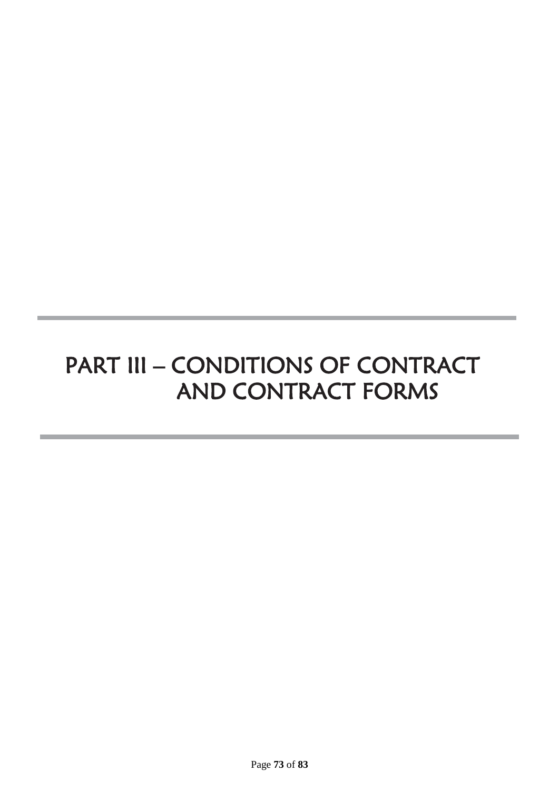# PART III – CONDITIONS OF CONTRACT AND CONTRACT FORMS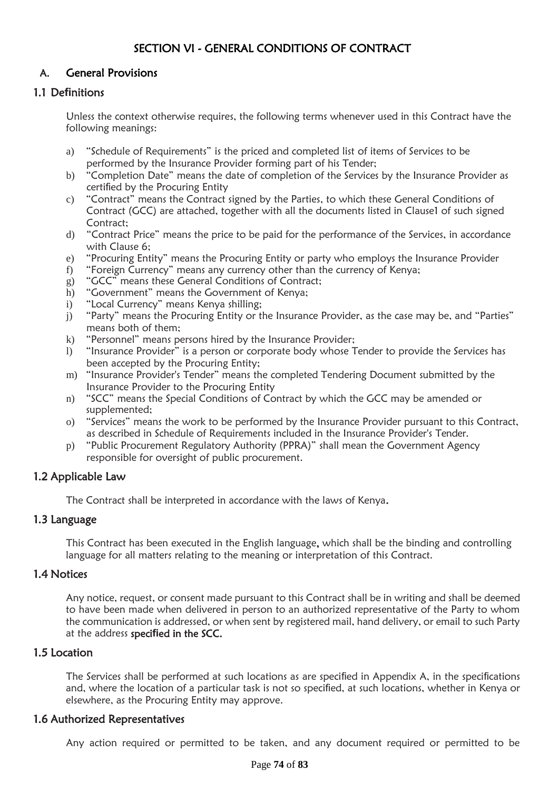# SECTION VI - GENERAL CONDITIONS OF CONTRACT

# A. General Provisions

## 1.1 De**fi**nitions

Unless the context otherwise requires, the following terms whenever used in this Contract have the following meanings:

- a) "Schedule of Requirements" is the priced and completed list of items of Services to be performed by the Insurance Provider forming part of his Tender;
- b) "Completion Date" means the date of completion of the Services by the Insurance Provider as certified by the Procuring Entity
- c) "Contract" means the Contract signed by the Parties, to which these General Conditions of Contract (GCC) are attached, together with all the documents listed in Clause1 of such signed Contract;
- d) "Contract Price" means the price to be paid for the performance of the Services, in accordance with Clause 6;
- e) "Procuring Entity" means the Procuring Entity or party who employs the Insurance Provider
- f) "Foreign Currency" means any currency other than the currency of Kenya;
- g) "GCC" means these General Conditions of Contract;
- h) "Government" means the Government of Kenya;
- i) "Local Currency" means Kenya shilling;
- j) "Party" means the Procuring Entity or the Insurance Provider, as the case may be, and "Parties" means both of them;
- k) "Personnel" means persons hired by the Insurance Provider;
- l) "Insurance Provider" is a person or corporate body whose Tender to provide the Services has been accepted by the Procuring Entity;
- m) "Insurance Provider's Tender" means the completed Tendering Document submitted by the Insurance Provider to the Procuring Entity
- n) "SCC" means the Special Conditions of Contract by which the GCC may be amended or supplemented;
- o) "Services" means the work to be performed by the Insurance Provider pursuant to this Contract, as described in Schedule of Requirements included in the Insurance Provider's Tender.
- p) "Public Procurement Regulatory Authority (PPRA)" shall mean the Government Agency responsible for oversight of public procurement.

#### 1.2 Applicable Law

The Contract shall be interpreted in accordance with the laws of Kenya.

#### 1.3 Language

This Contract has been executed in the English language, which shall be the binding and controlling language for all matters relating to the meaning or interpretation of this Contract.

#### 1.4 Notices

Any notice, request, or consent made pursuant to this Contract shall be in writing and shall be deemed to have been made when delivered in person to an authorized representative of the Party to whom the communication is addressed, or when sent by registered mail, hand delivery, or email to such Party at the address speci**fi**ed in the SCC.

#### 1.5 Location

The Services shall be performed at such locations as are specified in Appendix A, in the specifications and, where the location of a particular task is not so specified, at such locations, whether in Kenya or elsewhere, as the Procuring Entity may approve.

#### 1.6 Authorized Representatives

Any action required or permitted to be taken, and any document required or permitted to be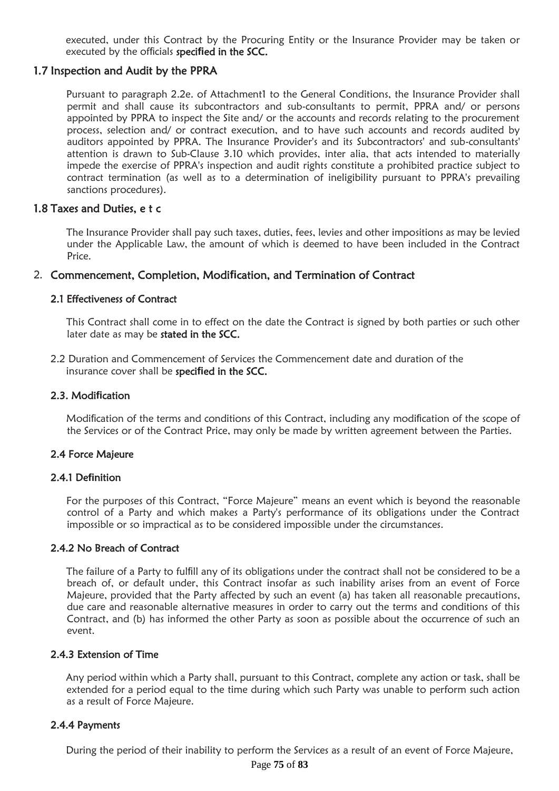executed, under this Contract by the Procuring Entity or the Insurance Provider may be taken or executed by the officials speci**fi**ed in the SCC.

#### 1.7 Inspection and Audit by the PPRA

Pursuant to paragraph 2.2e. of Attachment1 to the General Conditions, the Insurance Provider shall permit and shall cause its subcontractors and sub-consultants to permit, PPRA and/ or persons appointed by PPRA to inspect the Site and/ or the accounts and records relating to the procurement process, selection and/ or contract execution, and to have such accounts and records audited by auditors appointed by PPRA. The Insurance Provider's and its Subcontractors' and sub-consultants' attention is drawn to Sub-Clause 3.10 which provides, inter alia, that acts intended to materially impede the exercise of PPRA's inspection and audit rights constitute a prohibited practice subject to contract termination (as well as to a determination of ineligibility pursuant to PPRA's prevailing sanctions procedures).

#### 1.8 Taxes and Duties, e t c

The Insurance Provider shall pay such taxes, duties, fees, levies and other impositions as may be levied under the Applicable Law, the amount of which is deemed to have been included in the Contract Price.

#### 2. Commencement, Completion, Modi**fi**cation, and Termination of Contract

#### 2.1 Effectiveness of Contract

This Contract shall come in to effect on the date the Contract is signed by both parties or such other later date as may be stated in the SCC.

2.2 Duration and Commencement of Services the Commencement date and duration of the insurance cover shall be speci**fi**ed in the SCC.

#### 2.3. Modi**fi**cation

Modification of the terms and conditions of this Contract, including any modification of the scope of the Services or of the Contract Price, may only be made by written agreement between the Parties.

#### 2.4 Force Majeure

#### 2.4.1 De**fi**nition

For the purposes of this Contract, "Force Majeure" means an event which is beyond the reasonable control of a Party and which makes a Party's performance of its obligations under the Contract impossible or so impractical as to be considered impossible under the circumstances.

#### 2.4.2 No Breach of Contract

The failure of a Party to fulfill any of its obligations under the contract shall not be considered to be a breach of, or default under, this Contract insofar as such inability arises from an event of Force Majeure, provided that the Party affected by such an event (a) has taken all reasonable precautions, due care and reasonable alternative measures in order to carry out the terms and conditions of this Contract, and (b) has informed the other Party as soon as possible about the occurrence of such an event.

#### 2.4.3 Extension of Time

Any period within which a Party shall, pursuant to this Contract, complete any action or task, shall be extended for a period equal to the time during which such Party was unable to perform such action as a result of Force Majeure.

#### 2.4.4 Payments

During the period of their inability to perform the Services as a result of an event of Force Majeure,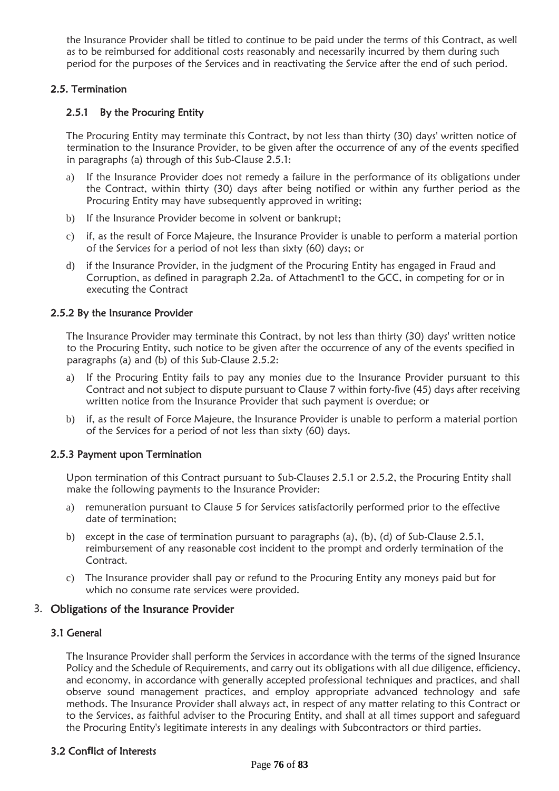the Insurance Provider shall be titled to continue to be paid under the terms of this Contract, as well as to be reimbursed for additional costs reasonably and necessarily incurred by them during such period for the purposes of the Services and in reactivating the Service after the end of such period.

#### 2.5. Termination

#### 2.5.1 By the Procuring Entity

The Procuring Entity may terminate this Contract, by not less than thirty (30) days' written notice of termination to the Insurance Provider, to be given after the occurrence of any of the events specified in paragraphs (a) through of this Sub-Clause 2.5.1:

- a) If the Insurance Provider does not remedy a failure in the performance of its obligations under the Contract, within thirty (30) days after being notified or within any further period as the Procuring Entity may have subsequently approved in writing;
- b) If the Insurance Provider become in solvent or bankrupt;
- c) if, as the result of Force Majeure, the Insurance Provider is unable to perform a material portion of the Services for a period of not less than sixty (60) days; or
- d) if the Insurance Provider, in the judgment of the Procuring Entity has engaged in Fraud and Corruption, as defined in paragraph 2.2a. of Attachment1 to the GCC, in competing for or in executing the Contract

#### 2.5.2 By the Insurance Provider

The Insurance Provider may terminate this Contract, by not less than thirty (30) days' written notice to the Procuring Entity, such notice to be given after the occurrence of any of the events specified in paragraphs (a) and (b) of this Sub-Clause 2.5.2:

- a) If the Procuring Entity fails to pay any monies due to the Insurance Provider pursuant to this Contract and not subject to dispute pursuant to Clause 7 within forty-five (45) days after receiving written notice from the Insurance Provider that such payment is overdue; or
- b) if, as the result of Force Majeure, the Insurance Provider is unable to perform a material portion of the Services for a period of not less than sixty (60) days.

#### 2.5.3 Payment upon Termination

Upon termination of this Contract pursuant to Sub-Clauses 2.5.1 or 2.5.2, the Procuring Entity shall make the following payments to the Insurance Provider:

- a) remuneration pursuant to Clause 5 for Services satisfactorily performed prior to the effective date of termination;
- b) except in the case of termination pursuant to paragraphs (a), (b), (d) of Sub-Clause 2.5.1, reimbursement of any reasonable cost incident to the prompt and orderly termination of the Contract.
- c) The Insurance provider shall pay or refund to the Procuring Entity any moneys paid but for which no consume rate services were provided.

#### 3. Obligations of the Insurance Provider

#### 3.1 General

The Insurance Provider shall perform the Services in accordance with the terms of the signed Insurance Policy and the Schedule of Requirements, and carry out its obligations with all due diligence, efficiency, and economy, in accordance with generally accepted professional techniques and practices, and shall observe sound management practices, and employ appropriate advanced technology and safe methods. The Insurance Provider shall always act, in respect of any matter relating to this Contract or to the Services, as faithful adviser to the Procuring Entity, and shall at all times support and safeguard the Procuring Entity's legitimate interests in any dealings with Subcontractors or third parties.

#### 3.2 Con**fl**ict of Interests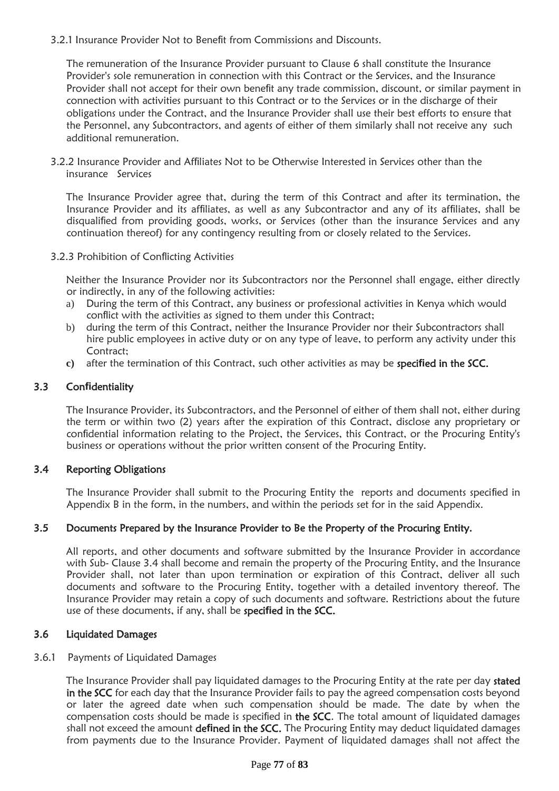3.2.1 Insurance Provider Not to Benefit from Commissions and Discounts.

The remuneration of the Insurance Provider pursuant to Clause 6 shall constitute the Insurance Provider's sole remuneration in connection with this Contract or the Services, and the Insurance Provider shall not accept for their own benefit any trade commission, discount, or similar payment in connection with activities pursuant to this Contract or to the Services or in the discharge of their obligations under the Contract, and the Insurance Provider shall use their best efforts to ensure that the Personnel, any Subcontractors, and agents of either of them similarly shall not receive any such additional remuneration.

3.2.2 Insurance Provider and Affiliates Not to be Otherwise Interested in Services other than the insurance Services

The Insurance Provider agree that, during the term of this Contract and after its termination, the Insurance Provider and its affiliates, as well as any Subcontractor and any of its affiliates, shall be disqualified from providing goods, works, or Services (other than the insurance Services and any continuation thereof) for any contingency resulting from or closely related to the Services.

3.2.3 Prohibition of Conflicting Activities

Neither the Insurance Provider nor its Subcontractors nor the Personnel shall engage, either directly or indirectly, in any of the following activities:

- a) During the term of this Contract, any business or professional activities in Kenya which would conflict with the activities as signed to them under this Contract;
- b) during the term of this Contract, neither the Insurance Provider nor their Subcontractors shall hire public employees in active duty or on any type of leave, to perform any activity under this Contract;
- **c)** after the termination of this Contract, such other activities as may be speci**fi**ed in the SCC.

#### 3.3 Con**fi**dentiality

The Insurance Provider, its Subcontractors, and the Personnel of either of them shall not, either during the term or within two (2) years after the expiration of this Contract, disclose any proprietary or confidential information relating to the Project, the Services, this Contract, or the Procuring Entity's business or operations without the prior written consent of the Procuring Entity.

#### 3.4 Reporting Obligations

The Insurance Provider shall submit to the Procuring Entity the reports and documents specified in Appendix B in the form, in the numbers, and within the periods set for in the said Appendix.

#### 3.5 Documents Prepared by the Insurance Provider to Be the Property of the Procuring Entity.

All reports, and other documents and software submitted by the Insurance Provider in accordance with Sub- Clause 3.4 shall become and remain the property of the Procuring Entity, and the Insurance Provider shall, not later than upon termination or expiration of this Contract, deliver all such documents and software to the Procuring Entity, together with a detailed inventory thereof. The Insurance Provider may retain a copy of such documents and software. Restrictions about the future use of these documents, if any, shall be speci**fi**ed in the SCC.

#### 3.6 Liquidated Damages

#### 3.6.1 Payments of Liquidated Damages

The Insurance Provider shall pay liquidated damages to the Procuring Entity at the rate per day stated in the SCC for each day that the Insurance Provider fails to pay the agreed compensation costs beyond or later the agreed date when such compensation should be made. The date by when the compensation costs should be made is specified in the SCC. The total amount of liquidated damages shall not exceed the amount de**fi**ned in the SCC. The Procuring Entity may deduct liquidated damages from payments due to the Insurance Provider. Payment of liquidated damages shall not affect the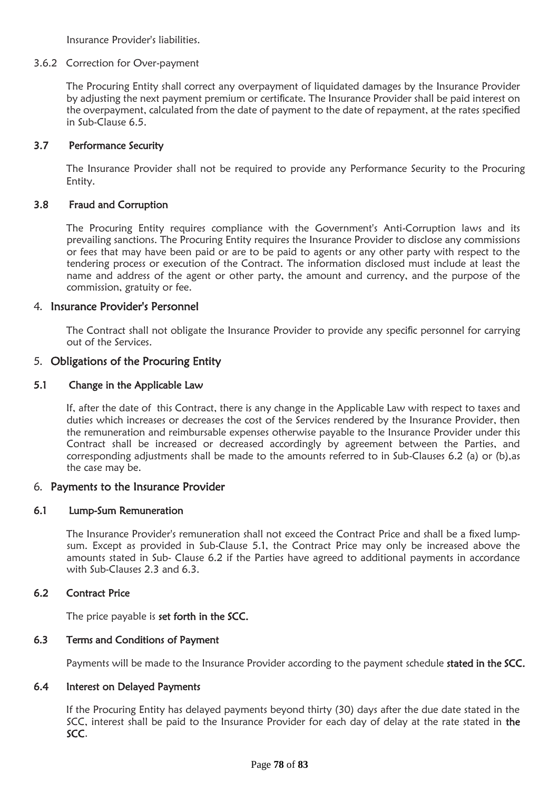Insurance Provider's liabilities.

#### 3.6.2 Correction for Over-payment

The Procuring Entity shall correct any overpayment of liquidated damages by the Insurance Provider by adjusting the next payment premium or certificate. The Insurance Provider shall be paid interest on the overpayment, calculated from the date of payment to the date of repayment, at the rates specified in Sub-Clause 6.5.

#### 3.7 Performance Security

The Insurance Provider shall not be required to provide any Performance Security to the Procuring Entity.

#### 3.8 Fraud and Corruption

The Procuring Entity requires compliance with the Government's Anti-Corruption laws and its prevailing sanctions. The Procuring Entity requires the Insurance Provider to disclose any commissions or fees that may have been paid or are to be paid to agents or any other party with respect to the tendering process or execution of the Contract. The information disclosed must include at least the name and address of the agent or other party, the amount and currency, and the purpose of the commission, gratuity or fee.

#### 4. Insurance Provider's Personnel

The Contract shall not obligate the Insurance Provider to provide any specific personnel for carrying out of the Services.

#### 5. Obligations of the Procuring Entity

#### 5.1 Change in the Applicable Law

If, after the date of this Contract, there is any change in the Applicable Law with respect to taxes and duties which increases or decreases the cost of the Services rendered by the Insurance Provider, then the remuneration and reimbursable expenses otherwise payable to the Insurance Provider under this Contract shall be increased or decreased accordingly by agreement between the Parties, and corresponding adjustments shall be made to the amounts referred to in Sub-Clauses 6.2 (a) or (b),as the case may be.

#### 6. Payments to the Insurance Provider

#### 6.1 Lump-Sum Remuneration

The Insurance Provider's remuneration shall not exceed the Contract Price and shall be a fixed lumpsum. Except as provided in Sub-Clause 5.1, the Contract Price may only be increased above the amounts stated in Sub- Clause 6.2 if the Parties have agreed to additional payments in accordance with Sub-Clauses 2.3 and 6.3.

#### 6.2 Contract Price

The price payable is set forth in the SCC.

#### 6.3 Terms and Conditions of Payment

Payments will be made to the Insurance Provider according to the payment schedule stated in the SCC.

#### 6.4 Interest on Delayed Payments

If the Procuring Entity has delayed payments beyond thirty (30) days after the due date stated in the SCC, interest shall be paid to the Insurance Provider for each day of delay at the rate stated in the SCC.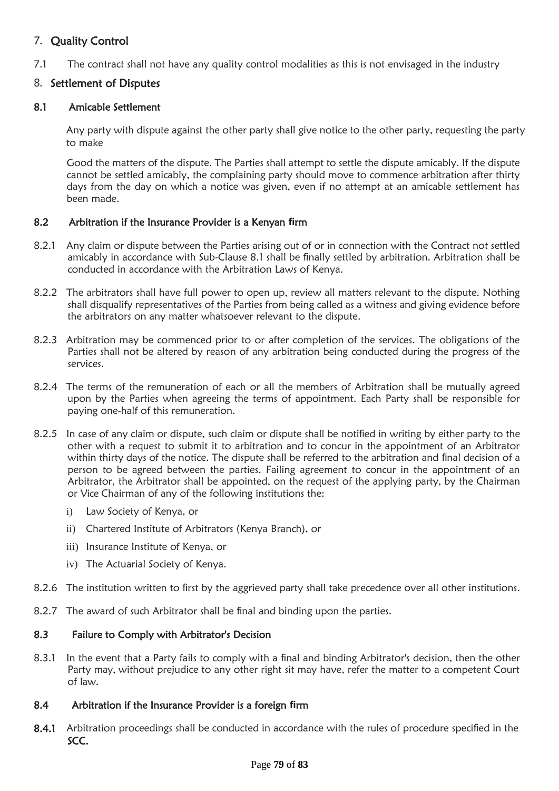## 7. Quality Control

7.1 The contract shall not have any quality control modalities as this is not envisaged in the industry

### 8. Settlement of Disputes

#### 8.1 Amicable Settlement

Any party with dispute against the other party shall give notice to the other party, requesting the party to make

Good the matters of the dispute. The Parties shall attempt to settle the dispute amicably. If the dispute cannot be settled amicably, the complaining party should move to commence arbitration after thirty days from the day on which a notice was given, even if no attempt at an amicable settlement has been made.

#### 8.2 Arbitration if the Insurance Provider is a Kenyan **fi**rm

- 8.2.1 Any claim or dispute between the Parties arising out of or in connection with the Contract not settled amicably in accordance with Sub-Clause 8.1 shall be finally settled by arbitration. Arbitration shall be conducted in accordance with the Arbitration Laws of Kenya.
- 8.2.2 The arbitrators shall have full power to open up, review all matters relevant to the dispute. Nothing shall disqualify representatives of the Parties from being called as a witness and giving evidence before the arbitrators on any matter whatsoever relevant to the dispute.
- 8.2.3 Arbitration may be commenced prior to or after completion of the services. The obligations of the Parties shall not be altered by reason of any arbitration being conducted during the progress of the services.
- 8.2.4 The terms of the remuneration of each or all the members of Arbitration shall be mutually agreed upon by the Parties when agreeing the terms of appointment. Each Party shall be responsible for paying one-half of this remuneration.
- 8.2.5 In case of any claim or dispute, such claim or dispute shall be notified in writing by either party to the other with a request to submit it to arbitration and to concur in the appointment of an Arbitrator within thirty days of the notice. The dispute shall be referred to the arbitration and final decision of a person to be agreed between the parties. Failing agreement to concur in the appointment of an Arbitrator, the Arbitrator shall be appointed, on the request of the applying party, by the Chairman or Vice Chairman of any of the following institutions the:
	- i) Law Society of Kenya, or
	- ii) Chartered Institute of Arbitrators (Kenya Branch), or
	- iii) Insurance Institute of Kenya, or
	- iv) The Actuarial Society of Kenya.
- 8.2.6 The institution written to first by the aggrieved party shall take precedence over all other institutions.
- 8.2.7 The award of such Arbitrator shall be final and binding upon the parties.

#### 8.3 Failure to Comply with Arbitrator's Decision

8.3.1 In the event that a Party fails to comply with a final and binding Arbitrator's decision, then the other Party may, without prejudice to any other right sit may have, refer the matter to a competent Court of law.

#### 8.4 Arbitration if the Insurance Provider is a foreign **fi**rm

8.4.1 Arbitration proceedings shall be conducted in accordance with the rules of procedure specified in the SCC.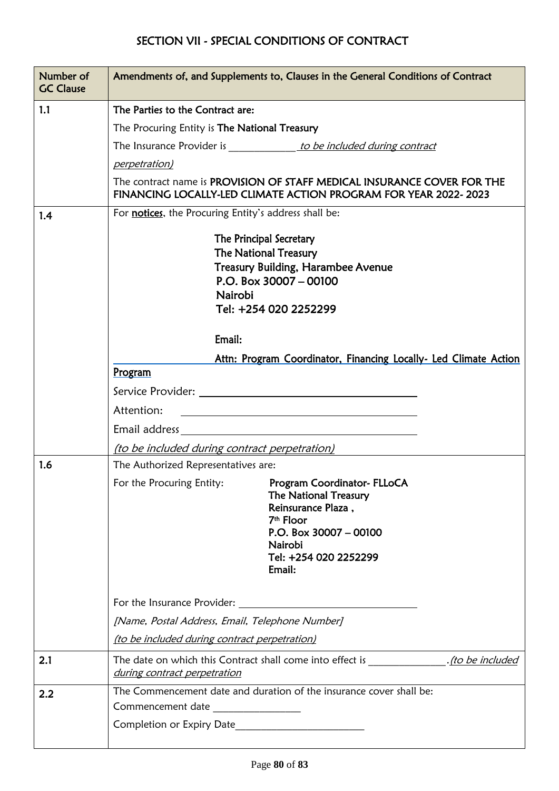# SECTION VII - SPECIAL CONDITIONS OF CONTRACT

| Number of        | Amendments of, and Supplements to, Clauses in the General Conditions of Contract                                                                                                                                               |  |  |  |  |
|------------------|--------------------------------------------------------------------------------------------------------------------------------------------------------------------------------------------------------------------------------|--|--|--|--|
| <b>GC Clause</b> |                                                                                                                                                                                                                                |  |  |  |  |
| 1.1              | The Parties to the Contract are:                                                                                                                                                                                               |  |  |  |  |
|                  | The Procuring Entity is The National Treasury                                                                                                                                                                                  |  |  |  |  |
|                  |                                                                                                                                                                                                                                |  |  |  |  |
|                  | <u>perpetration)</u>                                                                                                                                                                                                           |  |  |  |  |
|                  | The contract name is PROVISION OF STAFF MEDICAL INSURANCE COVER FOR THE<br>FINANCING LOCALLY-LED CLIMATE ACTION PROGRAM FOR YEAR 2022-2023                                                                                     |  |  |  |  |
| 1.4              | For notices, the Procuring Entity's address shall be:                                                                                                                                                                          |  |  |  |  |
|                  | The Principal Secretary<br><b>The National Treasury</b><br><b>Treasury Building, Harambee Avenue</b><br>P.O. Box $30007 - 00100$<br>Nairobi<br>Tel: +254 020 2252299                                                           |  |  |  |  |
|                  | Email:                                                                                                                                                                                                                         |  |  |  |  |
|                  | Attn: Program Coordinator, Financing Locally- Led Climate Action                                                                                                                                                               |  |  |  |  |
|                  | Program                                                                                                                                                                                                                        |  |  |  |  |
|                  |                                                                                                                                                                                                                                |  |  |  |  |
|                  | Attention:                                                                                                                                                                                                                     |  |  |  |  |
|                  | Email address and the contract of the contract of the contract of the contract of the contract of the contract of the contract of the contract of the contract of the contract of the contract of the contract of the contract |  |  |  |  |
|                  | (to be included during contract perpetration)                                                                                                                                                                                  |  |  |  |  |
| 1.6              | The Authorized Representatives are:                                                                                                                                                                                            |  |  |  |  |
|                  | For the Procuring Entity:<br>Program Coordinator- FLLoCA<br>The National Treasury<br>Reinsurance Plaza,<br>7 <sup>th</sup> Floor<br>P.O. Box $30007 - 00100$<br>Nairobi<br>Tel: +254 020 2252299<br>Email:                     |  |  |  |  |
|                  |                                                                                                                                                                                                                                |  |  |  |  |
|                  | [Name, Postal Address, Email, Telephone Number]                                                                                                                                                                                |  |  |  |  |
|                  | (to be included during contract perpetration)                                                                                                                                                                                  |  |  |  |  |
| 2.1              | The date on which this Contract shall come into effect is ______________________<br>.(to be included<br>during contract perpetration                                                                                           |  |  |  |  |
| 2.2              | The Commencement date and duration of the insurance cover shall be:<br>Commencement date ___________________                                                                                                                   |  |  |  |  |
|                  |                                                                                                                                                                                                                                |  |  |  |  |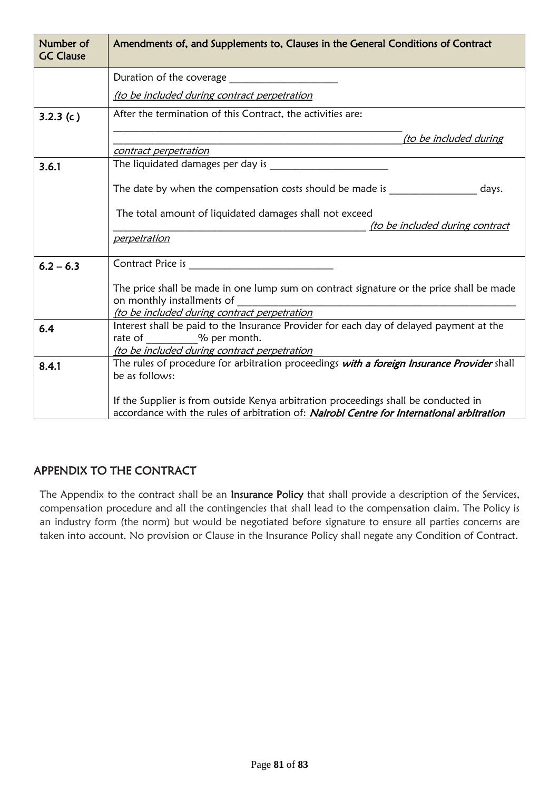| Number of<br><b>GC Clause</b> | Amendments of, and Supplements to, Clauses in the General Conditions of Contract                                                                                                 |  |  |  |  |
|-------------------------------|----------------------------------------------------------------------------------------------------------------------------------------------------------------------------------|--|--|--|--|
|                               | Duration of the coverage <b>Example 20</b>                                                                                                                                       |  |  |  |  |
|                               | (to be included during contract perpetration                                                                                                                                     |  |  |  |  |
| 3.2.3 (c)                     | After the termination of this Contract, the activities are:                                                                                                                      |  |  |  |  |
|                               | <u>(to be included during</u>                                                                                                                                                    |  |  |  |  |
|                               | contract perpetration                                                                                                                                                            |  |  |  |  |
| 3.6.1                         |                                                                                                                                                                                  |  |  |  |  |
|                               | The date by when the compensation costs should be made is<br>days.                                                                                                               |  |  |  |  |
|                               | The total amount of liquidated damages shall not exceed<br>(to be included during contract                                                                                       |  |  |  |  |
|                               | perpetration                                                                                                                                                                     |  |  |  |  |
| $6.2 - 6.3$                   |                                                                                                                                                                                  |  |  |  |  |
|                               | The price shall be made in one lump sum on contract signature or the price shall be made<br>on monthly installments of<br>(to be included during contract perpetration           |  |  |  |  |
| 6.4                           | Interest shall be paid to the Insurance Provider for each day of delayed payment at the<br>rate of 9% per month.<br>(to be included during contract perpetration                 |  |  |  |  |
| 8.4.1                         | The rules of procedure for arbitration proceedings with a foreign Insurance Provider shall<br>be as follows:                                                                     |  |  |  |  |
|                               | If the Supplier is from outside Kenya arbitration proceedings shall be conducted in<br>accordance with the rules of arbitration of: Nairobi Centre for International arbitration |  |  |  |  |

# APPENDIX TO THE CONTRACT

The Appendix to the contract shall be an Insurance Policy that shall provide a description of the Services, compensation procedure and all the contingencies that shall lead to the compensation claim. The Policy is an industry form (the norm) but would be negotiated before signature to ensure all parties concerns are taken into account. No provision or Clause in the Insurance Policy shall negate any Condition of Contract.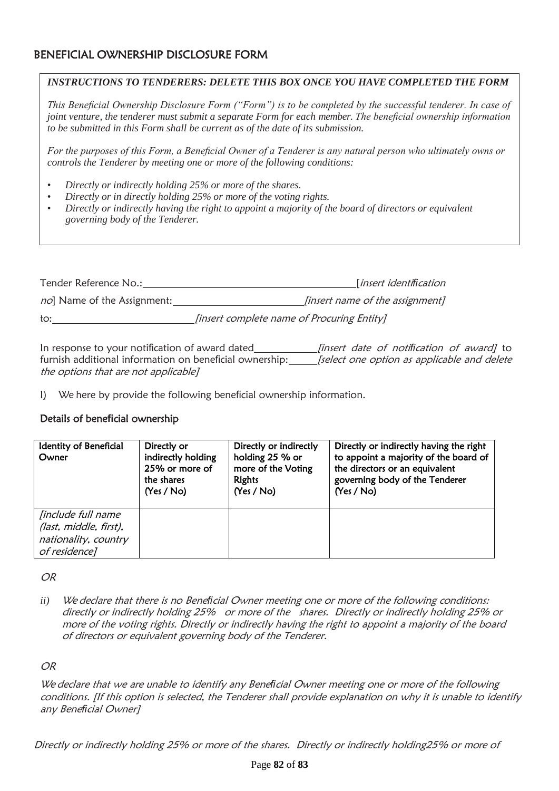## BENEFICIAL OWNERSHIP DISCLOSURE FORM

#### *INSTRUCTIONS TO TENDERERS: DELETE THIS BOX ONCE YOU HAVE COMPLETED THE FORM*

*This Beneficial Ownership Disclosure Form ("Form") is to be completed by the successful tenderer. In case of joint venture, the tenderer must submit a separate Form for each member. The beneficial ownership information to be submitted in this Form shall be current as of the date of its submission.*

*For the purposes of this Form, a Beneficial Owner of a Tenderer is any natural person who ultimately owns or controls the Tenderer by meeting one or more of the following conditions:*

- *Directly or indirectly holding 25% or more of the shares.*
- *Directly or in directly holding 25% or more of the voting rights.*
- *Directly or indirectly having the right to appoint a majority of the board of directors or equivalent governing body of the Tenderer.*

Tender Reference No.: [insert identi*fi*cation no] Name of the Assignment: [insert name of the assignment] to: *[insert complete name of Procuring Entity]* 

In response to your notification of award dated *[insert date of notification of award]* to furnish additional information on beneficial ownership: *[select one option as applicable and delete* the options that are not applicable]

I) We here by provide the following beneficial ownership information.

#### Details of bene**fi**cial ownership

| Identity of Beneficial<br>Owner                                                                     | Directly or<br>indirectly holding<br>25% or more of<br>the shares<br>(Yes / No) | Directly or indirectly<br>holding 25 % or<br>more of the Voting<br><b>Rights</b><br>(Yes / No) | Directly or indirectly having the right<br>to appoint a majority of the board of<br>the directors or an equivalent<br>governing body of the Tenderer<br>(Yes / No) |
|-----------------------------------------------------------------------------------------------------|---------------------------------------------------------------------------------|------------------------------------------------------------------------------------------------|--------------------------------------------------------------------------------------------------------------------------------------------------------------------|
| <i><b>finclude full name</b></i><br>(last, middle, first),<br>nationality, country<br>of residence] |                                                                                 |                                                                                                |                                                                                                                                                                    |

OR

*ii)* We declare that there is no Bene*fi*cial Owner meeting one or more of the following conditions: directly or indirectly holding 25% or more of the shares. Directly or indirectly holding 25% or more of the voting rights. Directly or indirectly having the right to appoint a majority of the board of directors or equivalent governing body of the Tenderer.

#### OR

We declare that we are unable to identify any Bene*fi*cial Owner meeting one or more of the following conditions. [If this option is selected, the Tenderer shall provide explanation on why it is unable to identify any Bene*fi*cial Owner]

Directly or indirectly holding 25% or more of the shares. Directly or indirectly holding25% or more of